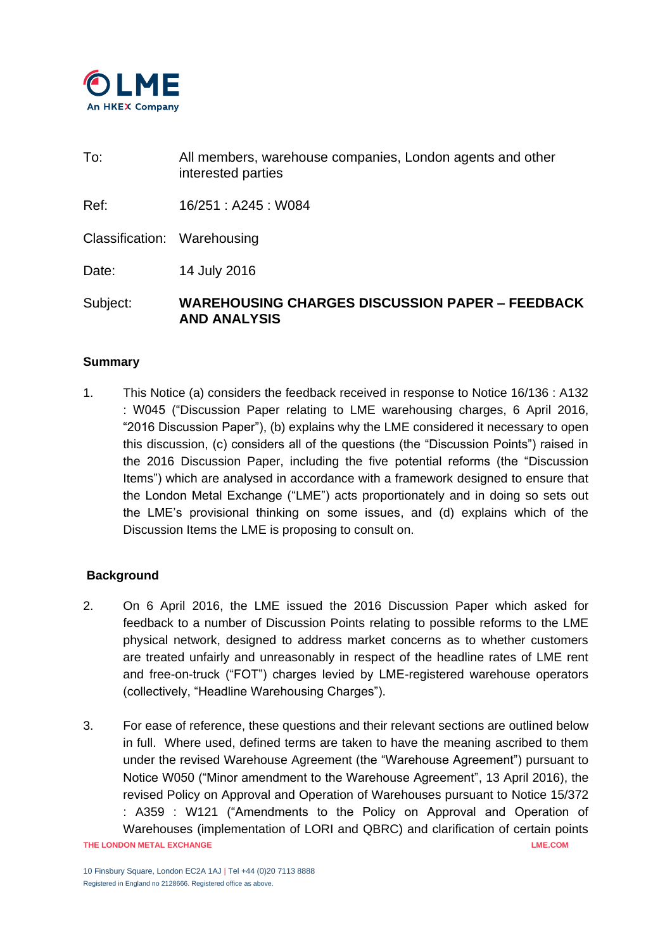

To: All members, warehouse companies, London agents and other interested parties

Ref: 16/251 : A245 : W084

Classification: Warehousing

Date: 14 July 2016

Subject: **WAREHOUSING CHARGES DISCUSSION PAPER – FEEDBACK AND ANALYSIS**

### **Summary**

1. This Notice (a) considers the feedback received in response to Notice 16/136 : A132 : W045 ("Discussion Paper relating to LME warehousing charges, 6 April 2016, "2016 Discussion Paper"), (b) explains why the LME considered it necessary to open this discussion, (c) considers all of the questions (the "Discussion Points") raised in the 2016 Discussion Paper, including the five potential reforms (the "Discussion Items") which are analysed in accordance with a framework designed to ensure that the London Metal Exchange ("LME") acts proportionately and in doing so sets out the LME's provisional thinking on some issues, and (d) explains which of the Discussion Items the LME is proposing to consult on.

### **Background**

- 2. On 6 April 2016, the LME issued the 2016 Discussion Paper which asked for feedback to a number of Discussion Points relating to possible reforms to the LME physical network, designed to address market concerns as to whether customers are treated unfairly and unreasonably in respect of the headline rates of LME rent and free-on-truck ("FOT") charges levied by LME-registered warehouse operators (collectively, "Headline Warehousing Charges").
- **THE LONDON METAL EXCHANGE LME.COM** 3. For ease of reference, these questions and their relevant sections are outlined below in full. Where used, defined terms are taken to have the meaning ascribed to them under the revised Warehouse Agreement (the "Warehouse Agreement") pursuant to Notice W050 ("Minor amendment to the Warehouse Agreement", 13 April 2016), the revised Policy on Approval and Operation of Warehouses pursuant to Notice 15/372 : A359 : W121 ("Amendments to the Policy on Approval and Operation of Warehouses (implementation of LORI and QBRC) and clarification of certain points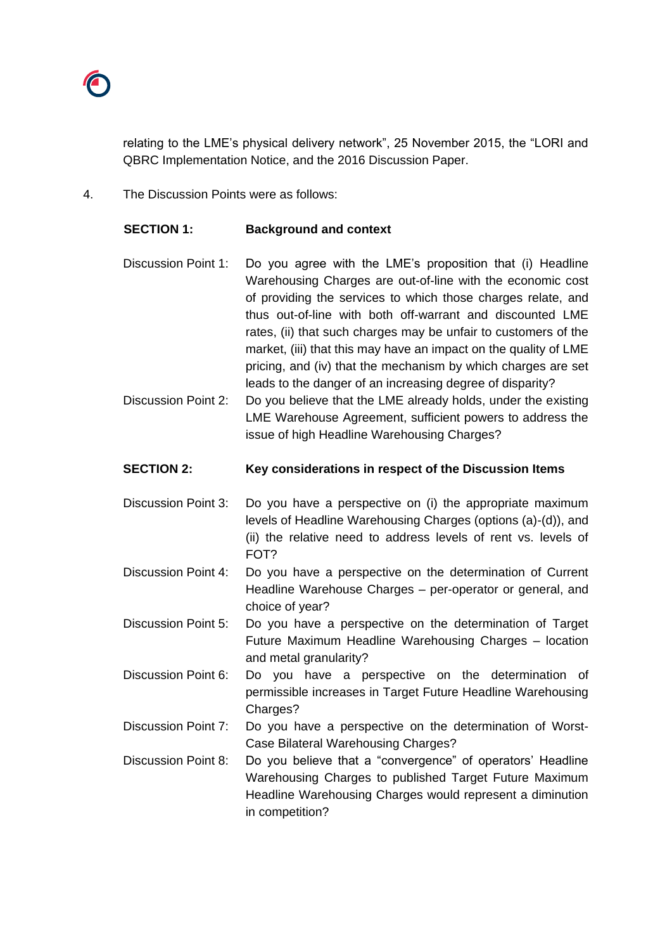

relating to the LME's physical delivery network", 25 November 2015, the "LORI and QBRC Implementation Notice, and the 2016 Discussion Paper.

4. The Discussion Points were as follows:

| <b>SECTION 1:</b>          | <b>Background and context</b>                                                                                                                                                                                                                                                                                                                                                                                                                                |
|----------------------------|--------------------------------------------------------------------------------------------------------------------------------------------------------------------------------------------------------------------------------------------------------------------------------------------------------------------------------------------------------------------------------------------------------------------------------------------------------------|
| <b>Discussion Point 1:</b> | Do you agree with the LME's proposition that (i) Headline<br>Warehousing Charges are out-of-line with the economic cost<br>of providing the services to which those charges relate, and<br>thus out-of-line with both off-warrant and discounted LME<br>rates, (ii) that such charges may be unfair to customers of the<br>market, (iii) that this may have an impact on the quality of LME<br>pricing, and (iv) that the mechanism by which charges are set |
| <b>Discussion Point 2:</b> | leads to the danger of an increasing degree of disparity?<br>Do you believe that the LME already holds, under the existing<br>LME Warehouse Agreement, sufficient powers to address the<br>issue of high Headline Warehousing Charges?                                                                                                                                                                                                                       |
| <b>SECTION 2:</b>          | Key considerations in respect of the Discussion Items                                                                                                                                                                                                                                                                                                                                                                                                        |
| <b>Discussion Point 3:</b> | Do you have a perspective on (i) the appropriate maximum<br>levels of Headline Warehousing Charges (options (a)-(d)), and<br>(ii) the relative need to address levels of rent vs. levels of<br>FOT?                                                                                                                                                                                                                                                          |
| <b>Discussion Point 4:</b> | Do you have a perspective on the determination of Current<br>Headline Warehouse Charges - per-operator or general, and<br>choice of year?                                                                                                                                                                                                                                                                                                                    |
| <b>Discussion Point 5:</b> | Do you have a perspective on the determination of Target<br>Future Maximum Headline Warehousing Charges - location<br>and metal granularity?                                                                                                                                                                                                                                                                                                                 |
| Discussion Point 6:        | you have a perspective on the determination of<br>Do<br>permissible increases in Target Future Headline Warehousing<br>Charges?                                                                                                                                                                                                                                                                                                                              |
| <b>Discussion Point 7:</b> | Do you have a perspective on the determination of Worst-<br>Case Bilateral Warehousing Charges?                                                                                                                                                                                                                                                                                                                                                              |
| <b>Discussion Point 8:</b> | Do you believe that a "convergence" of operators' Headline<br>Warehousing Charges to published Target Future Maximum<br>Headline Warehousing Charges would represent a diminution<br>in competition?                                                                                                                                                                                                                                                         |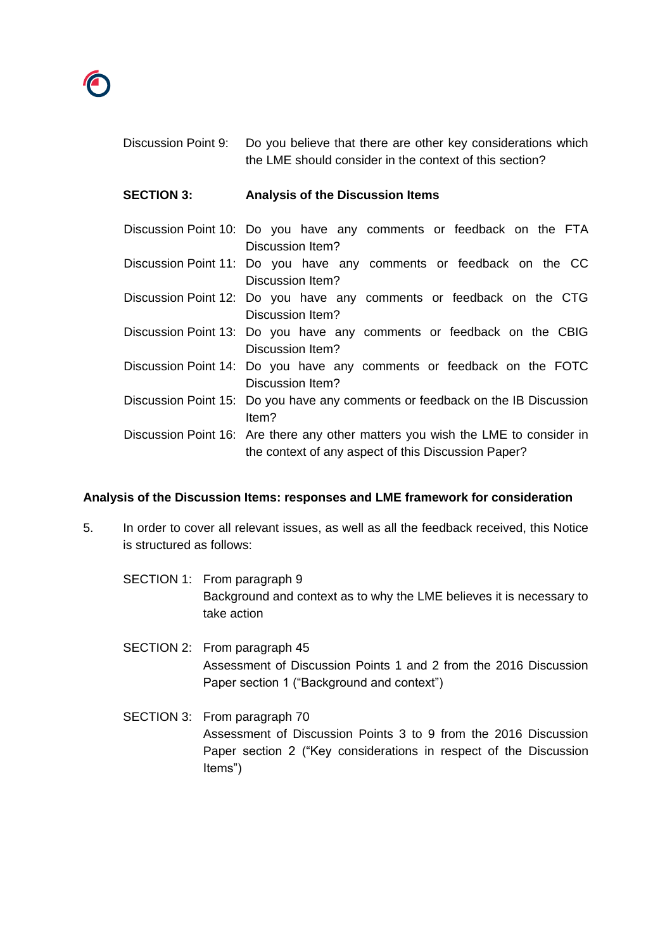

| Discussion Point 9: | Do you believe that there are other key considerations which<br>the LME should consider in the context of this section?                 |
|---------------------|-----------------------------------------------------------------------------------------------------------------------------------------|
| <b>SECTION 3:</b>   | <b>Analysis of the Discussion Items</b>                                                                                                 |
|                     | Discussion Point 10: Do you have any comments or feedback on the FTA<br>Discussion Item?                                                |
|                     | Discussion Point 11: Do you have any comments or feedback on the CC<br>Discussion Item?                                                 |
|                     | Discussion Point 12: Do you have any comments or feedback on the CTG<br>Discussion Item?                                                |
|                     | Discussion Point 13: Do you have any comments or feedback on the CBIG<br>Discussion Item?                                               |
|                     | Discussion Point 14: Do you have any comments or feedback on the FOTC<br>Discussion Item?                                               |
|                     | Discussion Point 15: Do you have any comments or feedback on the IB Discussion<br>ltem?                                                 |
|                     | Discussion Point 16: Are there any other matters you wish the LME to consider in<br>the context of any aspect of this Discussion Paper? |

### **Analysis of the Discussion Items: responses and LME framework for consideration**

- 5. In order to cover all relevant issues, as well as all the feedback received, this Notice is structured as follows:
	- SECTION 1: From paragraph 9 Background and context as to why the LME believes it is necessary to take action
	- SECTION 2: From paragraph 45 Assessment of Discussion Points 1 and 2 from the 2016 Discussion Paper section 1 ("Background and context")
	- SECTION 3: From paragraph 70 Assessment of Discussion Points 3 to 9 from the 2016 Discussion Paper section 2 ("Key considerations in respect of the Discussion Items")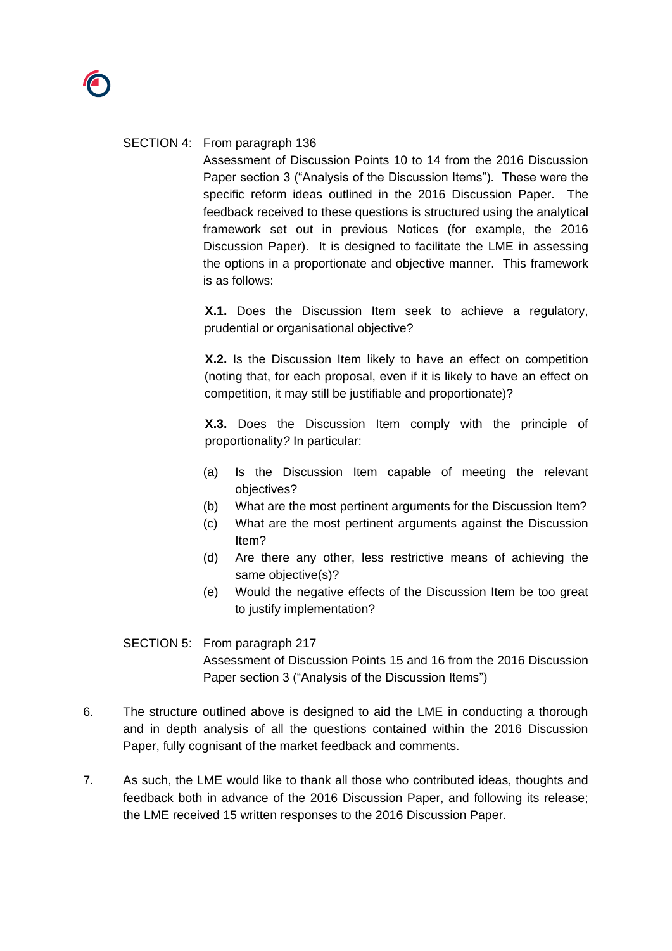### SECTION 4: From paragraph 136

Assessment of Discussion Points 10 to 14 from the 2016 Discussion Paper section 3 ("Analysis of the Discussion Items"). These were the specific reform ideas outlined in the 2016 Discussion Paper. The feedback received to these questions is structured using the analytical framework set out in previous Notices (for example, the 2016 Discussion Paper). It is designed to facilitate the LME in assessing the options in a proportionate and objective manner. This framework is as follows:

**X.1.** Does the Discussion Item seek to achieve a regulatory, prudential or organisational objective?

**X.2.** Is the Discussion Item likely to have an effect on competition (noting that, for each proposal, even if it is likely to have an effect on competition, it may still be justifiable and proportionate)?

**X.3.** Does the Discussion Item comply with the principle of proportionality*?* In particular:

- (a) Is the Discussion Item capable of meeting the relevant objectives?
- (b) What are the most pertinent arguments for the Discussion Item?
- (c) What are the most pertinent arguments against the Discussion Item?
- (d) Are there any other, less restrictive means of achieving the same objective(s)?
- (e) Would the negative effects of the Discussion Item be too great to justify implementation?

### SECTION 5: From paragraph 217

Assessment of Discussion Points 15 and 16 from the 2016 Discussion Paper section 3 ("Analysis of the Discussion Items")

- 6. The structure outlined above is designed to aid the LME in conducting a thorough and in depth analysis of all the questions contained within the 2016 Discussion Paper, fully cognisant of the market feedback and comments.
- 7. As such, the LME would like to thank all those who contributed ideas, thoughts and feedback both in advance of the 2016 Discussion Paper, and following its release; the LME received 15 written responses to the 2016 Discussion Paper.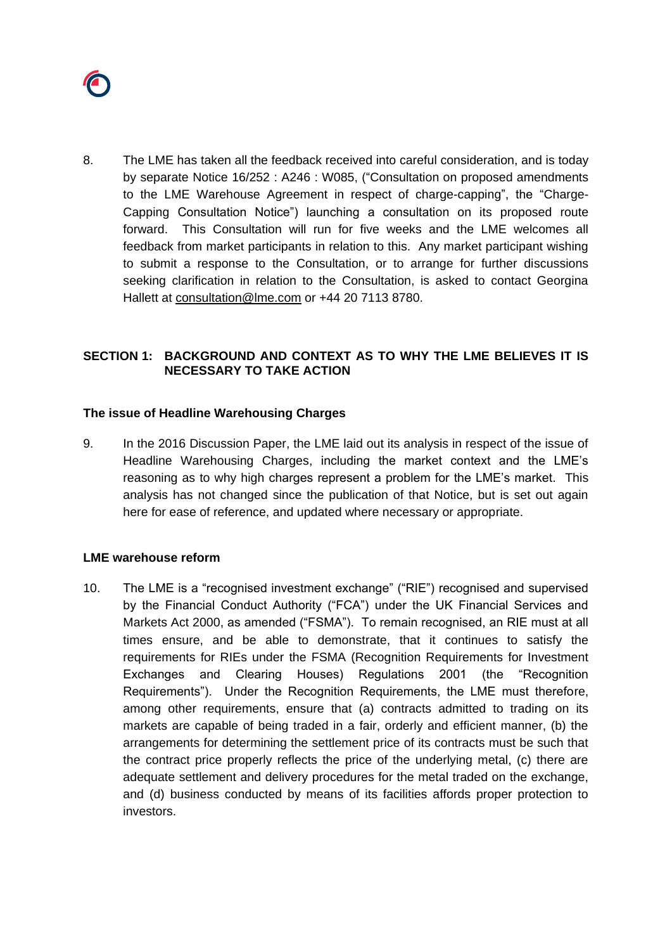

8. The LME has taken all the feedback received into careful consideration, and is today by separate Notice 16/252 : A246 : W085, ("Consultation on proposed amendments to the LME Warehouse Agreement in respect of charge-capping", the "Charge-Capping Consultation Notice") launching a consultation on its proposed route forward. This Consultation will run for five weeks and the LME welcomes all feedback from market participants in relation to this. Any market participant wishing to submit a response to the Consultation, or to arrange for further discussions seeking clarification in relation to the Consultation, is asked to contact Georgina Hallett at [consultation@lme.com](mailto:consultation@lme.com) or +44 20 7113 8780.

### **SECTION 1: BACKGROUND AND CONTEXT AS TO WHY THE LME BELIEVES IT IS NECESSARY TO TAKE ACTION**

#### **The issue of Headline Warehousing Charges**

9. In the 2016 Discussion Paper, the LME laid out its analysis in respect of the issue of Headline Warehousing Charges, including the market context and the LME's reasoning as to why high charges represent a problem for the LME's market. This analysis has not changed since the publication of that Notice, but is set out again here for ease of reference, and updated where necessary or appropriate.

#### **LME warehouse reform**

10. The LME is a "recognised investment exchange" ("RIE") recognised and supervised by the Financial Conduct Authority ("FCA") under the UK Financial Services and Markets Act 2000, as amended ("FSMA"). To remain recognised, an RIE must at all times ensure, and be able to demonstrate, that it continues to satisfy the requirements for RIEs under the FSMA (Recognition Requirements for Investment Exchanges and Clearing Houses) Regulations 2001 (the "Recognition Requirements"). Under the Recognition Requirements, the LME must therefore, among other requirements, ensure that (a) contracts admitted to trading on its markets are capable of being traded in a fair, orderly and efficient manner, (b) the arrangements for determining the settlement price of its contracts must be such that the contract price properly reflects the price of the underlying metal, (c) there are adequate settlement and delivery procedures for the metal traded on the exchange, and (d) business conducted by means of its facilities affords proper protection to investors.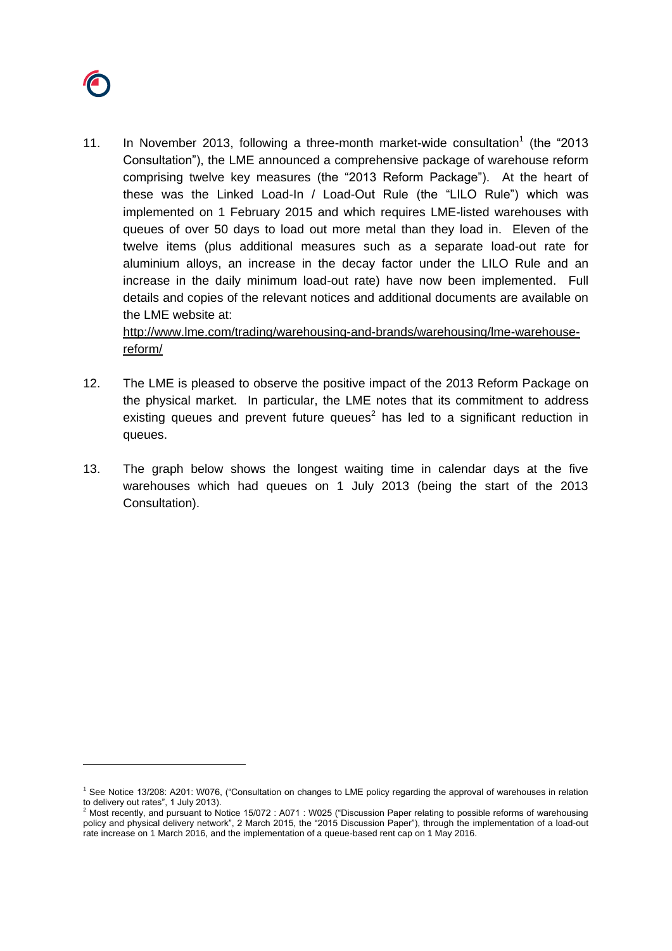

 $\overline{a}$ 

11. In November 2013, following a three-month market-wide consultation<sup>1</sup> (the "2013 Consultation"), the LME announced a comprehensive package of warehouse reform comprising twelve key measures (the "2013 Reform Package"). At the heart of these was the Linked Load-In / Load-Out Rule (the "LILO Rule") which was implemented on 1 February 2015 and which requires LME-listed warehouses with queues of over 50 days to load out more metal than they load in. Eleven of the twelve items (plus additional measures such as a separate load-out rate for aluminium alloys, an increase in the decay factor under the LILO Rule and an increase in the daily minimum load-out rate) have now been implemented. Full details and copies of the relevant notices and additional documents are available on the LME website at:

[http://www.lme.com/trading/warehousing-and-brands/warehousing/lme-warehouse](http://www.lme.com/trading/warehousing-and-brands/warehousing/lme-warehouse-reform/)[reform/](http://www.lme.com/trading/warehousing-and-brands/warehousing/lme-warehouse-reform/)

- 12. The LME is pleased to observe the positive impact of the 2013 Reform Package on the physical market. In particular, the LME notes that its commitment to address existing queues and prevent future queues<sup>2</sup> has led to a significant reduction in queues.
- 13. The graph below shows the longest waiting time in calendar days at the five warehouses which had queues on 1 July 2013 (being the start of the 2013 Consultation).

<sup>1</sup> See Notice 13/208: A201: W076, ("Consultation on changes to LME policy regarding the approval of warehouses in relation to delivery out rates", 1 July 2013).

<sup>2</sup> Most recently, and pursuant to Notice 15/072 : A071 : W025 ("Discussion Paper relating to possible reforms of warehousing policy and physical delivery network", 2 March 2015, the "2015 Discussion Paper"), through the implementation of a load-out rate increase on 1 March 2016, and the implementation of a queue-based rent cap on 1 May 2016.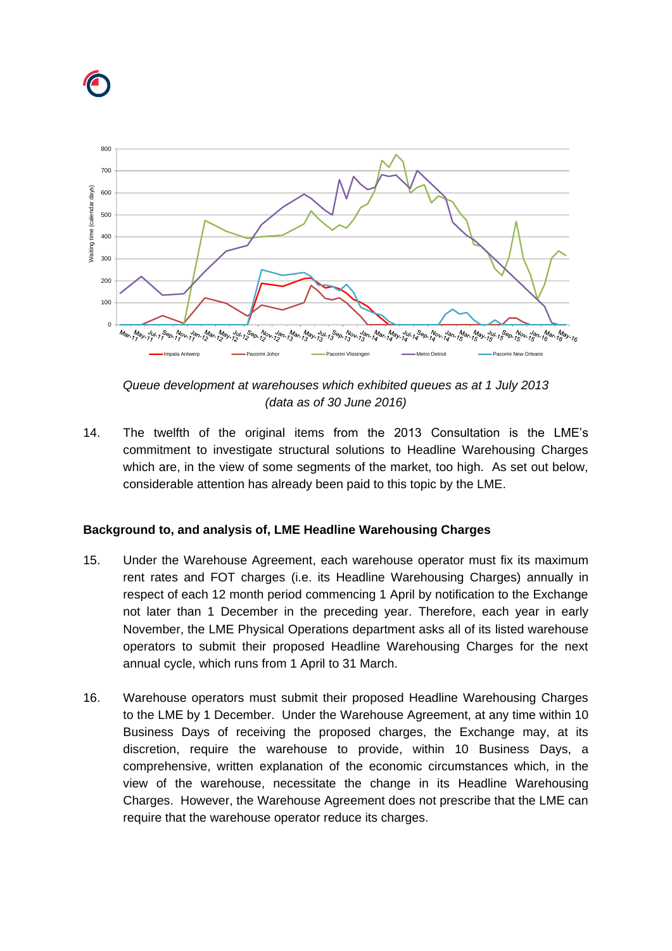



*Queue development at warehouses which exhibited queues as at 1 July 2013 (data as of 30 June 2016)*

14. The twelfth of the original items from the 2013 Consultation is the LME's commitment to investigate structural solutions to Headline Warehousing Charges which are, in the view of some segments of the market, too high. As set out below, considerable attention has already been paid to this topic by the LME.

## **Background to, and analysis of, LME Headline Warehousing Charges**

- 15. Under the Warehouse Agreement, each warehouse operator must fix its maximum rent rates and FOT charges (i.e. its Headline Warehousing Charges) annually in respect of each 12 month period commencing 1 April by notification to the Exchange not later than 1 December in the preceding year. Therefore, each year in early November, the LME Physical Operations department asks all of its listed warehouse operators to submit their proposed Headline Warehousing Charges for the next annual cycle, which runs from 1 April to 31 March.
- 16. Warehouse operators must submit their proposed Headline Warehousing Charges to the LME by 1 December. Under the Warehouse Agreement, at any time within 10 Business Days of receiving the proposed charges, the Exchange may, at its discretion, require the warehouse to provide, within 10 Business Days, a comprehensive, written explanation of the economic circumstances which, in the view of the warehouse, necessitate the change in its Headline Warehousing Charges. However, the Warehouse Agreement does not prescribe that the LME can require that the warehouse operator reduce its charges.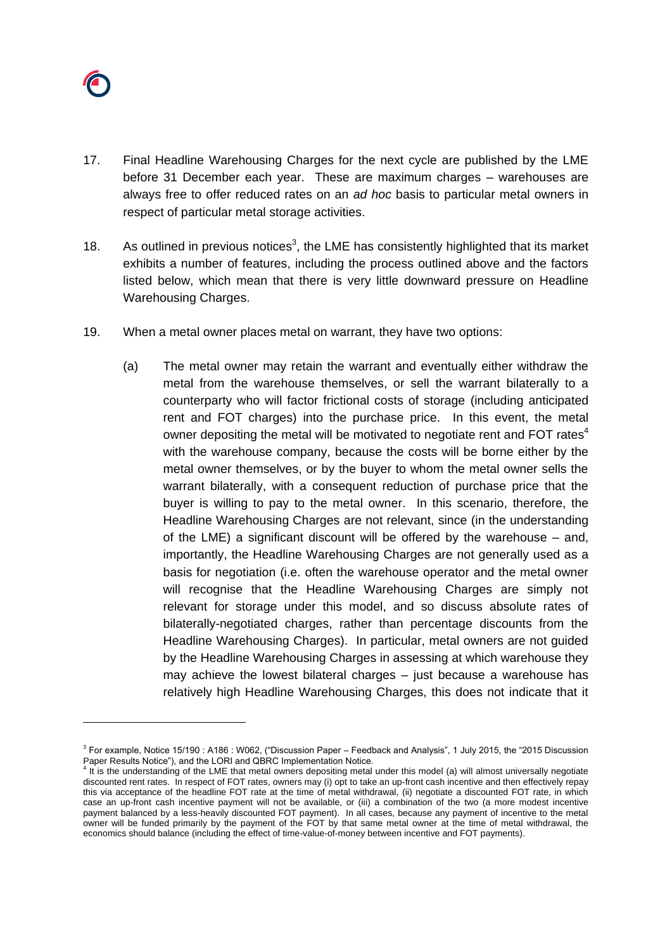

- 17. Final Headline Warehousing Charges for the next cycle are published by the LME before 31 December each year. These are maximum charges – warehouses are always free to offer reduced rates on an *ad hoc* basis to particular metal owners in respect of particular metal storage activities.
- 18. As outlined in previous notices<sup>3</sup>, the LME has consistently highlighted that its market exhibits a number of features, including the process outlined above and the factors listed below, which mean that there is very little downward pressure on Headline Warehousing Charges.
- <span id="page-7-0"></span>19. When a metal owner places metal on warrant, they have two options:
	- (a) The metal owner may retain the warrant and eventually either withdraw the metal from the warehouse themselves, or sell the warrant bilaterally to a counterparty who will factor frictional costs of storage (including anticipated rent and FOT charges) into the purchase price. In this event, the metal owner depositing the metal will be motivated to negotiate rent and FOT rates $4$ with the warehouse company, because the costs will be borne either by the metal owner themselves, or by the buyer to whom the metal owner sells the warrant bilaterally, with a consequent reduction of purchase price that the buyer is willing to pay to the metal owner. In this scenario, therefore, the Headline Warehousing Charges are not relevant, since (in the understanding of the LME) a significant discount will be offered by the warehouse – and, importantly, the Headline Warehousing Charges are not generally used as a basis for negotiation (i.e. often the warehouse operator and the metal owner will recognise that the Headline Warehousing Charges are simply not relevant for storage under this model, and so discuss absolute rates of bilaterally-negotiated charges, rather than percentage discounts from the Headline Warehousing Charges). In particular, metal owners are not guided by the Headline Warehousing Charges in assessing at which warehouse they may achieve the lowest bilateral charges – just because a warehouse has relatively high Headline Warehousing Charges, this does not indicate that it

<sup>&</sup>lt;sup>3</sup> For example, Notice 15/190 : A186 : W062, ("Discussion Paper – Feedback and Analysis", 1 July 2015, the "2015 Discussion Paper Results Notice"), and the LORI and QBRC Implementation Notice.

<sup>&</sup>lt;sup>4</sup> It is the understanding of the LME that metal owners depositing metal under this model (a) will almost universally negotiate discounted rent rates. In respect of FOT rates, owners may (i) opt to take an up-front cash incentive and then effectively repay this via acceptance of the headline FOT rate at the time of metal withdrawal, (ii) negotiate a discounted FOT rate, in which case an up-front cash incentive payment will not be available, or (iii) a combination of the two (a more modest incentive payment balanced by a less-heavily discounted FOT payment). In all cases, because any payment of incentive to the metal owner will be funded primarily by the payment of the FOT by that same metal owner at the time of metal withdrawal, the economics should balance (including the effect of time-value-of-money between incentive and FOT payments).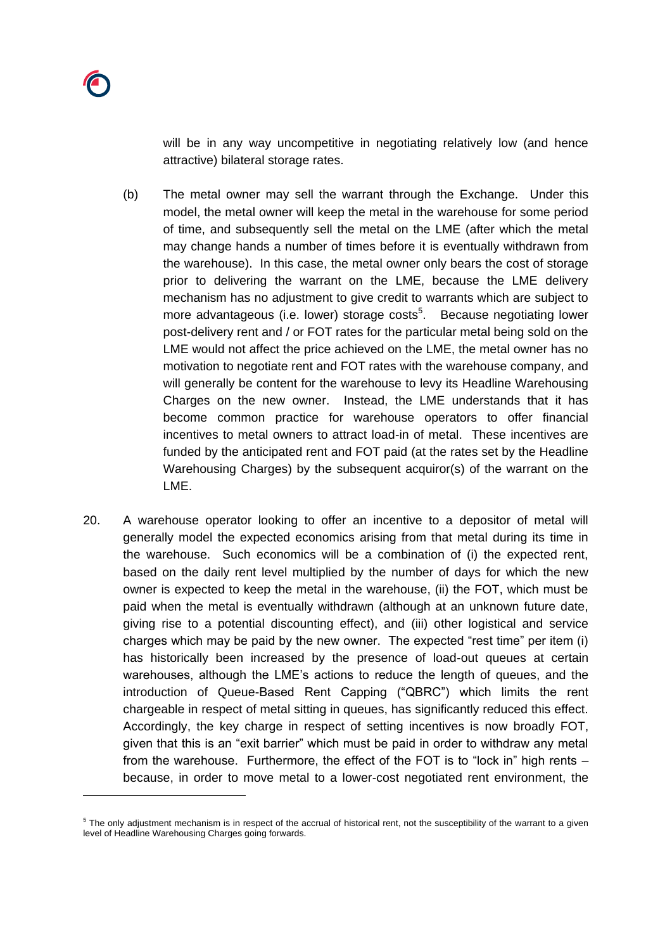will be in any way uncompetitive in negotiating relatively low (and hence attractive) bilateral storage rates.

- (b) The metal owner may sell the warrant through the Exchange. Under this model, the metal owner will keep the metal in the warehouse for some period of time, and subsequently sell the metal on the LME (after which the metal may change hands a number of times before it is eventually withdrawn from the warehouse). In this case, the metal owner only bears the cost of storage prior to delivering the warrant on the LME, because the LME delivery mechanism has no adjustment to give credit to warrants which are subject to more advantageous (i.e. lower) storage costs<sup>5</sup>. Because negotiating lower post-delivery rent and / or FOT rates for the particular metal being sold on the LME would not affect the price achieved on the LME, the metal owner has no motivation to negotiate rent and FOT rates with the warehouse company, and will generally be content for the warehouse to levy its Headline Warehousing Charges on the new owner. Instead, the LME understands that it has become common practice for warehouse operators to offer financial incentives to metal owners to attract load-in of metal. These incentives are funded by the anticipated rent and FOT paid (at the rates set by the Headline Warehousing Charges) by the subsequent acquiror(s) of the warrant on the LME.
- 20. A warehouse operator looking to offer an incentive to a depositor of metal will generally model the expected economics arising from that metal during its time in the warehouse. Such economics will be a combination of (i) the expected rent, based on the daily rent level multiplied by the number of days for which the new owner is expected to keep the metal in the warehouse, (ii) the FOT, which must be paid when the metal is eventually withdrawn (although at an unknown future date, giving rise to a potential discounting effect), and (iii) other logistical and service charges which may be paid by the new owner. The expected "rest time" per item (i) has historically been increased by the presence of load-out queues at certain warehouses, although the LME's actions to reduce the length of queues, and the introduction of Queue-Based Rent Capping ("QBRC") which limits the rent chargeable in respect of metal sitting in queues, has significantly reduced this effect. Accordingly, the key charge in respect of setting incentives is now broadly FOT, given that this is an "exit barrier" which must be paid in order to withdraw any metal from the warehouse. Furthermore, the effect of the FOT is to "lock in" high rents – because, in order to move metal to a lower-cost negotiated rent environment, the

 $5$  The only adjustment mechanism is in respect of the accrual of historical rent, not the susceptibility of the warrant to a given level of Headline Warehousing Charges going forwards.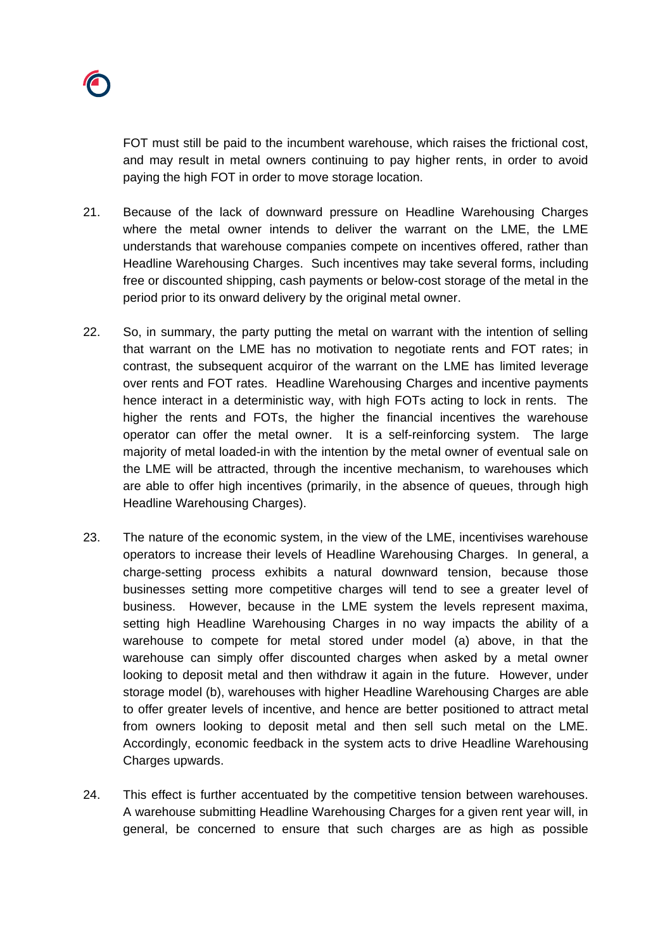FOT must still be paid to the incumbent warehouse, which raises the frictional cost, and may result in metal owners continuing to pay higher rents, in order to avoid paying the high FOT in order to move storage location.

- 21. Because of the lack of downward pressure on Headline Warehousing Charges where the metal owner intends to deliver the warrant on the LME, the LME understands that warehouse companies compete on incentives offered, rather than Headline Warehousing Charges. Such incentives may take several forms, including free or discounted shipping, cash payments or below-cost storage of the metal in the period prior to its onward delivery by the original metal owner.
- 22. So, in summary, the party putting the metal on warrant with the intention of selling that warrant on the LME has no motivation to negotiate rents and FOT rates; in contrast, the subsequent acquiror of the warrant on the LME has limited leverage over rents and FOT rates. Headline Warehousing Charges and incentive payments hence interact in a deterministic way, with high FOTs acting to lock in rents. The higher the rents and FOTs, the higher the financial incentives the warehouse operator can offer the metal owner. It is a self-reinforcing system. The large majority of metal loaded-in with the intention by the metal owner of eventual sale on the LME will be attracted, through the incentive mechanism, to warehouses which are able to offer high incentives (primarily, in the absence of queues, through high Headline Warehousing Charges).
- 23. The nature of the economic system, in the view of the LME, incentivises warehouse operators to increase their levels of Headline Warehousing Charges. In general, a charge-setting process exhibits a natural downward tension, because those businesses setting more competitive charges will tend to see a greater level of business. However, because in the LME system the levels represent maxima, setting high Headline Warehousing Charges in no way impacts the ability of a warehouse to compete for metal stored under model (a) above, in that the warehouse can simply offer discounted charges when asked by a metal owner looking to deposit metal and then withdraw it again in the future. However, under storage model (b), warehouses with higher Headline Warehousing Charges are able to offer greater levels of incentive, and hence are better positioned to attract metal from owners looking to deposit metal and then sell such metal on the LME. Accordingly, economic feedback in the system acts to drive Headline Warehousing Charges upwards.
- <span id="page-9-0"></span>24. This effect is further accentuated by the competitive tension between warehouses. A warehouse submitting Headline Warehousing Charges for a given rent year will, in general, be concerned to ensure that such charges are as high as possible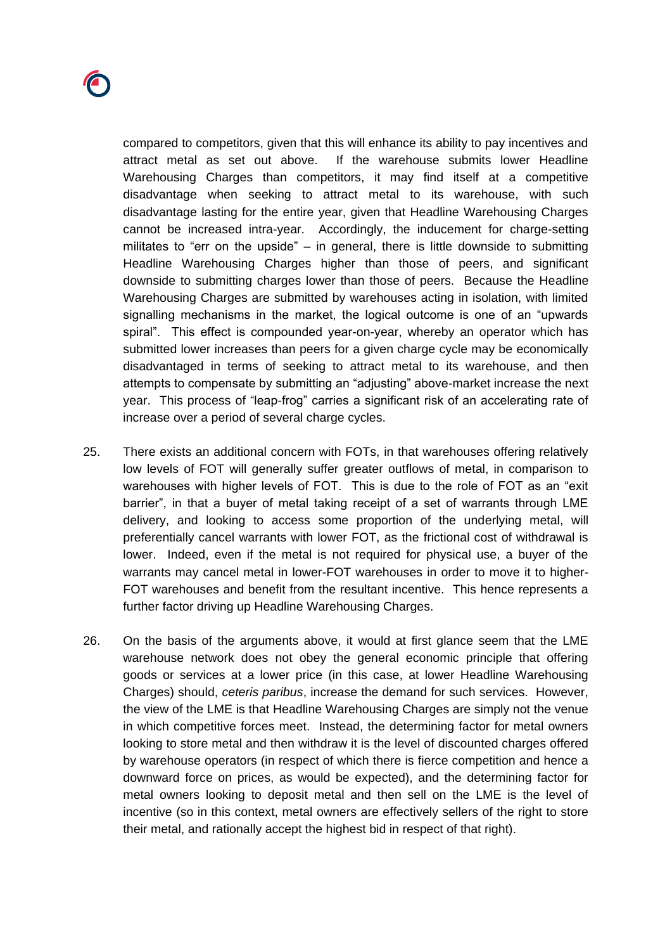

compared to competitors, given that this will enhance its ability to pay incentives and attract metal as set out above. If the warehouse submits lower Headline Warehousing Charges than competitors, it may find itself at a competitive disadvantage when seeking to attract metal to its warehouse, with such disadvantage lasting for the entire year, given that Headline Warehousing Charges cannot be increased intra-year. Accordingly, the inducement for charge-setting militates to "err on the upside" – in general, there is little downside to submitting Headline Warehousing Charges higher than those of peers, and significant downside to submitting charges lower than those of peers. Because the Headline Warehousing Charges are submitted by warehouses acting in isolation, with limited signalling mechanisms in the market, the logical outcome is one of an "upwards spiral". This effect is compounded year-on-year, whereby an operator which has submitted lower increases than peers for a given charge cycle may be economically disadvantaged in terms of seeking to attract metal to its warehouse, and then attempts to compensate by submitting an "adjusting" above-market increase the next year. This process of "leap-frog" carries a significant risk of an accelerating rate of increase over a period of several charge cycles.

- 25. There exists an additional concern with FOTs, in that warehouses offering relatively low levels of FOT will generally suffer greater outflows of metal, in comparison to warehouses with higher levels of FOT. This is due to the role of FOT as an "exit barrier", in that a buyer of metal taking receipt of a set of warrants through LME delivery, and looking to access some proportion of the underlying metal, will preferentially cancel warrants with lower FOT, as the frictional cost of withdrawal is lower. Indeed, even if the metal is not required for physical use, a buyer of the warrants may cancel metal in lower-FOT warehouses in order to move it to higher-FOT warehouses and benefit from the resultant incentive. This hence represents a further factor driving up Headline Warehousing Charges.
- 26. On the basis of the arguments above, it would at first glance seem that the LME warehouse network does not obey the general economic principle that offering goods or services at a lower price (in this case, at lower Headline Warehousing Charges) should, *ceteris paribus*, increase the demand for such services. However, the view of the LME is that Headline Warehousing Charges are simply not the venue in which competitive forces meet. Instead, the determining factor for metal owners looking to store metal and then withdraw it is the level of discounted charges offered by warehouse operators (in respect of which there is fierce competition and hence a downward force on prices, as would be expected), and the determining factor for metal owners looking to deposit metal and then sell on the LME is the level of incentive (so in this context, metal owners are effectively sellers of the right to store their metal, and rationally accept the highest bid in respect of that right).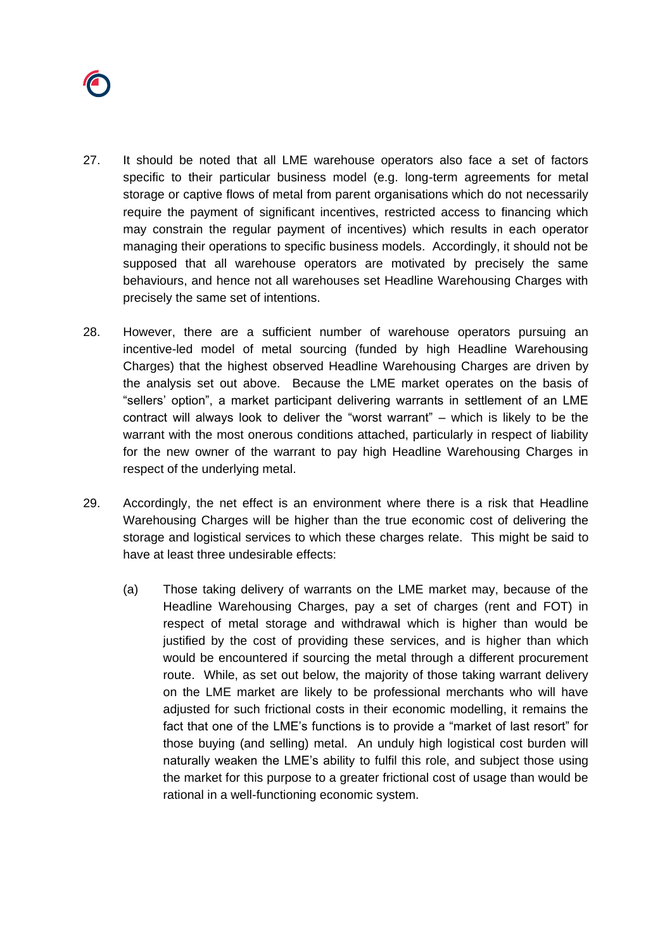

- 27. It should be noted that all LME warehouse operators also face a set of factors specific to their particular business model (e.g. long-term agreements for metal storage or captive flows of metal from parent organisations which do not necessarily require the payment of significant incentives, restricted access to financing which may constrain the regular payment of incentives) which results in each operator managing their operations to specific business models. Accordingly, it should not be supposed that all warehouse operators are motivated by precisely the same behaviours, and hence not all warehouses set Headline Warehousing Charges with precisely the same set of intentions.
- <span id="page-11-0"></span>28. However, there are a sufficient number of warehouse operators pursuing an incentive-led model of metal sourcing (funded by high Headline Warehousing Charges) that the highest observed Headline Warehousing Charges are driven by the analysis set out above. Because the LME market operates on the basis of "sellers' option", a market participant delivering warrants in settlement of an LME contract will always look to deliver the "worst warrant" – which is likely to be the warrant with the most onerous conditions attached, particularly in respect of liability for the new owner of the warrant to pay high Headline Warehousing Charges in respect of the underlying metal.
- 29. Accordingly, the net effect is an environment where there is a risk that Headline Warehousing Charges will be higher than the true economic cost of delivering the storage and logistical services to which these charges relate. This might be said to have at least three undesirable effects:
	- (a) Those taking delivery of warrants on the LME market may, because of the Headline Warehousing Charges, pay a set of charges (rent and FOT) in respect of metal storage and withdrawal which is higher than would be justified by the cost of providing these services, and is higher than which would be encountered if sourcing the metal through a different procurement route. While, as set out below, the majority of those taking warrant delivery on the LME market are likely to be professional merchants who will have adjusted for such frictional costs in their economic modelling, it remains the fact that one of the LME's functions is to provide a "market of last resort" for those buying (and selling) metal. An unduly high logistical cost burden will naturally weaken the LME's ability to fulfil this role, and subject those using the market for this purpose to a greater frictional cost of usage than would be rational in a well-functioning economic system.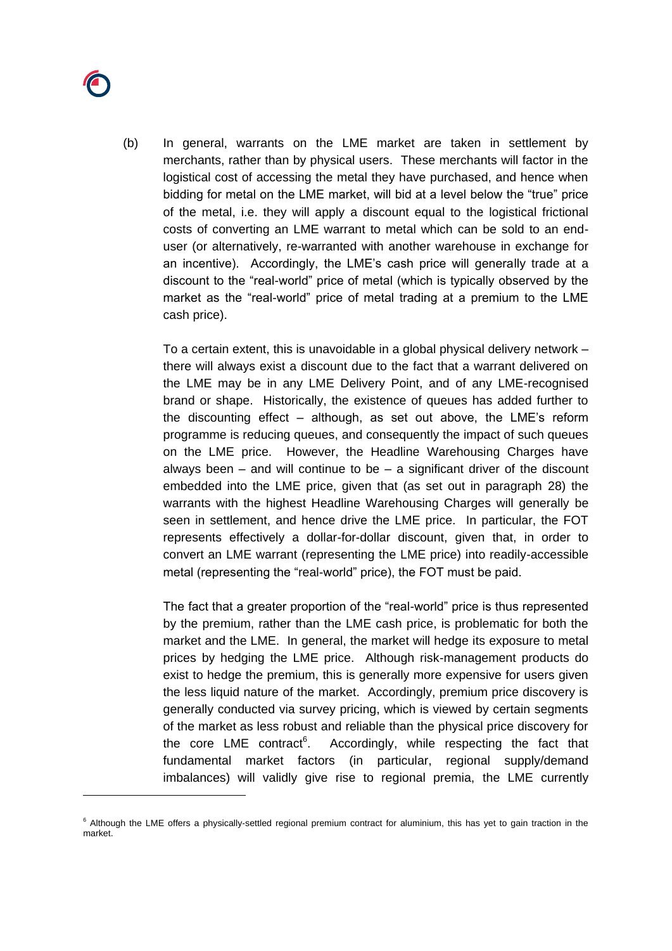

(b) In general, warrants on the LME market are taken in settlement by merchants, rather than by physical users. These merchants will factor in the logistical cost of accessing the metal they have purchased, and hence when bidding for metal on the LME market, will bid at a level below the "true" price of the metal, i.e. they will apply a discount equal to the logistical frictional costs of converting an LME warrant to metal which can be sold to an enduser (or alternatively, re-warranted with another warehouse in exchange for an incentive). Accordingly, the LME's cash price will generally trade at a discount to the "real-world" price of metal (which is typically observed by the market as the "real-world" price of metal trading at a premium to the LME cash price).

To a certain extent, this is unavoidable in a global physical delivery network – there will always exist a discount due to the fact that a warrant delivered on the LME may be in any LME Delivery Point, and of any LME-recognised brand or shape. Historically, the existence of queues has added further to the discounting effect – although, as set out above, the LME's reform programme is reducing queues, and consequently the impact of such queues on the LME price. However, the Headline Warehousing Charges have always been  $-$  and will continue to be  $-$  a significant driver of the discount embedded into the LME price, given that (as set out in paragraph [28\)](#page-11-0) the warrants with the highest Headline Warehousing Charges will generally be seen in settlement, and hence drive the LME price. In particular, the FOT represents effectively a dollar-for-dollar discount, given that, in order to convert an LME warrant (representing the LME price) into readily-accessible metal (representing the "real-world" price), the FOT must be paid.

The fact that a greater proportion of the "real-world" price is thus represented by the premium, rather than the LME cash price, is problematic for both the market and the LME. In general, the market will hedge its exposure to metal prices by hedging the LME price. Although risk-management products do exist to hedge the premium, this is generally more expensive for users given the less liquid nature of the market. Accordingly, premium price discovery is generally conducted via survey pricing, which is viewed by certain segments of the market as less robust and reliable than the physical price discovery for the core  $LME$  contract<sup>6</sup>. . Accordingly, while respecting the fact that fundamental market factors (in particular, regional supply/demand imbalances) will validly give rise to regional premia, the LME currently

<sup>&</sup>lt;sup>6</sup> Although the LME offers a physically-settled regional premium contract for aluminium, this has yet to gain traction in the market.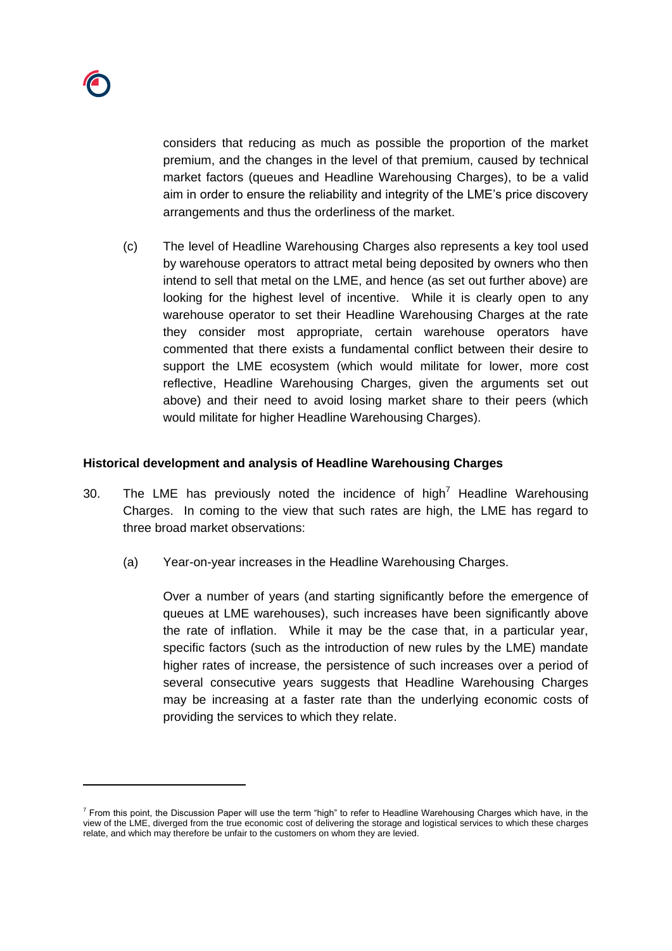

considers that reducing as much as possible the proportion of the market premium, and the changes in the level of that premium, caused by technical market factors (queues and Headline Warehousing Charges), to be a valid aim in order to ensure the reliability and integrity of the LME's price discovery arrangements and thus the orderliness of the market.

(c) The level of Headline Warehousing Charges also represents a key tool used by warehouse operators to attract metal being deposited by owners who then intend to sell that metal on the LME, and hence (as set out further above) are looking for the highest level of incentive. While it is clearly open to any warehouse operator to set their Headline Warehousing Charges at the rate they consider most appropriate, certain warehouse operators have commented that there exists a fundamental conflict between their desire to support the LME ecosystem (which would militate for lower, more cost reflective, Headline Warehousing Charges, given the arguments set out above) and their need to avoid losing market share to their peers (which would militate for higher Headline Warehousing Charges).

### **Historical development and analysis of Headline Warehousing Charges**

- <span id="page-13-0"></span>30. The LME has previously noted the incidence of high<sup>7</sup> Headline Warehousing Charges. In coming to the view that such rates are high, the LME has regard to three broad market observations:
	- (a) Year-on-year increases in the Headline Warehousing Charges.

Over a number of years (and starting significantly before the emergence of queues at LME warehouses), such increases have been significantly above the rate of inflation. While it may be the case that, in a particular year, specific factors (such as the introduction of new rules by the LME) mandate higher rates of increase, the persistence of such increases over a period of several consecutive years suggests that Headline Warehousing Charges may be increasing at a faster rate than the underlying economic costs of providing the services to which they relate.

 $^7$  From this point, the Discussion Paper will use the term "high" to refer to Headline Warehousing Charges which have, in the view of the LME, diverged from the true economic cost of delivering the storage and logistical services to which these charges relate, and which may therefore be unfair to the customers on whom they are levied.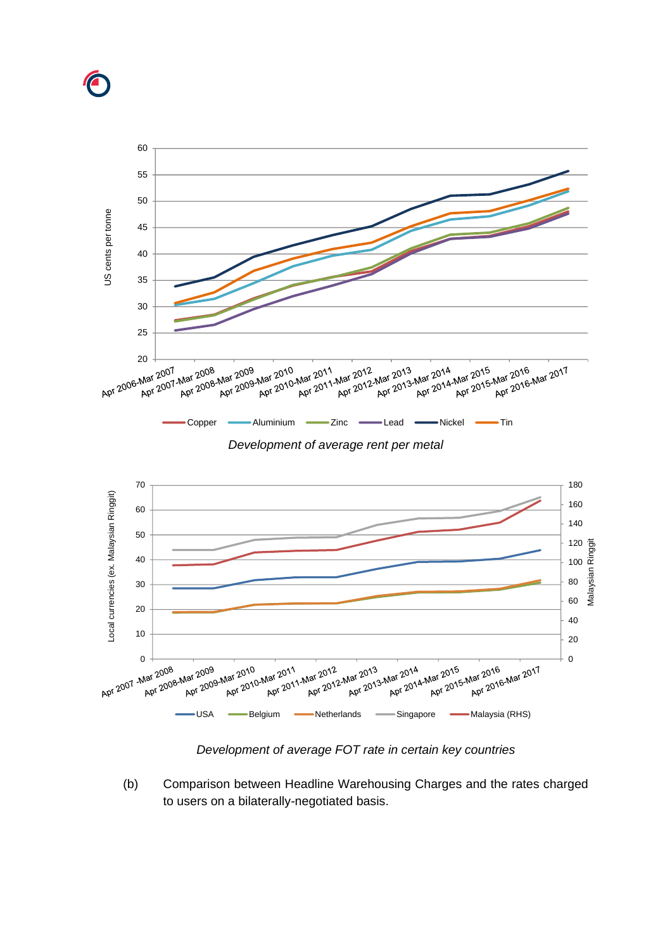



*Development of average FOT rate in certain key countries*

(b) Comparison between Headline Warehousing Charges and the rates charged to users on a bilaterally-negotiated basis.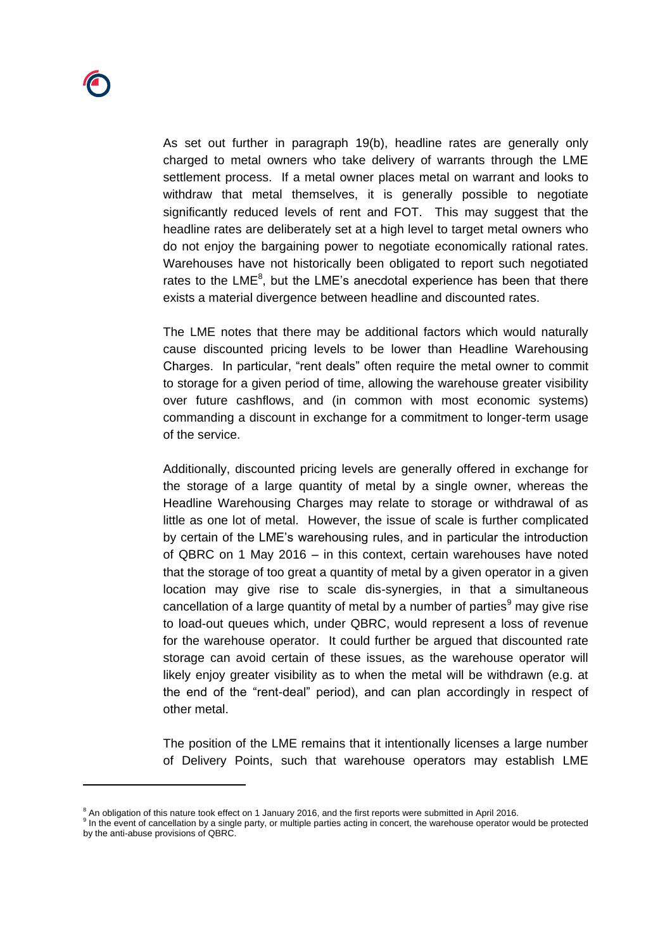As set out further in paragraph [19\(b\),](#page-7-0) headline rates are generally only charged to metal owners who take delivery of warrants through the LME settlement process. If a metal owner places metal on warrant and looks to withdraw that metal themselves, it is generally possible to negotiate significantly reduced levels of rent and FOT. This may suggest that the headline rates are deliberately set at a high level to target metal owners who do not enjoy the bargaining power to negotiate economically rational rates. Warehouses have not historically been obligated to report such negotiated rates to the LME $<sup>8</sup>$ , but the LME's anecdotal experience has been that there</sup> exists a material divergence between headline and discounted rates.

The LME notes that there may be additional factors which would naturally cause discounted pricing levels to be lower than Headline Warehousing Charges. In particular, "rent deals" often require the metal owner to commit to storage for a given period of time, allowing the warehouse greater visibility over future cashflows, and (in common with most economic systems) commanding a discount in exchange for a commitment to longer-term usage of the service.

Additionally, discounted pricing levels are generally offered in exchange for the storage of a large quantity of metal by a single owner, whereas the Headline Warehousing Charges may relate to storage or withdrawal of as little as one lot of metal. However, the issue of scale is further complicated by certain of the LME's warehousing rules, and in particular the introduction of QBRC on 1 May 2016 – in this context, certain warehouses have noted that the storage of too great a quantity of metal by a given operator in a given location may give rise to scale dis-synergies, in that a simultaneous cancellation of a large quantity of metal by a number of parties $9$  may give rise to load-out queues which, under QBRC, would represent a loss of revenue for the warehouse operator. It could further be argued that discounted rate storage can avoid certain of these issues, as the warehouse operator will likely enjoy greater visibility as to when the metal will be withdrawn (e.g. at the end of the "rent-deal" period), and can plan accordingly in respect of other metal.

The position of the LME remains that it intentionally licenses a large number of Delivery Points, such that warehouse operators may establish LME

<sup>&</sup>lt;sup>8</sup> An obligation of this nature took effect on 1 January 2016, and the first reports were submitted in April 2016.

<sup>&</sup>lt;sup>9</sup> In the event of cancellation by a single party, or multiple parties acting in concert, the warehouse operator would be protected by the anti-abuse provisions of QBRC.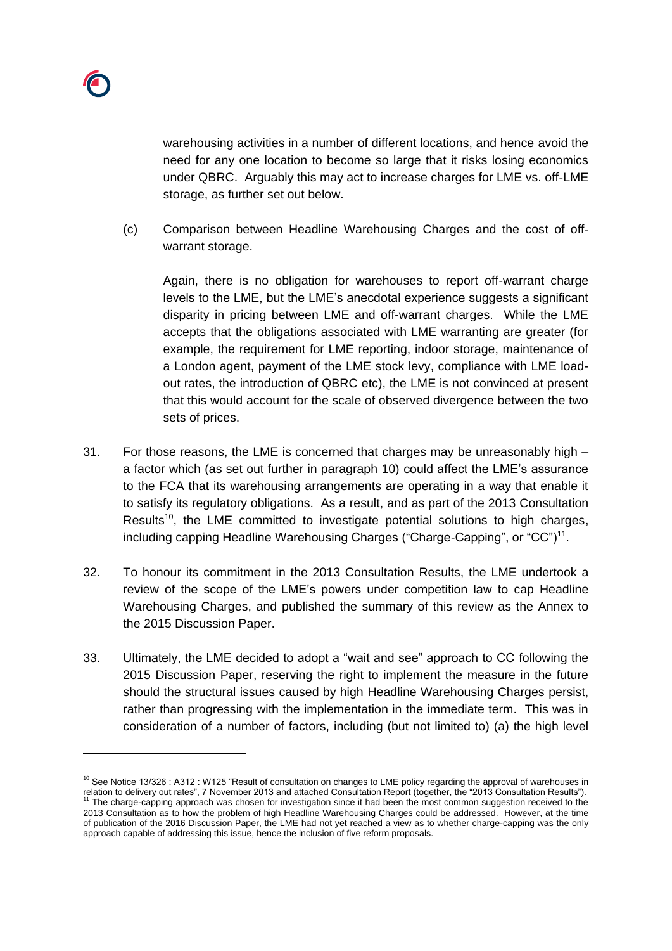warehousing activities in a number of different locations, and hence avoid the need for any one location to become so large that it risks losing economics under QBRC. Arguably this may act to increase charges for LME vs. off-LME storage, as further set out below.

(c) Comparison between Headline Warehousing Charges and the cost of offwarrant storage.

Again, there is no obligation for warehouses to report off-warrant charge levels to the LME, but the LME's anecdotal experience suggests a significant disparity in pricing between LME and off-warrant charges. While the LME accepts that the obligations associated with LME warranting are greater (for example, the requirement for LME reporting, indoor storage, maintenance of a London agent, payment of the LME stock levy, compliance with LME loadout rates, the introduction of QBRC etc), the LME is not convinced at present that this would account for the scale of observed divergence between the two sets of prices.

- 31. For those reasons, the LME is concerned that charges may be unreasonably high a factor which (as set out further in paragraph 10) could affect the LME's assurance to the FCA that its warehousing arrangements are operating in a way that enable it to satisfy its regulatory obligations. As a result, and as part of the 2013 Consultation Results<sup>10</sup>, the LME committed to investigate potential solutions to high charges, including capping Headline Warehousing Charges ("Charge-Capping", or "CC") $11$ .
- 32. To honour its commitment in the 2013 Consultation Results, the LME undertook a review of the scope of the LME's powers under competition law to cap Headline Warehousing Charges, and published the summary of this review as the Annex to the 2015 Discussion Paper.
- 33. Ultimately, the LME decided to adopt a "wait and see" approach to CC following the 2015 Discussion Paper, reserving the right to implement the measure in the future should the structural issues caused by high Headline Warehousing Charges persist, rather than progressing with the implementation in the immediate term. This was in consideration of a number of factors, including (but not limited to) (a) the high level

<sup>&</sup>lt;sup>10</sup> See Notice 13/326 : A312 : W125 "Result of consultation on changes to LME policy regarding the approval of warehouses in relation to delivery out rates", 7 November 2013 and attached Consultation Report (together, the "2013 Consultation Results").<br><sup>11</sup> The charge-capping approach was chosen for investigation since it had been the most common 2013 Consultation as to how the problem of high Headline Warehousing Charges could be addressed. However, at the time of publication of the 2016 Discussion Paper, the LME had not yet reached a view as to whether charge-capping was the only approach capable of addressing this issue, hence the inclusion of five reform proposals.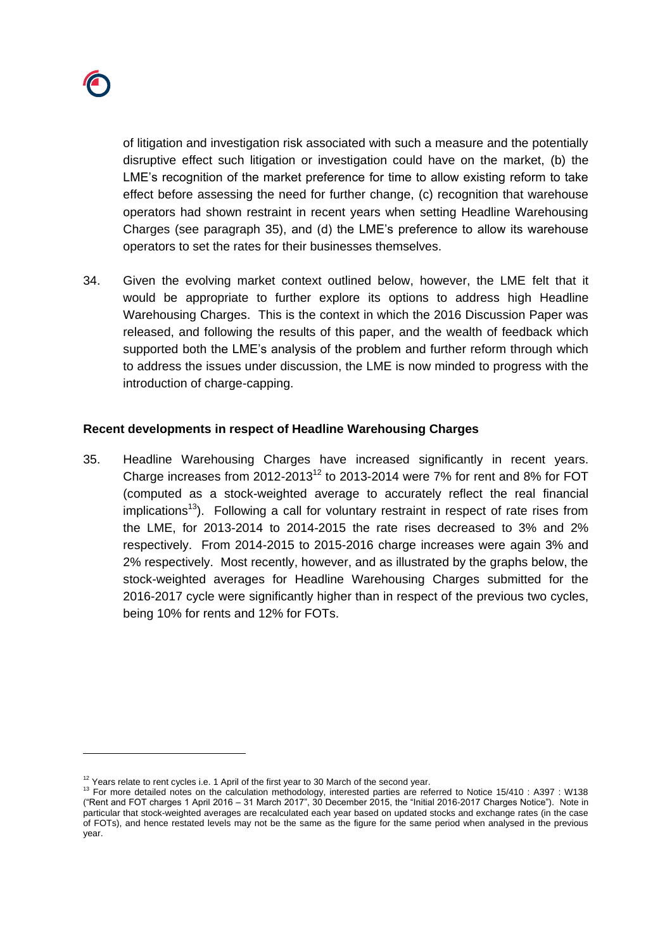

of litigation and investigation risk associated with such a measure and the potentially disruptive effect such litigation or investigation could have on the market, (b) the LME's recognition of the market preference for time to allow existing reform to take effect before assessing the need for further change, (c) recognition that warehouse operators had shown restraint in recent years when setting Headline Warehousing Charges (see paragraph [35\)](#page-17-0), and (d) the LME's preference to allow its warehouse operators to set the rates for their businesses themselves.

34. Given the evolving market context outlined below, however, the LME felt that it would be appropriate to further explore its options to address high Headline Warehousing Charges. This is the context in which the 2016 Discussion Paper was released, and following the results of this paper, and the wealth of feedback which supported both the LME's analysis of the problem and further reform through which to address the issues under discussion, the LME is now minded to progress with the introduction of charge-capping.

### **Recent developments in respect of Headline Warehousing Charges**

<span id="page-17-1"></span><span id="page-17-0"></span>35. Headline Warehousing Charges have increased significantly in recent years. Charge increases from 2012-2013<sup>12</sup> to 2013-2014 were 7% for rent and 8% for FOT (computed as a stock-weighted average to accurately reflect the real financial implications<sup>13</sup>). Following a call for voluntary restraint in respect of rate rises from the LME, for 2013-2014 to 2014-2015 the rate rises decreased to 3% and 2% respectively. From 2014-2015 to 2015-2016 charge increases were again 3% and 2% respectively. Most recently, however, and as illustrated by the graphs below, the stock-weighted averages for Headline Warehousing Charges submitted for the 2016-2017 cycle were significantly higher than in respect of the previous two cycles, being 10% for rents and 12% for FOTs.

 $12$  Years relate to rent cycles i.e. 1 April of the first year to 30 March of the second year.

<sup>&</sup>lt;sup>13</sup> For more detailed notes on the calculation methodology, interested parties are referred to Notice 15/410 : A397 : W138 ("Rent and FOT charges 1 April 2016 – 31 March 2017", 30 December 2015, the "Initial 2016-2017 Charges Notice"). Note in particular that stock-weighted averages are recalculated each year based on updated stocks and exchange rates (in the case of FOTs), and hence restated levels may not be the same as the figure for the same period when analysed in the previous year.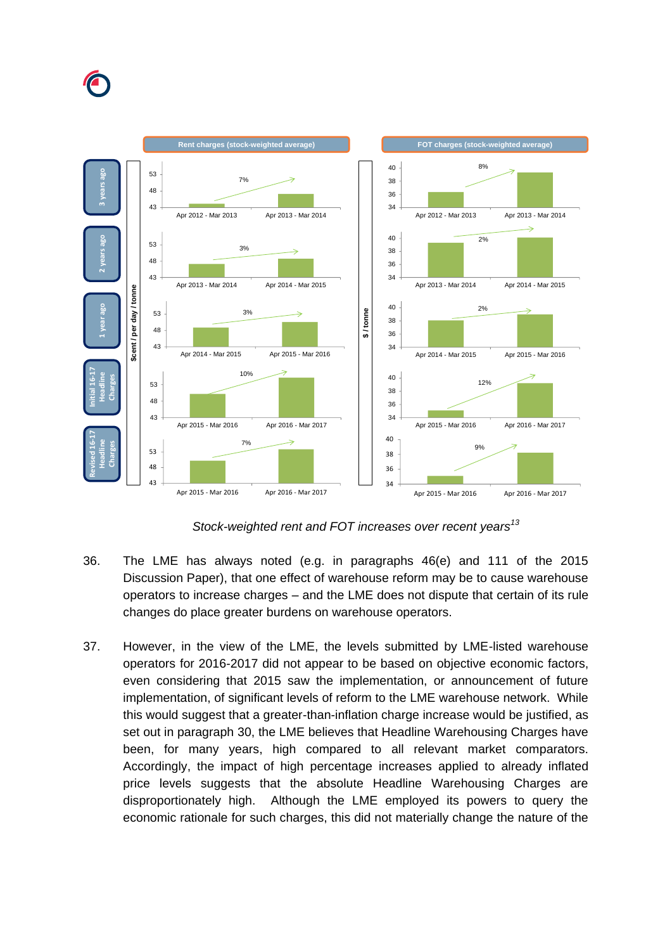



*Stock-weighted rent and FOT increases over recent years[13](#page-17-1)*

- 36. The LME has always noted (e.g. in paragraphs 46(e) and 111 of the 2015 Discussion Paper), that one effect of warehouse reform may be to cause warehouse operators to increase charges – and the LME does not dispute that certain of its rule changes do place greater burdens on warehouse operators.
- 37. However, in the view of the LME, the levels submitted by LME-listed warehouse operators for 2016-2017 did not appear to be based on objective economic factors, even considering that 2015 saw the implementation, or announcement of future implementation, of significant levels of reform to the LME warehouse network. While this would suggest that a greater-than-inflation charge increase would be justified, as set out in paragraph [30,](#page-13-0) the LME believes that Headline Warehousing Charges have been, for many years, high compared to all relevant market comparators. Accordingly, the impact of high percentage increases applied to already inflated price levels suggests that the absolute Headline Warehousing Charges are disproportionately high. Although the LME employed its powers to query the economic rationale for such charges, this did not materially change the nature of the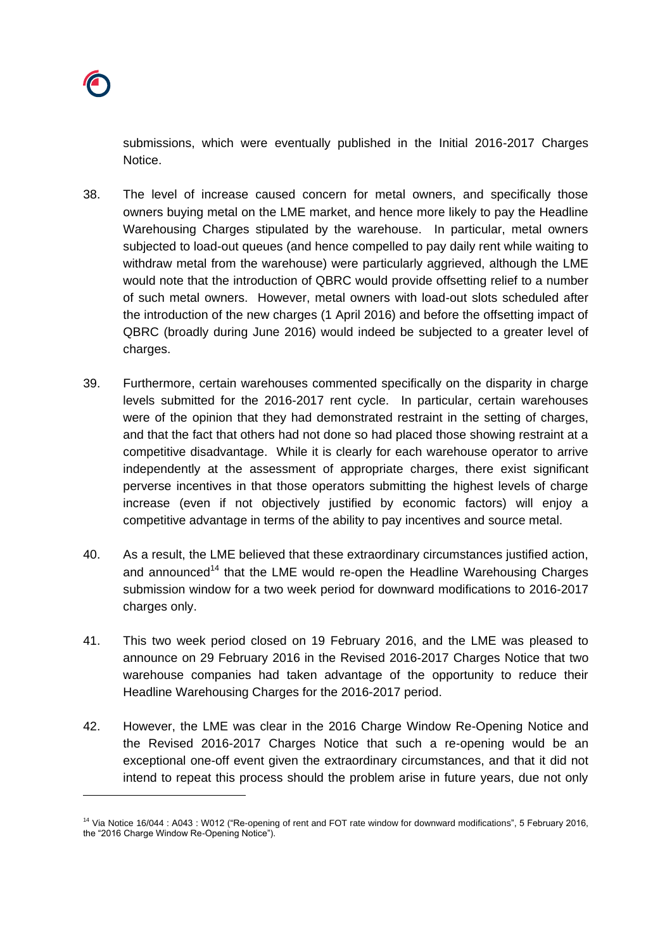submissions, which were eventually published in the Initial 2016-2017 Charges Notice.

- 38. The level of increase caused concern for metal owners, and specifically those owners buying metal on the LME market, and hence more likely to pay the Headline Warehousing Charges stipulated by the warehouse. In particular, metal owners subjected to load-out queues (and hence compelled to pay daily rent while waiting to withdraw metal from the warehouse) were particularly aggrieved, although the LME would note that the introduction of QBRC would provide offsetting relief to a number of such metal owners. However, metal owners with load-out slots scheduled after the introduction of the new charges (1 April 2016) and before the offsetting impact of QBRC (broadly during June 2016) would indeed be subjected to a greater level of charges.
- <span id="page-19-0"></span>39. Furthermore, certain warehouses commented specifically on the disparity in charge levels submitted for the 2016-2017 rent cycle. In particular, certain warehouses were of the opinion that they had demonstrated restraint in the setting of charges, and that the fact that others had not done so had placed those showing restraint at a competitive disadvantage. While it is clearly for each warehouse operator to arrive independently at the assessment of appropriate charges, there exist significant perverse incentives in that those operators submitting the highest levels of charge increase (even if not objectively justified by economic factors) will enjoy a competitive advantage in terms of the ability to pay incentives and source metal.
- 40. As a result, the LME believed that these extraordinary circumstances justified action, and announced<sup>14</sup> that the LME would re-open the Headline Warehousing Charges submission window for a two week period for downward modifications to 2016-2017 charges only.
- 41. This two week period closed on 19 February 2016, and the LME was pleased to announce on 29 February 2016 in the Revised 2016-2017 Charges Notice that two warehouse companies had taken advantage of the opportunity to reduce their Headline Warehousing Charges for the 2016-2017 period.
- 42. However, the LME was clear in the 2016 Charge Window Re-Opening Notice and the Revised 2016-2017 Charges Notice that such a re-opening would be an exceptional one-off event given the extraordinary circumstances, and that it did not intend to repeat this process should the problem arise in future years, due not only

<sup>&</sup>lt;sup>14</sup> Via Notice 16/044 : A043 : W012 ("Re-opening of rent and FOT rate window for downward modifications", 5 February 2016, the "2016 Charge Window Re-Opening Notice").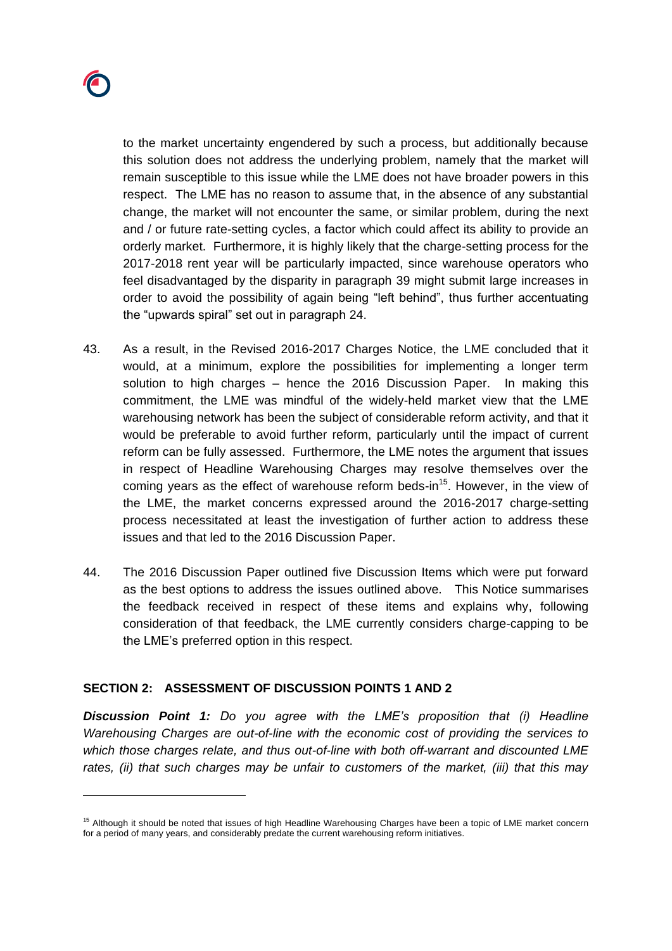

to the market uncertainty engendered by such a process, but additionally because this solution does not address the underlying problem, namely that the market will remain susceptible to this issue while the LME does not have broader powers in this respect. The LME has no reason to assume that, in the absence of any substantial change, the market will not encounter the same, or similar problem, during the next and / or future rate-setting cycles, a factor which could affect its ability to provide an orderly market. Furthermore, it is highly likely that the charge-setting process for the 2017-2018 rent year will be particularly impacted, since warehouse operators who feel disadvantaged by the disparity in paragraph [39](#page-19-0) might submit large increases in order to avoid the possibility of again being "left behind", thus further accentuating the "upwards spiral" set out in paragraph [24.](#page-9-0)

- 43. As a result, in the Revised 2016-2017 Charges Notice, the LME concluded that it would, at a minimum, explore the possibilities for implementing a longer term solution to high charges – hence the 2016 Discussion Paper. In making this commitment, the LME was mindful of the widely-held market view that the LME warehousing network has been the subject of considerable reform activity, and that it would be preferable to avoid further reform, particularly until the impact of current reform can be fully assessed. Furthermore, the LME notes the argument that issues in respect of Headline Warehousing Charges may resolve themselves over the coming years as the effect of warehouse reform beds-in<sup>15</sup>. However, in the view of the LME, the market concerns expressed around the 2016-2017 charge-setting process necessitated at least the investigation of further action to address these issues and that led to the 2016 Discussion Paper.
- 44. The 2016 Discussion Paper outlined five Discussion Items which were put forward as the best options to address the issues outlined above. This Notice summarises the feedback received in respect of these items and explains why, following consideration of that feedback, the LME currently considers charge-capping to be the LME's preferred option in this respect.

### **SECTION 2: ASSESSMENT OF DISCUSSION POINTS 1 AND 2**

*Discussion Point 1: Do you agree with the LME's proposition that (i) Headline Warehousing Charges are out-of-line with the economic cost of providing the services to which those charges relate, and thus out-of-line with both off-warrant and discounted LME rates, (ii) that such charges may be unfair to customers of the market, (iii) that this may* 

<sup>&</sup>lt;sup>15</sup> Although it should be noted that issues of high Headline Warehousing Charges have been a topic of LME market concern for a period of many years, and considerably predate the current warehousing reform initiatives.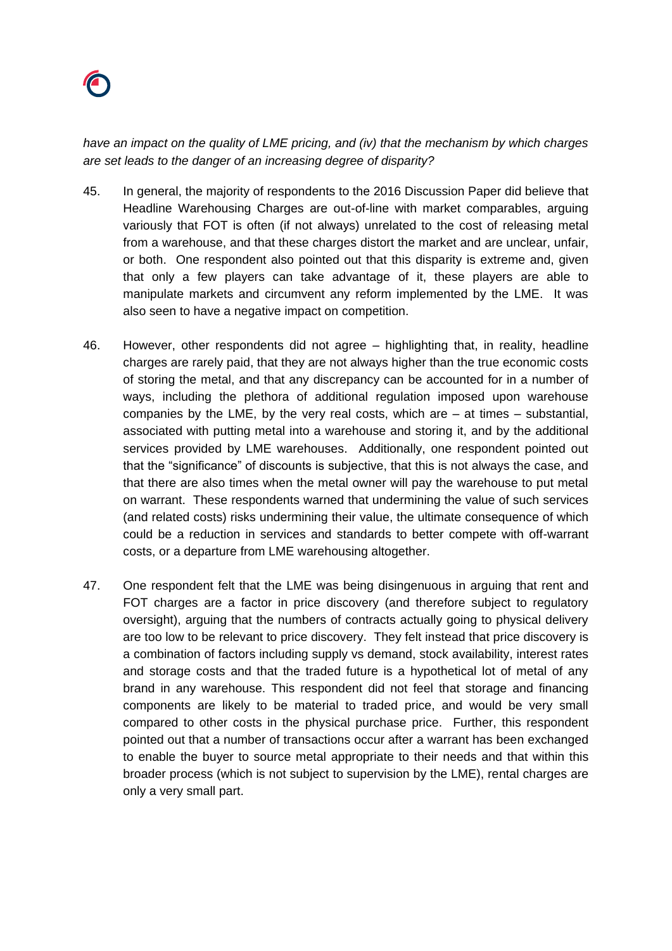

*have an impact on the quality of LME pricing, and (iv) that the mechanism by which charges are set leads to the danger of an increasing degree of disparity?*

- 45. In general, the majority of respondents to the 2016 Discussion Paper did believe that Headline Warehousing Charges are out-of-line with market comparables, arguing variously that FOT is often (if not always) unrelated to the cost of releasing metal from a warehouse, and that these charges distort the market and are unclear, unfair, or both. One respondent also pointed out that this disparity is extreme and, given that only a few players can take advantage of it, these players are able to manipulate markets and circumvent any reform implemented by the LME. It was also seen to have a negative impact on competition.
- 46. However, other respondents did not agree highlighting that, in reality, headline charges are rarely paid, that they are not always higher than the true economic costs of storing the metal, and that any discrepancy can be accounted for in a number of ways, including the plethora of additional regulation imposed upon warehouse companies by the LME, by the very real costs, which are  $-$  at times  $-$  substantial, associated with putting metal into a warehouse and storing it, and by the additional services provided by LME warehouses. Additionally, one respondent pointed out that the "significance" of discounts is subjective, that this is not always the case, and that there are also times when the metal owner will pay the warehouse to put metal on warrant. These respondents warned that undermining the value of such services (and related costs) risks undermining their value, the ultimate consequence of which could be a reduction in services and standards to better compete with off-warrant costs, or a departure from LME warehousing altogether.
- 47. One respondent felt that the LME was being disingenuous in arguing that rent and FOT charges are a factor in price discovery (and therefore subject to regulatory oversight), arguing that the numbers of contracts actually going to physical delivery are too low to be relevant to price discovery. They felt instead that price discovery is a combination of factors including supply vs demand, stock availability, interest rates and storage costs and that the traded future is a hypothetical lot of metal of any brand in any warehouse. This respondent did not feel that storage and financing components are likely to be material to traded price, and would be very small compared to other costs in the physical purchase price. Further, this respondent pointed out that a number of transactions occur after a warrant has been exchanged to enable the buyer to source metal appropriate to their needs and that within this broader process (which is not subject to supervision by the LME), rental charges are only a very small part.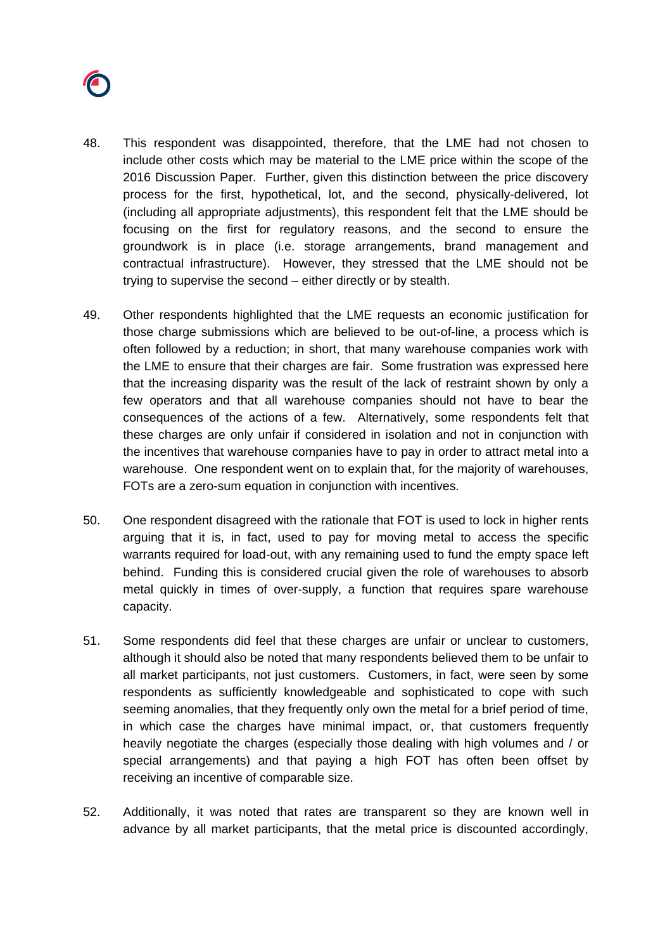

- 48. This respondent was disappointed, therefore, that the LME had not chosen to include other costs which may be material to the LME price within the scope of the 2016 Discussion Paper. Further, given this distinction between the price discovery process for the first, hypothetical, lot, and the second, physically-delivered, lot (including all appropriate adjustments), this respondent felt that the LME should be focusing on the first for regulatory reasons, and the second to ensure the groundwork is in place (i.e. storage arrangements, brand management and contractual infrastructure). However, they stressed that the LME should not be trying to supervise the second – either directly or by stealth.
- 49. Other respondents highlighted that the LME requests an economic justification for those charge submissions which are believed to be out-of-line, a process which is often followed by a reduction; in short, that many warehouse companies work with the LME to ensure that their charges are fair. Some frustration was expressed here that the increasing disparity was the result of the lack of restraint shown by only a few operators and that all warehouse companies should not have to bear the consequences of the actions of a few. Alternatively, some respondents felt that these charges are only unfair if considered in isolation and not in conjunction with the incentives that warehouse companies have to pay in order to attract metal into a warehouse. One respondent went on to explain that, for the majority of warehouses, FOTs are a zero-sum equation in conjunction with incentives.
- 50. One respondent disagreed with the rationale that FOT is used to lock in higher rents arguing that it is, in fact, used to pay for moving metal to access the specific warrants required for load-out, with any remaining used to fund the empty space left behind. Funding this is considered crucial given the role of warehouses to absorb metal quickly in times of over-supply, a function that requires spare warehouse capacity.
- 51. Some respondents did feel that these charges are unfair or unclear to customers, although it should also be noted that many respondents believed them to be unfair to all market participants, not just customers. Customers, in fact, were seen by some respondents as sufficiently knowledgeable and sophisticated to cope with such seeming anomalies, that they frequently only own the metal for a brief period of time, in which case the charges have minimal impact, or, that customers frequently heavily negotiate the charges (especially those dealing with high volumes and / or special arrangements) and that paying a high FOT has often been offset by receiving an incentive of comparable size.
- 52. Additionally, it was noted that rates are transparent so they are known well in advance by all market participants, that the metal price is discounted accordingly,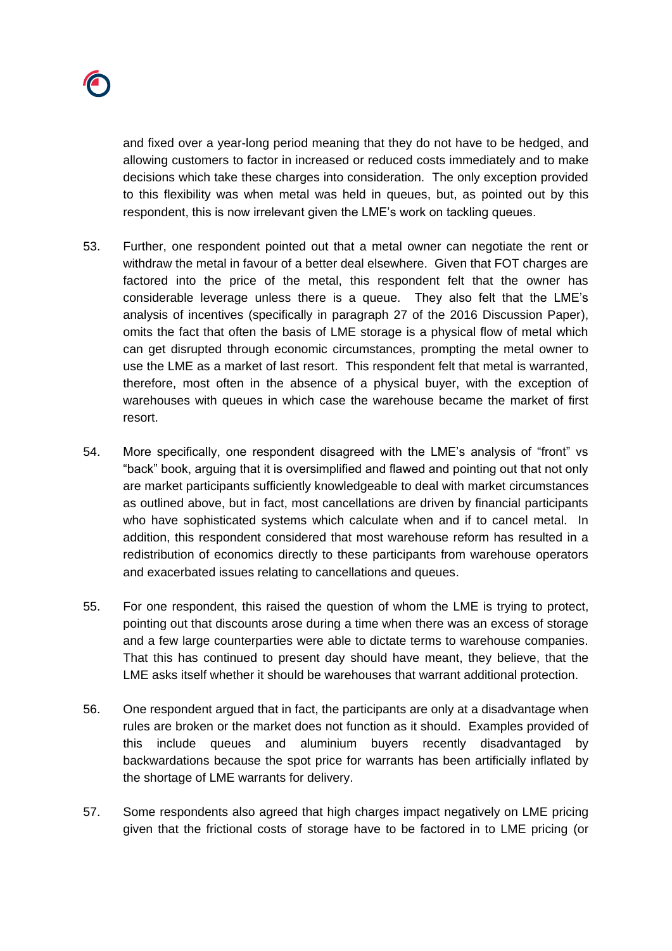

and fixed over a year-long period meaning that they do not have to be hedged, and allowing customers to factor in increased or reduced costs immediately and to make decisions which take these charges into consideration. The only exception provided to this flexibility was when metal was held in queues, but, as pointed out by this respondent, this is now irrelevant given the LME's work on tackling queues.

- 53. Further, one respondent pointed out that a metal owner can negotiate the rent or withdraw the metal in favour of a better deal elsewhere. Given that FOT charges are factored into the price of the metal, this respondent felt that the owner has considerable leverage unless there is a queue. They also felt that the LME's analysis of incentives (specifically in paragraph 27 of the 2016 Discussion Paper), omits the fact that often the basis of LME storage is a physical flow of metal which can get disrupted through economic circumstances, prompting the metal owner to use the LME as a market of last resort. This respondent felt that metal is warranted, therefore, most often in the absence of a physical buyer, with the exception of warehouses with queues in which case the warehouse became the market of first resort.
- 54. More specifically, one respondent disagreed with the LME's analysis of "front" vs "back" book, arguing that it is oversimplified and flawed and pointing out that not only are market participants sufficiently knowledgeable to deal with market circumstances as outlined above, but in fact, most cancellations are driven by financial participants who have sophisticated systems which calculate when and if to cancel metal. In addition, this respondent considered that most warehouse reform has resulted in a redistribution of economics directly to these participants from warehouse operators and exacerbated issues relating to cancellations and queues.
- 55. For one respondent, this raised the question of whom the LME is trying to protect, pointing out that discounts arose during a time when there was an excess of storage and a few large counterparties were able to dictate terms to warehouse companies. That this has continued to present day should have meant, they believe, that the LME asks itself whether it should be warehouses that warrant additional protection.
- 56. One respondent argued that in fact, the participants are only at a disadvantage when rules are broken or the market does not function as it should. Examples provided of this include queues and aluminium buyers recently disadvantaged by backwardations because the spot price for warrants has been artificially inflated by the shortage of LME warrants for delivery.
- 57. Some respondents also agreed that high charges impact negatively on LME pricing given that the frictional costs of storage have to be factored in to LME pricing (or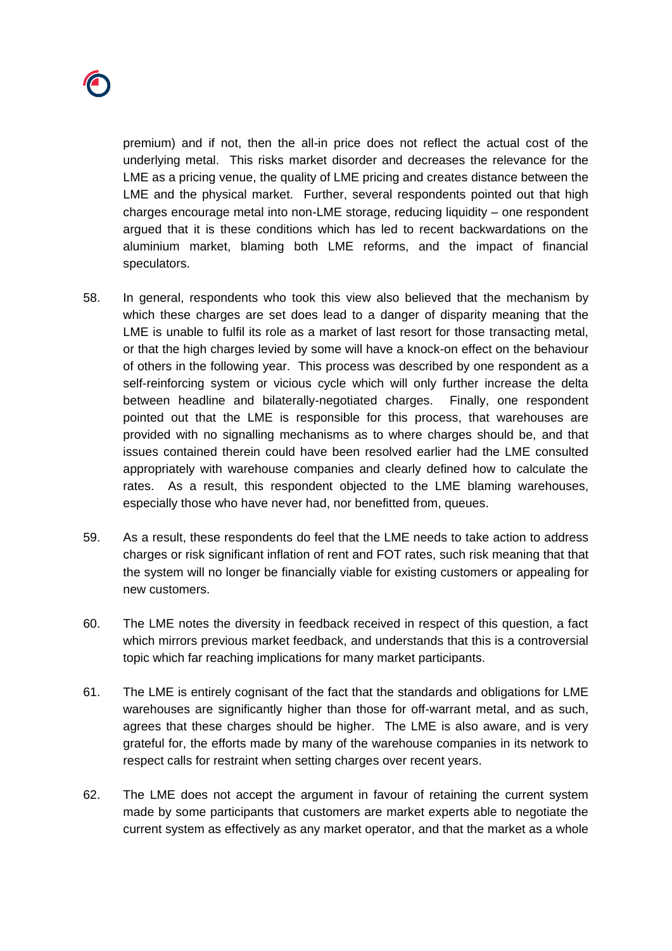

premium) and if not, then the all-in price does not reflect the actual cost of the underlying metal. This risks market disorder and decreases the relevance for the LME as a pricing venue, the quality of LME pricing and creates distance between the LME and the physical market. Further, several respondents pointed out that high charges encourage metal into non-LME storage, reducing liquidity – one respondent argued that it is these conditions which has led to recent backwardations on the aluminium market, blaming both LME reforms, and the impact of financial speculators.

- 58. In general, respondents who took this view also believed that the mechanism by which these charges are set does lead to a danger of disparity meaning that the LME is unable to fulfil its role as a market of last resort for those transacting metal, or that the high charges levied by some will have a knock-on effect on the behaviour of others in the following year. This process was described by one respondent as a self-reinforcing system or vicious cycle which will only further increase the delta between headline and bilaterally-negotiated charges. Finally, one respondent pointed out that the LME is responsible for this process, that warehouses are provided with no signalling mechanisms as to where charges should be, and that issues contained therein could have been resolved earlier had the LME consulted appropriately with warehouse companies and clearly defined how to calculate the rates. As a result, this respondent objected to the LME blaming warehouses, especially those who have never had, nor benefitted from, queues.
- 59. As a result, these respondents do feel that the LME needs to take action to address charges or risk significant inflation of rent and FOT rates, such risk meaning that that the system will no longer be financially viable for existing customers or appealing for new customers.
- 60. The LME notes the diversity in feedback received in respect of this question, a fact which mirrors previous market feedback, and understands that this is a controversial topic which far reaching implications for many market participants.
- 61. The LME is entirely cognisant of the fact that the standards and obligations for LME warehouses are significantly higher than those for off-warrant metal, and as such, agrees that these charges should be higher. The LME is also aware, and is very grateful for, the efforts made by many of the warehouse companies in its network to respect calls for restraint when setting charges over recent years.
- 62. The LME does not accept the argument in favour of retaining the current system made by some participants that customers are market experts able to negotiate the current system as effectively as any market operator, and that the market as a whole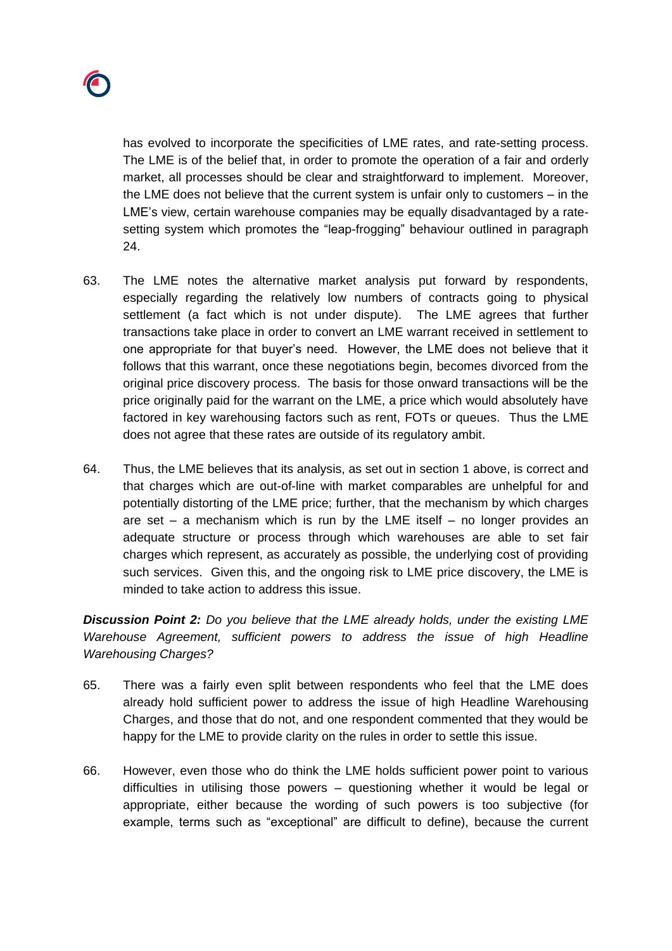

has evolved to incorporate the specificities of LME rates, and rate-setting process. The LME is of the belief that, in order to promote the operation of a fair and orderly market, all processes should be clear and straightforward to implement. Moreover, the LME does not believe that the current system is unfair only to customers – in the LME's view, certain warehouse companies may be equally disadvantaged by a ratesetting system which promotes the "leap-frogging" behaviour outlined in paragraph [24.](#page-9-0)

- 63. The LME notes the alternative market analysis put forward by respondents, especially regarding the relatively low numbers of contracts going to physical settlement (a fact which is not under dispute). The LME agrees that further transactions take place in order to convert an LME warrant received in settlement to one appropriate for that buyer's need. However, the LME does not believe that it follows that this warrant, once these negotiations begin, becomes divorced from the original price discovery process. The basis for those onward transactions will be the price originally paid for the warrant on the LME, a price which would absolutely have factored in key warehousing factors such as rent, FOTs or queues. Thus the LME does not agree that these rates are outside of its regulatory ambit.
- 64. Thus, the LME believes that its analysis, as set out in section 1 above, is correct and that charges which are out-of-line with market comparables are unhelpful for and potentially distorting of the LME price; further, that the mechanism by which charges are set – a mechanism which is run by the LME itself – no longer provides an adequate structure or process through which warehouses are able to set fair charges which represent, as accurately as possible, the underlying cost of providing such services. Given this, and the ongoing risk to LME price discovery, the LME is minded to take action to address this issue.

*Discussion Point 2: Do you believe that the LME already holds, under the existing LME Warehouse Agreement, sufficient powers to address the issue of high Headline Warehousing Charges?* 

- 65. There was a fairly even split between respondents who feel that the LME does already hold sufficient power to address the issue of high Headline Warehousing Charges, and those that do not, and one respondent commented that they would be happy for the LME to provide clarity on the rules in order to settle this issue.
- 66. However, even those who do think the LME holds sufficient power point to various difficulties in utilising those powers – questioning whether it would be legal or appropriate, either because the wording of such powers is too subjective (for example, terms such as "exceptional" are difficult to define), because the current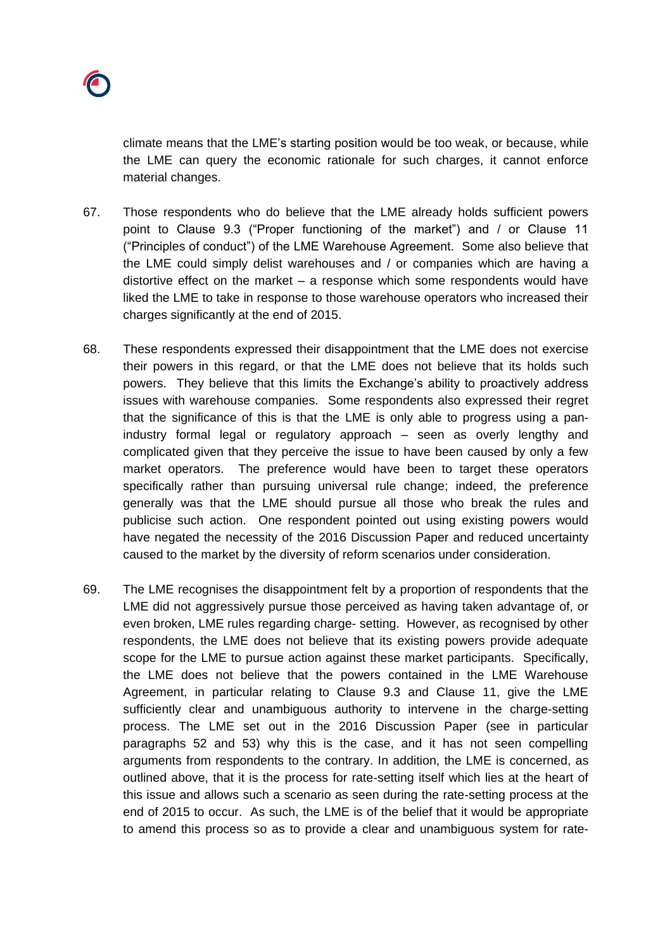climate means that the LME's starting position would be too weak, or because, while the LME can query the economic rationale for such charges, it cannot enforce material changes.

- 67. Those respondents who do believe that the LME already holds sufficient powers point to Clause 9.3 ("Proper functioning of the market") and / or Clause 11 ("Principles of conduct") of the LME Warehouse Agreement. Some also believe that the LME could simply delist warehouses and / or companies which are having a distortive effect on the market – a response which some respondents would have liked the LME to take in response to those warehouse operators who increased their charges significantly at the end of 2015.
- 68. These respondents expressed their disappointment that the LME does not exercise their powers in this regard, or that the LME does not believe that its holds such powers. They believe that this limits the Exchange's ability to proactively address issues with warehouse companies. Some respondents also expressed their regret that the significance of this is that the LME is only able to progress using a panindustry formal legal or regulatory approach – seen as overly lengthy and complicated given that they perceive the issue to have been caused by only a few market operators. The preference would have been to target these operators specifically rather than pursuing universal rule change; indeed, the preference generally was that the LME should pursue all those who break the rules and publicise such action. One respondent pointed out using existing powers would have negated the necessity of the 2016 Discussion Paper and reduced uncertainty caused to the market by the diversity of reform scenarios under consideration.
- 69. The LME recognises the disappointment felt by a proportion of respondents that the LME did not aggressively pursue those perceived as having taken advantage of, or even broken, LME rules regarding charge- setting. However, as recognised by other respondents, the LME does not believe that its existing powers provide adequate scope for the LME to pursue action against these market participants. Specifically, the LME does not believe that the powers contained in the LME Warehouse Agreement, in particular relating to Clause 9.3 and Clause 11, give the LME sufficiently clear and unambiguous authority to intervene in the charge-setting process. The LME set out in the 2016 Discussion Paper (see in particular paragraphs 52 and 53) why this is the case, and it has not seen compelling arguments from respondents to the contrary. In addition, the LME is concerned, as outlined above, that it is the process for rate-setting itself which lies at the heart of this issue and allows such a scenario as seen during the rate-setting process at the end of 2015 to occur. As such, the LME is of the belief that it would be appropriate to amend this process so as to provide a clear and unambiguous system for rate-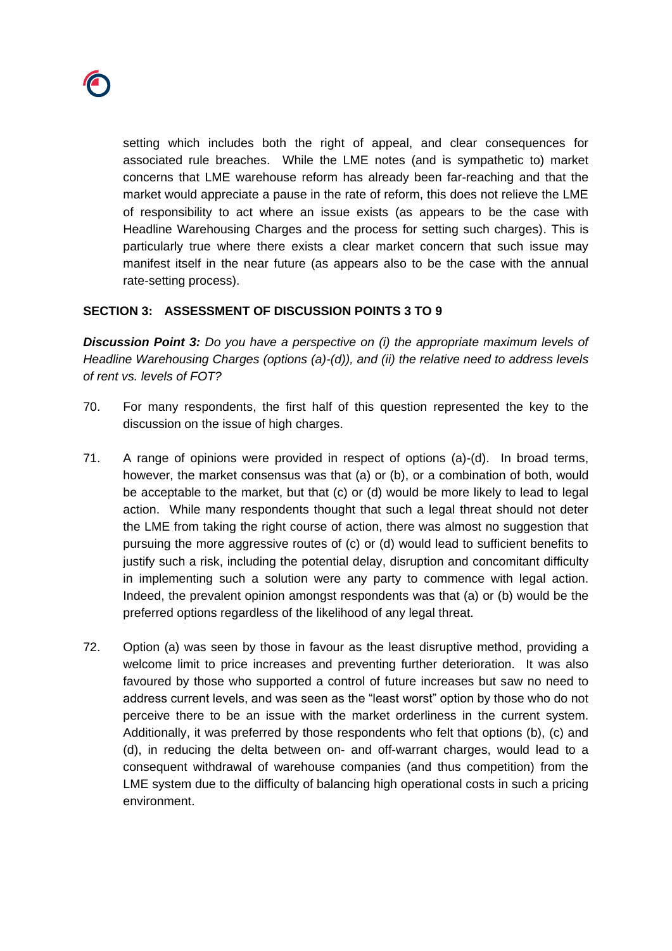

setting which includes both the right of appeal, and clear consequences for associated rule breaches. While the LME notes (and is sympathetic to) market concerns that LME warehouse reform has already been far-reaching and that the market would appreciate a pause in the rate of reform, this does not relieve the LME of responsibility to act where an issue exists (as appears to be the case with Headline Warehousing Charges and the process for setting such charges). This is particularly true where there exists a clear market concern that such issue may manifest itself in the near future (as appears also to be the case with the annual rate-setting process).

### **SECTION 3: ASSESSMENT OF DISCUSSION POINTS 3 TO 9**

*Discussion Point 3: Do you have a perspective on (i) the appropriate maximum levels of Headline Warehousing Charges (options (a)-(d)), and (ii) the relative need to address levels of rent vs. levels of FOT?*

- 70. For many respondents, the first half of this question represented the key to the discussion on the issue of high charges.
- 71. A range of opinions were provided in respect of options (a)-(d). In broad terms, however, the market consensus was that (a) or (b), or a combination of both, would be acceptable to the market, but that (c) or (d) would be more likely to lead to legal action. While many respondents thought that such a legal threat should not deter the LME from taking the right course of action, there was almost no suggestion that pursuing the more aggressive routes of (c) or (d) would lead to sufficient benefits to justify such a risk, including the potential delay, disruption and concomitant difficulty in implementing such a solution were any party to commence with legal action. Indeed, the prevalent opinion amongst respondents was that (a) or (b) would be the preferred options regardless of the likelihood of any legal threat.
- 72. Option (a) was seen by those in favour as the least disruptive method, providing a welcome limit to price increases and preventing further deterioration. It was also favoured by those who supported a control of future increases but saw no need to address current levels, and was seen as the "least worst" option by those who do not perceive there to be an issue with the market orderliness in the current system. Additionally, it was preferred by those respondents who felt that options (b), (c) and (d), in reducing the delta between on- and off-warrant charges, would lead to a consequent withdrawal of warehouse companies (and thus competition) from the LME system due to the difficulty of balancing high operational costs in such a pricing environment.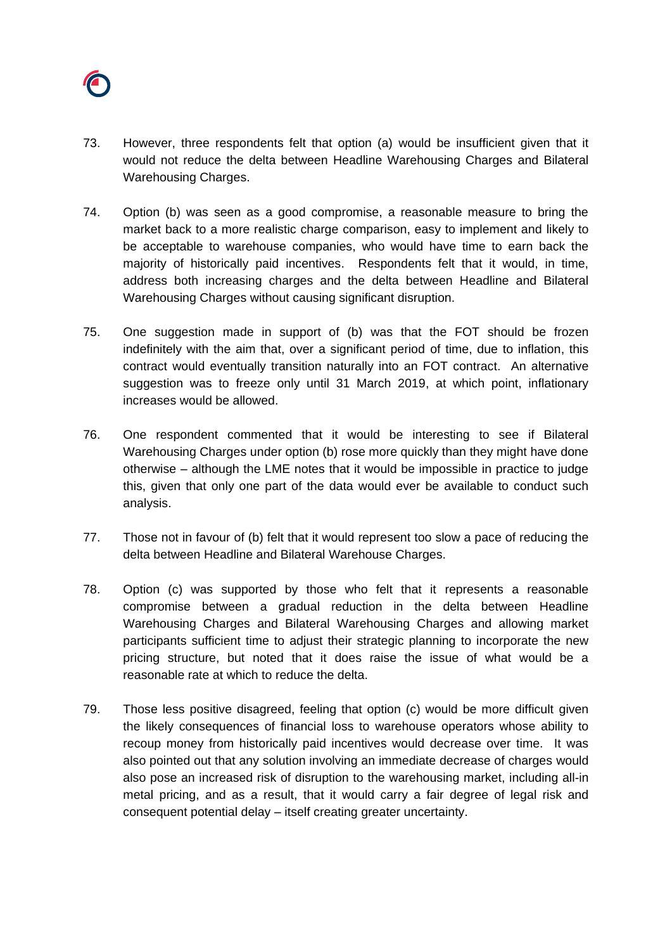

- 73. However, three respondents felt that option (a) would be insufficient given that it would not reduce the delta between Headline Warehousing Charges and Bilateral Warehousing Charges.
- 74. Option (b) was seen as a good compromise, a reasonable measure to bring the market back to a more realistic charge comparison, easy to implement and likely to be acceptable to warehouse companies, who would have time to earn back the majority of historically paid incentives. Respondents felt that it would, in time, address both increasing charges and the delta between Headline and Bilateral Warehousing Charges without causing significant disruption.
- 75. One suggestion made in support of (b) was that the FOT should be frozen indefinitely with the aim that, over a significant period of time, due to inflation, this contract would eventually transition naturally into an FOT contract. An alternative suggestion was to freeze only until 31 March 2019, at which point, inflationary increases would be allowed.
- 76. One respondent commented that it would be interesting to see if Bilateral Warehousing Charges under option (b) rose more quickly than they might have done otherwise – although the LME notes that it would be impossible in practice to judge this, given that only one part of the data would ever be available to conduct such analysis.
- 77. Those not in favour of (b) felt that it would represent too slow a pace of reducing the delta between Headline and Bilateral Warehouse Charges.
- 78. Option (c) was supported by those who felt that it represents a reasonable compromise between a gradual reduction in the delta between Headline Warehousing Charges and Bilateral Warehousing Charges and allowing market participants sufficient time to adjust their strategic planning to incorporate the new pricing structure, but noted that it does raise the issue of what would be a reasonable rate at which to reduce the delta.
- 79. Those less positive disagreed, feeling that option (c) would be more difficult given the likely consequences of financial loss to warehouse operators whose ability to recoup money from historically paid incentives would decrease over time. It was also pointed out that any solution involving an immediate decrease of charges would also pose an increased risk of disruption to the warehousing market, including all-in metal pricing, and as a result, that it would carry a fair degree of legal risk and consequent potential delay – itself creating greater uncertainty.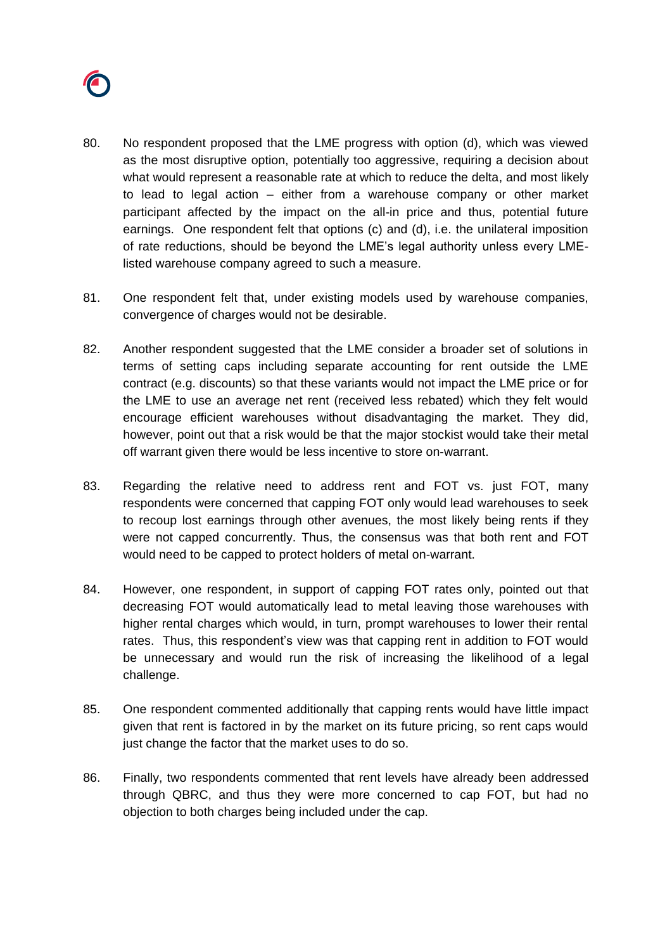

- 80. No respondent proposed that the LME progress with option (d), which was viewed as the most disruptive option, potentially too aggressive, requiring a decision about what would represent a reasonable rate at which to reduce the delta, and most likely to lead to legal action – either from a warehouse company or other market participant affected by the impact on the all-in price and thus, potential future earnings. One respondent felt that options (c) and (d), i.e. the unilateral imposition of rate reductions, should be beyond the LME's legal authority unless every LMElisted warehouse company agreed to such a measure.
- 81. One respondent felt that, under existing models used by warehouse companies, convergence of charges would not be desirable.
- 82. Another respondent suggested that the LME consider a broader set of solutions in terms of setting caps including separate accounting for rent outside the LME contract (e.g. discounts) so that these variants would not impact the LME price or for the LME to use an average net rent (received less rebated) which they felt would encourage efficient warehouses without disadvantaging the market. They did, however, point out that a risk would be that the major stockist would take their metal off warrant given there would be less incentive to store on-warrant.
- 83. Regarding the relative need to address rent and FOT vs. just FOT, many respondents were concerned that capping FOT only would lead warehouses to seek to recoup lost earnings through other avenues, the most likely being rents if they were not capped concurrently. Thus, the consensus was that both rent and FOT would need to be capped to protect holders of metal on-warrant.
- 84. However, one respondent, in support of capping FOT rates only, pointed out that decreasing FOT would automatically lead to metal leaving those warehouses with higher rental charges which would, in turn, prompt warehouses to lower their rental rates. Thus, this respondent's view was that capping rent in addition to FOT would be unnecessary and would run the risk of increasing the likelihood of a legal challenge.
- 85. One respondent commented additionally that capping rents would have little impact given that rent is factored in by the market on its future pricing, so rent caps would just change the factor that the market uses to do so.
- 86. Finally, two respondents commented that rent levels have already been addressed through QBRC, and thus they were more concerned to cap FOT, but had no objection to both charges being included under the cap.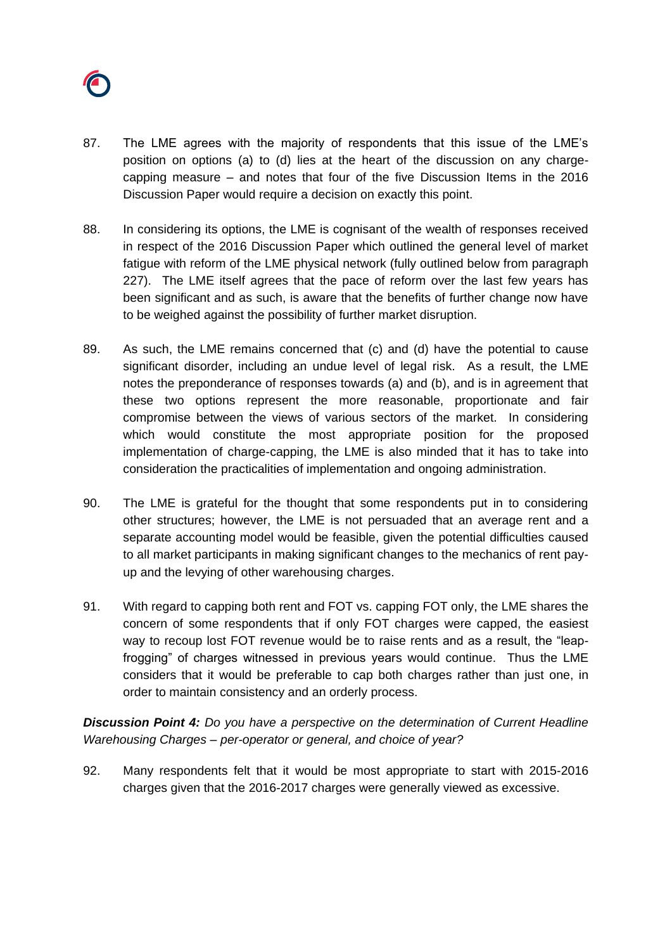

- 87. The LME agrees with the majority of respondents that this issue of the LME's position on options (a) to (d) lies at the heart of the discussion on any chargecapping measure – and notes that four of the five Discussion Items in the 2016 Discussion Paper would require a decision on exactly this point.
- 88. In considering its options, the LME is cognisant of the wealth of responses received in respect of the 2016 Discussion Paper which outlined the general level of market fatigue with reform of the LME physical network (fully outlined below from paragraph 227). The LME itself agrees that the pace of reform over the last few years has been significant and as such, is aware that the benefits of further change now have to be weighed against the possibility of further market disruption.
- 89. As such, the LME remains concerned that (c) and (d) have the potential to cause significant disorder, including an undue level of legal risk. As a result, the LME notes the preponderance of responses towards (a) and (b), and is in agreement that these two options represent the more reasonable, proportionate and fair compromise between the views of various sectors of the market. In considering which would constitute the most appropriate position for the proposed implementation of charge-capping, the LME is also minded that it has to take into consideration the practicalities of implementation and ongoing administration.
- 90. The LME is grateful for the thought that some respondents put in to considering other structures; however, the LME is not persuaded that an average rent and a separate accounting model would be feasible, given the potential difficulties caused to all market participants in making significant changes to the mechanics of rent payup and the levying of other warehousing charges.
- 91. With regard to capping both rent and FOT vs. capping FOT only, the LME shares the concern of some respondents that if only FOT charges were capped, the easiest way to recoup lost FOT revenue would be to raise rents and as a result, the "leapfrogging" of charges witnessed in previous years would continue. Thus the LME considers that it would be preferable to cap both charges rather than just one, in order to maintain consistency and an orderly process.

*Discussion Point 4: Do you have a perspective on the determination of Current Headline Warehousing Charges – per-operator or general, and choice of year?*

92. Many respondents felt that it would be most appropriate to start with 2015-2016 charges given that the 2016-2017 charges were generally viewed as excessive.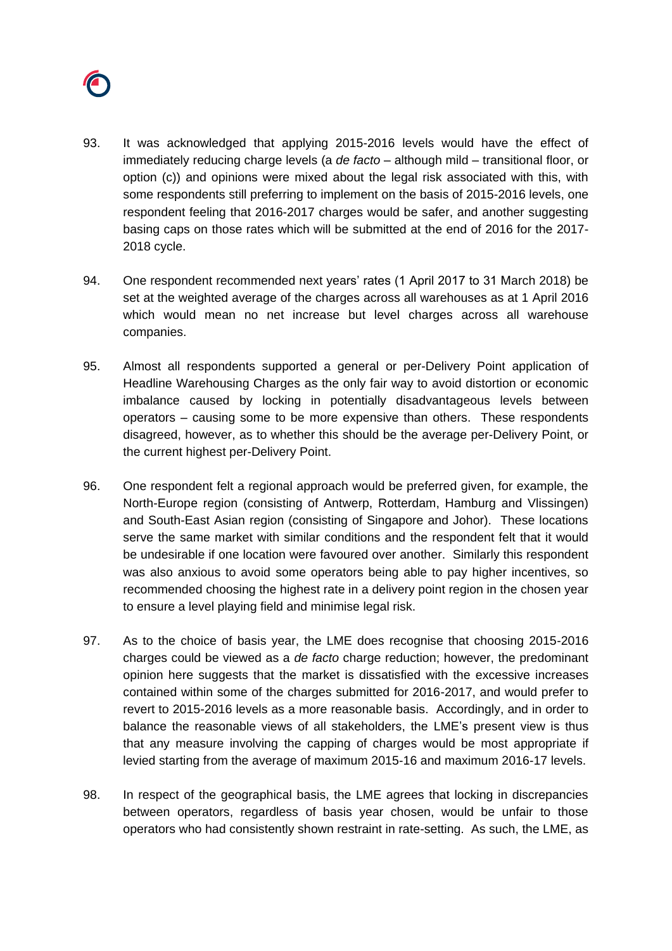

- 93. It was acknowledged that applying 2015-2016 levels would have the effect of immediately reducing charge levels (a *de facto* – although mild – transitional floor, or option (c)) and opinions were mixed about the legal risk associated with this, with some respondents still preferring to implement on the basis of 2015-2016 levels, one respondent feeling that 2016-2017 charges would be safer, and another suggesting basing caps on those rates which will be submitted at the end of 2016 for the 2017- 2018 cycle.
- 94. One respondent recommended next years' rates (1 April 2017 to 31 March 2018) be set at the weighted average of the charges across all warehouses as at 1 April 2016 which would mean no net increase but level charges across all warehouse companies.
- 95. Almost all respondents supported a general or per-Delivery Point application of Headline Warehousing Charges as the only fair way to avoid distortion or economic imbalance caused by locking in potentially disadvantageous levels between operators – causing some to be more expensive than others. These respondents disagreed, however, as to whether this should be the average per-Delivery Point, or the current highest per-Delivery Point.
- 96. One respondent felt a regional approach would be preferred given, for example, the North-Europe region (consisting of Antwerp, Rotterdam, Hamburg and Vlissingen) and South-East Asian region (consisting of Singapore and Johor). These locations serve the same market with similar conditions and the respondent felt that it would be undesirable if one location were favoured over another. Similarly this respondent was also anxious to avoid some operators being able to pay higher incentives, so recommended choosing the highest rate in a delivery point region in the chosen year to ensure a level playing field and minimise legal risk.
- 97. As to the choice of basis year, the LME does recognise that choosing 2015-2016 charges could be viewed as a *de facto* charge reduction; however, the predominant opinion here suggests that the market is dissatisfied with the excessive increases contained within some of the charges submitted for 2016-2017, and would prefer to revert to 2015-2016 levels as a more reasonable basis. Accordingly, and in order to balance the reasonable views of all stakeholders, the LME's present view is thus that any measure involving the capping of charges would be most appropriate if levied starting from the average of maximum 2015-16 and maximum 2016-17 levels.
- 98. In respect of the geographical basis, the LME agrees that locking in discrepancies between operators, regardless of basis year chosen, would be unfair to those operators who had consistently shown restraint in rate-setting. As such, the LME, as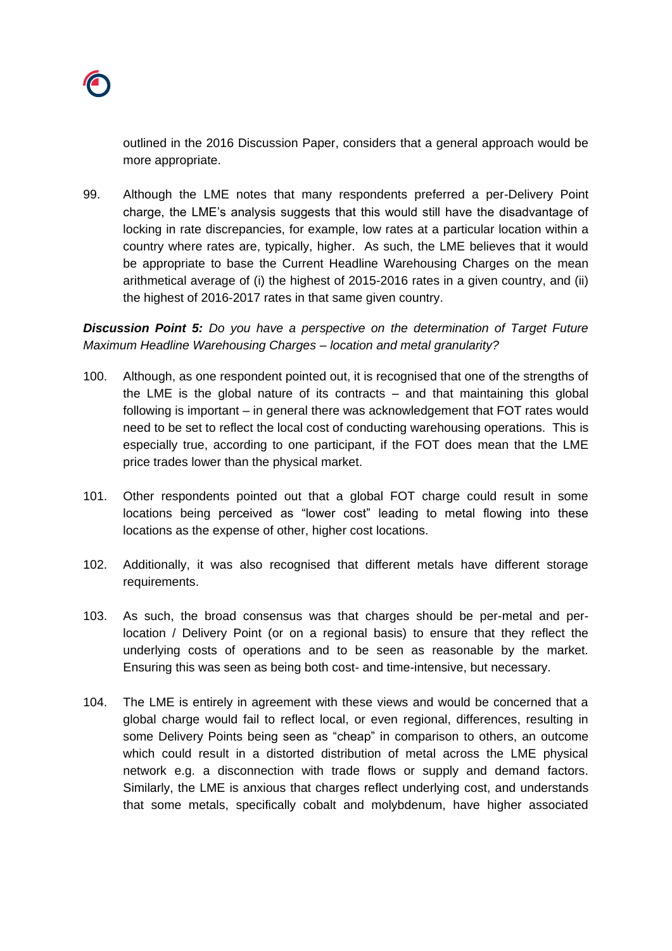

outlined in the 2016 Discussion Paper, considers that a general approach would be more appropriate.

99. Although the LME notes that many respondents preferred a per-Delivery Point charge, the LME's analysis suggests that this would still have the disadvantage of locking in rate discrepancies, for example, low rates at a particular location within a country where rates are, typically, higher. As such, the LME believes that it would be appropriate to base the Current Headline Warehousing Charges on the mean arithmetical average of (i) the highest of 2015-2016 rates in a given country, and (ii) the highest of 2016-2017 rates in that same given country.

*Discussion Point 5: Do you have a perspective on the determination of Target Future Maximum Headline Warehousing Charges – location and metal granularity?*

- 100. Although, as one respondent pointed out, it is recognised that one of the strengths of the LME is the global nature of its contracts – and that maintaining this global following is important – in general there was acknowledgement that FOT rates would need to be set to reflect the local cost of conducting warehousing operations. This is especially true, according to one participant, if the FOT does mean that the LME price trades lower than the physical market.
- 101. Other respondents pointed out that a global FOT charge could result in some locations being perceived as "lower cost" leading to metal flowing into these locations as the expense of other, higher cost locations.
- 102. Additionally, it was also recognised that different metals have different storage requirements.
- 103. As such, the broad consensus was that charges should be per-metal and perlocation / Delivery Point (or on a regional basis) to ensure that they reflect the underlying costs of operations and to be seen as reasonable by the market. Ensuring this was seen as being both cost- and time-intensive, but necessary.
- 104. The LME is entirely in agreement with these views and would be concerned that a global charge would fail to reflect local, or even regional, differences, resulting in some Delivery Points being seen as "cheap" in comparison to others, an outcome which could result in a distorted distribution of metal across the LME physical network e.g. a disconnection with trade flows or supply and demand factors. Similarly, the LME is anxious that charges reflect underlying cost, and understands that some metals, specifically cobalt and molybdenum, have higher associated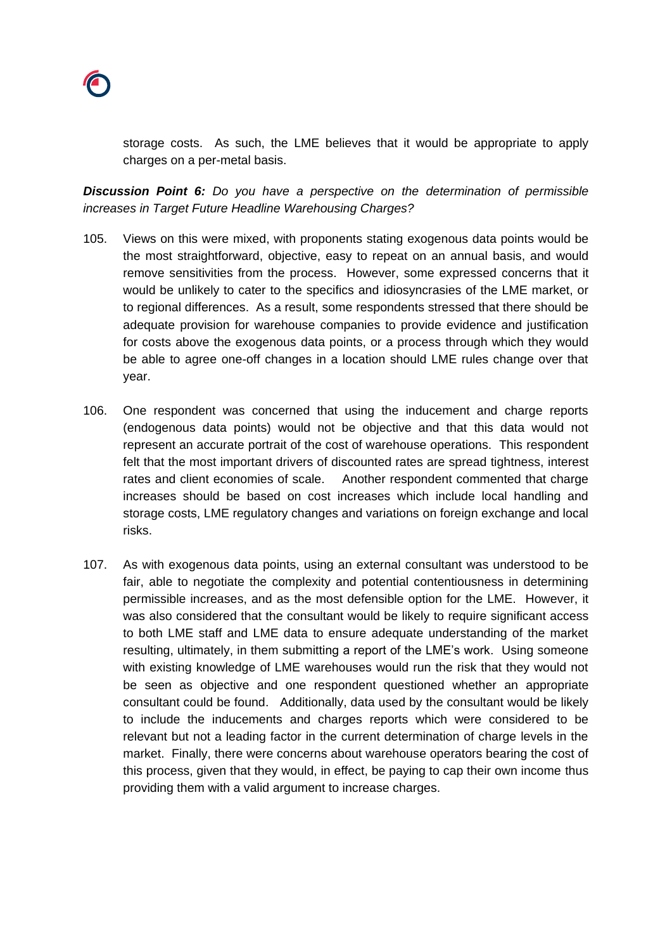

storage costs. As such, the LME believes that it would be appropriate to apply charges on a per-metal basis.

*Discussion Point 6: Do you have a perspective on the determination of permissible increases in Target Future Headline Warehousing Charges?*

- 105. Views on this were mixed, with proponents stating exogenous data points would be the most straightforward, objective, easy to repeat on an annual basis, and would remove sensitivities from the process. However, some expressed concerns that it would be unlikely to cater to the specifics and idiosyncrasies of the LME market, or to regional differences. As a result, some respondents stressed that there should be adequate provision for warehouse companies to provide evidence and justification for costs above the exogenous data points, or a process through which they would be able to agree one-off changes in a location should LME rules change over that year.
- 106. One respondent was concerned that using the inducement and charge reports (endogenous data points) would not be objective and that this data would not represent an accurate portrait of the cost of warehouse operations. This respondent felt that the most important drivers of discounted rates are spread tightness, interest rates and client economies of scale. Another respondent commented that charge increases should be based on cost increases which include local handling and storage costs, LME regulatory changes and variations on foreign exchange and local risks.
- 107. As with exogenous data points, using an external consultant was understood to be fair, able to negotiate the complexity and potential contentiousness in determining permissible increases, and as the most defensible option for the LME. However, it was also considered that the consultant would be likely to require significant access to both LME staff and LME data to ensure adequate understanding of the market resulting, ultimately, in them submitting a report of the LME's work. Using someone with existing knowledge of LME warehouses would run the risk that they would not be seen as objective and one respondent questioned whether an appropriate consultant could be found. Additionally, data used by the consultant would be likely to include the inducements and charges reports which were considered to be relevant but not a leading factor in the current determination of charge levels in the market. Finally, there were concerns about warehouse operators bearing the cost of this process, given that they would, in effect, be paying to cap their own income thus providing them with a valid argument to increase charges.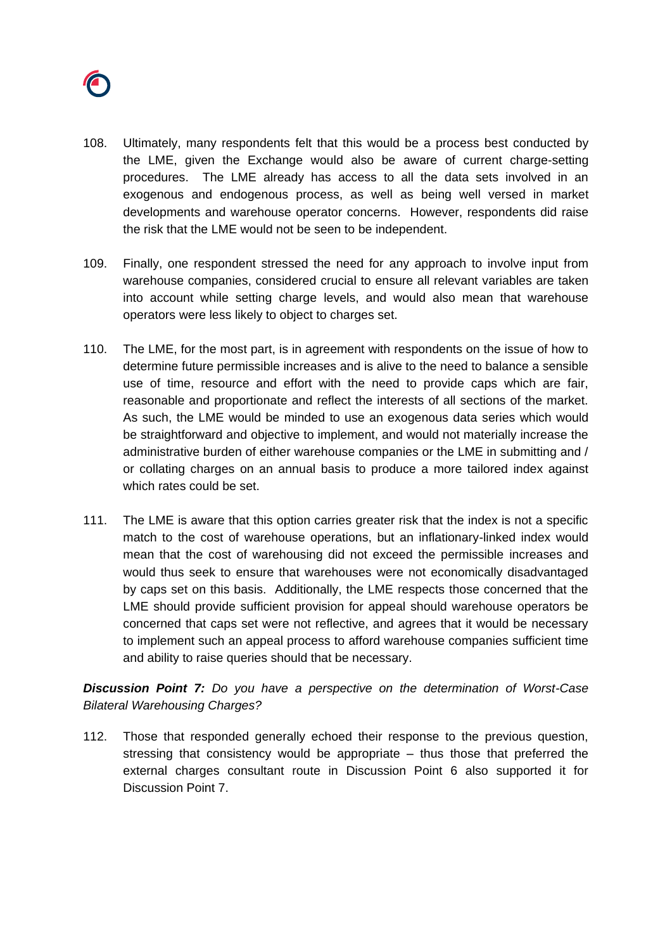

- 108. Ultimately, many respondents felt that this would be a process best conducted by the LME, given the Exchange would also be aware of current charge-setting procedures. The LME already has access to all the data sets involved in an exogenous and endogenous process, as well as being well versed in market developments and warehouse operator concerns. However, respondents did raise the risk that the LME would not be seen to be independent.
- 109. Finally, one respondent stressed the need for any approach to involve input from warehouse companies, considered crucial to ensure all relevant variables are taken into account while setting charge levels, and would also mean that warehouse operators were less likely to object to charges set.
- 110. The LME, for the most part, is in agreement with respondents on the issue of how to determine future permissible increases and is alive to the need to balance a sensible use of time, resource and effort with the need to provide caps which are fair, reasonable and proportionate and reflect the interests of all sections of the market. As such, the LME would be minded to use an exogenous data series which would be straightforward and objective to implement, and would not materially increase the administrative burden of either warehouse companies or the LME in submitting and / or collating charges on an annual basis to produce a more tailored index against which rates could be set.
- 111. The LME is aware that this option carries greater risk that the index is not a specific match to the cost of warehouse operations, but an inflationary-linked index would mean that the cost of warehousing did not exceed the permissible increases and would thus seek to ensure that warehouses were not economically disadvantaged by caps set on this basis. Additionally, the LME respects those concerned that the LME should provide sufficient provision for appeal should warehouse operators be concerned that caps set were not reflective, and agrees that it would be necessary to implement such an appeal process to afford warehouse companies sufficient time and ability to raise queries should that be necessary.

*Discussion Point 7: Do you have a perspective on the determination of Worst-Case Bilateral Warehousing Charges?*

112. Those that responded generally echoed their response to the previous question, stressing that consistency would be appropriate – thus those that preferred the external charges consultant route in Discussion Point 6 also supported it for Discussion Point 7.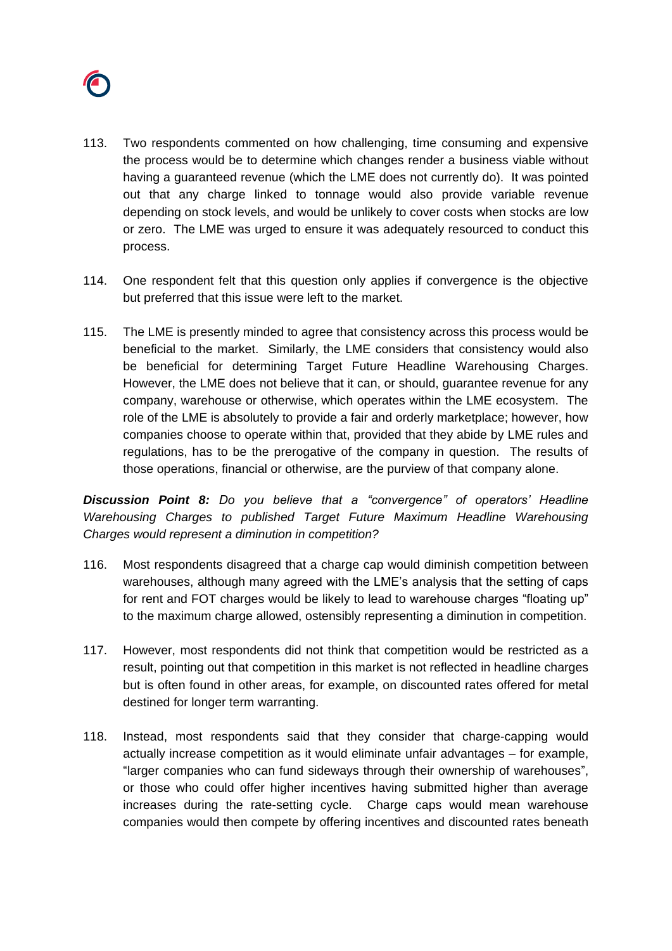

- 113. Two respondents commented on how challenging, time consuming and expensive the process would be to determine which changes render a business viable without having a guaranteed revenue (which the LME does not currently do). It was pointed out that any charge linked to tonnage would also provide variable revenue depending on stock levels, and would be unlikely to cover costs when stocks are low or zero. The LME was urged to ensure it was adequately resourced to conduct this process.
- 114. One respondent felt that this question only applies if convergence is the objective but preferred that this issue were left to the market.
- 115. The LME is presently minded to agree that consistency across this process would be beneficial to the market. Similarly, the LME considers that consistency would also be beneficial for determining Target Future Headline Warehousing Charges. However, the LME does not believe that it can, or should, guarantee revenue for any company, warehouse or otherwise, which operates within the LME ecosystem. The role of the LME is absolutely to provide a fair and orderly marketplace; however, how companies choose to operate within that, provided that they abide by LME rules and regulations, has to be the prerogative of the company in question. The results of those operations, financial or otherwise, are the purview of that company alone.

*Discussion Point 8: Do you believe that a "convergence" of operators' Headline Warehousing Charges to published Target Future Maximum Headline Warehousing Charges would represent a diminution in competition?*

- 116. Most respondents disagreed that a charge cap would diminish competition between warehouses, although many agreed with the LME's analysis that the setting of caps for rent and FOT charges would be likely to lead to warehouse charges "floating up" to the maximum charge allowed, ostensibly representing a diminution in competition.
- 117. However, most respondents did not think that competition would be restricted as a result, pointing out that competition in this market is not reflected in headline charges but is often found in other areas, for example, on discounted rates offered for metal destined for longer term warranting.
- 118. Instead, most respondents said that they consider that charge-capping would actually increase competition as it would eliminate unfair advantages – for example, "larger companies who can fund sideways through their ownership of warehouses", or those who could offer higher incentives having submitted higher than average increases during the rate-setting cycle. Charge caps would mean warehouse companies would then compete by offering incentives and discounted rates beneath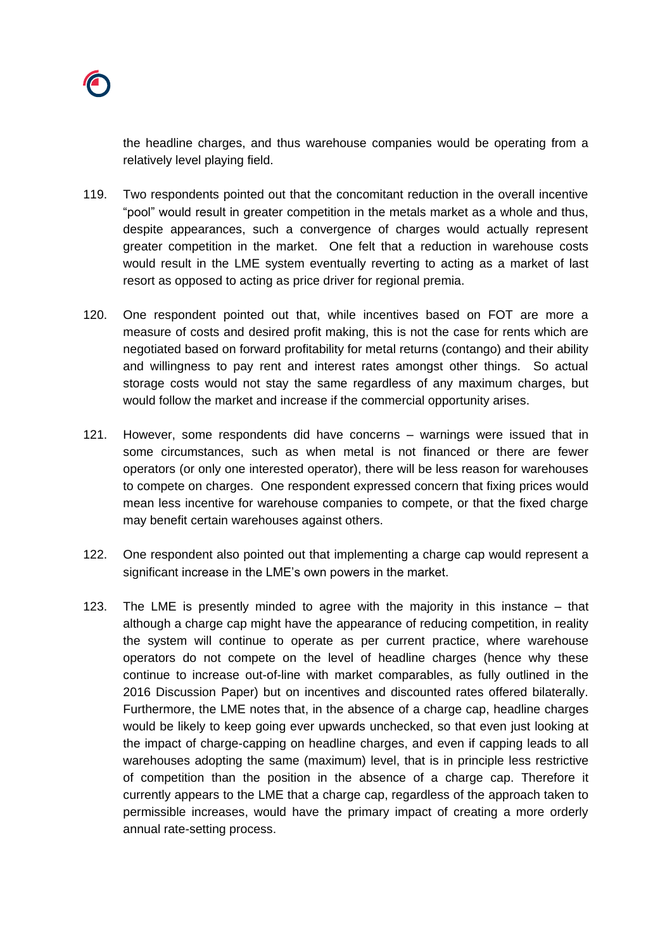

the headline charges, and thus warehouse companies would be operating from a relatively level playing field.

- 119. Two respondents pointed out that the concomitant reduction in the overall incentive "pool" would result in greater competition in the metals market as a whole and thus, despite appearances, such a convergence of charges would actually represent greater competition in the market. One felt that a reduction in warehouse costs would result in the LME system eventually reverting to acting as a market of last resort as opposed to acting as price driver for regional premia.
- 120. One respondent pointed out that, while incentives based on FOT are more a measure of costs and desired profit making, this is not the case for rents which are negotiated based on forward profitability for metal returns (contango) and their ability and willingness to pay rent and interest rates amongst other things. So actual storage costs would not stay the same regardless of any maximum charges, but would follow the market and increase if the commercial opportunity arises.
- 121. However, some respondents did have concerns warnings were issued that in some circumstances, such as when metal is not financed or there are fewer operators (or only one interested operator), there will be less reason for warehouses to compete on charges. One respondent expressed concern that fixing prices would mean less incentive for warehouse companies to compete, or that the fixed charge may benefit certain warehouses against others.
- 122. One respondent also pointed out that implementing a charge cap would represent a significant increase in the LME's own powers in the market.
- 123. The LME is presently minded to agree with the majority in this instance that although a charge cap might have the appearance of reducing competition, in reality the system will continue to operate as per current practice, where warehouse operators do not compete on the level of headline charges (hence why these continue to increase out-of-line with market comparables, as fully outlined in the 2016 Discussion Paper) but on incentives and discounted rates offered bilaterally. Furthermore, the LME notes that, in the absence of a charge cap, headline charges would be likely to keep going ever upwards unchecked, so that even just looking at the impact of charge-capping on headline charges, and even if capping leads to all warehouses adopting the same (maximum) level, that is in principle less restrictive of competition than the position in the absence of a charge cap. Therefore it currently appears to the LME that a charge cap, regardless of the approach taken to permissible increases, would have the primary impact of creating a more orderly annual rate-setting process.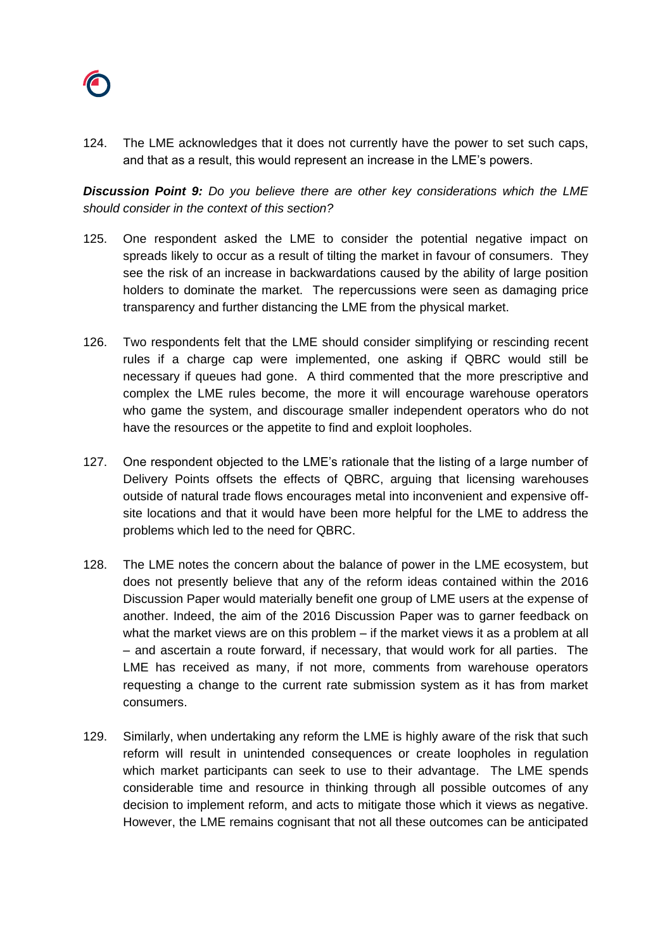

124. The LME acknowledges that it does not currently have the power to set such caps, and that as a result, this would represent an increase in the LME's powers.

*Discussion Point 9: Do you believe there are other key considerations which the LME should consider in the context of this section?*

- 125. One respondent asked the LME to consider the potential negative impact on spreads likely to occur as a result of tilting the market in favour of consumers. They see the risk of an increase in backwardations caused by the ability of large position holders to dominate the market. The repercussions were seen as damaging price transparency and further distancing the LME from the physical market.
- 126. Two respondents felt that the LME should consider simplifying or rescinding recent rules if a charge cap were implemented, one asking if QBRC would still be necessary if queues had gone. A third commented that the more prescriptive and complex the LME rules become, the more it will encourage warehouse operators who game the system, and discourage smaller independent operators who do not have the resources or the appetite to find and exploit loopholes.
- 127. One respondent objected to the LME's rationale that the listing of a large number of Delivery Points offsets the effects of QBRC, arguing that licensing warehouses outside of natural trade flows encourages metal into inconvenient and expensive offsite locations and that it would have been more helpful for the LME to address the problems which led to the need for QBRC.
- 128. The LME notes the concern about the balance of power in the LME ecosystem, but does not presently believe that any of the reform ideas contained within the 2016 Discussion Paper would materially benefit one group of LME users at the expense of another. Indeed, the aim of the 2016 Discussion Paper was to garner feedback on what the market views are on this problem – if the market views it as a problem at all – and ascertain a route forward, if necessary, that would work for all parties. The LME has received as many, if not more, comments from warehouse operators requesting a change to the current rate submission system as it has from market consumers.
- 129. Similarly, when undertaking any reform the LME is highly aware of the risk that such reform will result in unintended consequences or create loopholes in regulation which market participants can seek to use to their advantage. The LME spends considerable time and resource in thinking through all possible outcomes of any decision to implement reform, and acts to mitigate those which it views as negative. However, the LME remains cognisant that not all these outcomes can be anticipated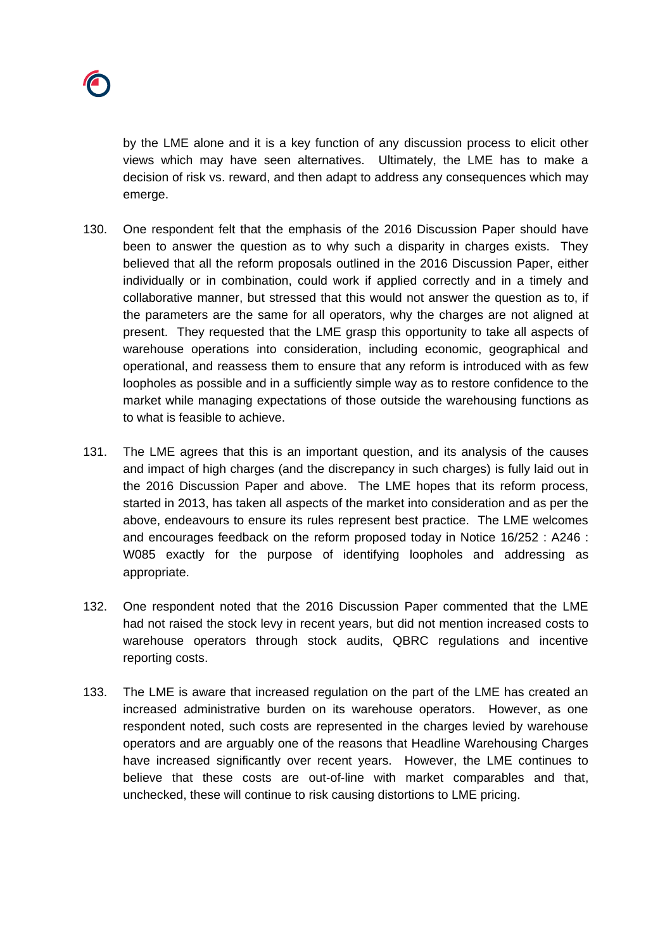

by the LME alone and it is a key function of any discussion process to elicit other views which may have seen alternatives. Ultimately, the LME has to make a decision of risk vs. reward, and then adapt to address any consequences which may emerge.

- 130. One respondent felt that the emphasis of the 2016 Discussion Paper should have been to answer the question as to why such a disparity in charges exists. They believed that all the reform proposals outlined in the 2016 Discussion Paper, either individually or in combination, could work if applied correctly and in a timely and collaborative manner, but stressed that this would not answer the question as to, if the parameters are the same for all operators, why the charges are not aligned at present. They requested that the LME grasp this opportunity to take all aspects of warehouse operations into consideration, including economic, geographical and operational, and reassess them to ensure that any reform is introduced with as few loopholes as possible and in a sufficiently simple way as to restore confidence to the market while managing expectations of those outside the warehousing functions as to what is feasible to achieve.
- 131. The LME agrees that this is an important question, and its analysis of the causes and impact of high charges (and the discrepancy in such charges) is fully laid out in the 2016 Discussion Paper and above. The LME hopes that its reform process, started in 2013, has taken all aspects of the market into consideration and as per the above, endeavours to ensure its rules represent best practice. The LME welcomes and encourages feedback on the reform proposed today in Notice 16/252 : A246 : W085 exactly for the purpose of identifying loopholes and addressing as appropriate.
- 132. One respondent noted that the 2016 Discussion Paper commented that the LME had not raised the stock levy in recent years, but did not mention increased costs to warehouse operators through stock audits, QBRC regulations and incentive reporting costs.
- 133. The LME is aware that increased regulation on the part of the LME has created an increased administrative burden on its warehouse operators. However, as one respondent noted, such costs are represented in the charges levied by warehouse operators and are arguably one of the reasons that Headline Warehousing Charges have increased significantly over recent years. However, the LME continues to believe that these costs are out-of-line with market comparables and that, unchecked, these will continue to risk causing distortions to LME pricing.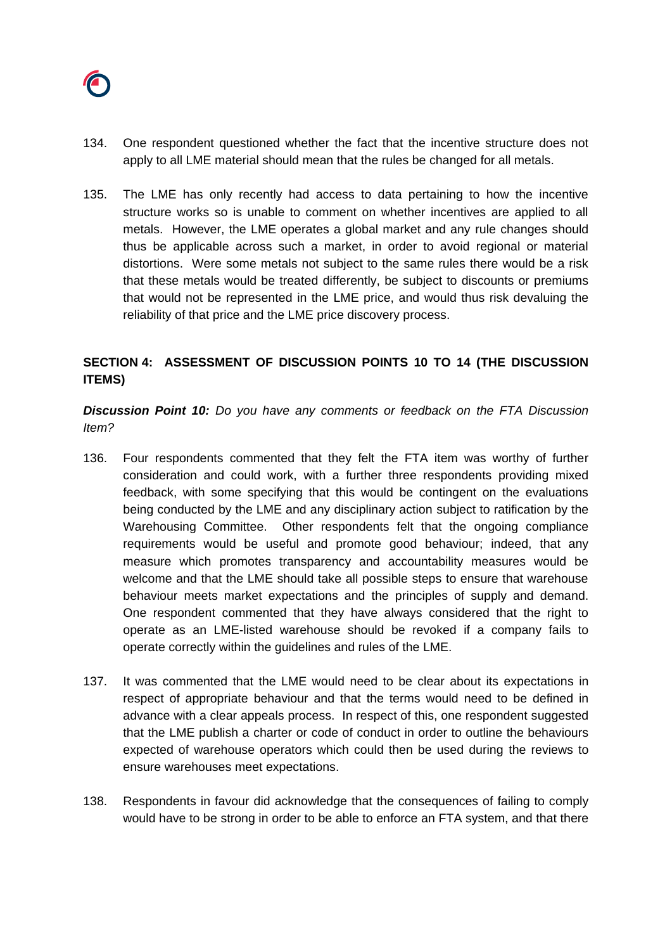

- 134. One respondent questioned whether the fact that the incentive structure does not apply to all LME material should mean that the rules be changed for all metals.
- 135. The LME has only recently had access to data pertaining to how the incentive structure works so is unable to comment on whether incentives are applied to all metals. However, the LME operates a global market and any rule changes should thus be applicable across such a market, in order to avoid regional or material distortions. Were some metals not subject to the same rules there would be a risk that these metals would be treated differently, be subject to discounts or premiums that would not be represented in the LME price, and would thus risk devaluing the reliability of that price and the LME price discovery process.

## **SECTION 4: ASSESSMENT OF DISCUSSION POINTS 10 TO 14 (THE DISCUSSION ITEMS)**

*Discussion Point 10: Do you have any comments or feedback on the FTA Discussion Item?*

- 136. Four respondents commented that they felt the FTA item was worthy of further consideration and could work, with a further three respondents providing mixed feedback, with some specifying that this would be contingent on the evaluations being conducted by the LME and any disciplinary action subject to ratification by the Warehousing Committee. Other respondents felt that the ongoing compliance requirements would be useful and promote good behaviour; indeed, that any measure which promotes transparency and accountability measures would be welcome and that the LME should take all possible steps to ensure that warehouse behaviour meets market expectations and the principles of supply and demand. One respondent commented that they have always considered that the right to operate as an LME-listed warehouse should be revoked if a company fails to operate correctly within the guidelines and rules of the LME.
- 137. It was commented that the LME would need to be clear about its expectations in respect of appropriate behaviour and that the terms would need to be defined in advance with a clear appeals process. In respect of this, one respondent suggested that the LME publish a charter or code of conduct in order to outline the behaviours expected of warehouse operators which could then be used during the reviews to ensure warehouses meet expectations.
- 138. Respondents in favour did acknowledge that the consequences of failing to comply would have to be strong in order to be able to enforce an FTA system, and that there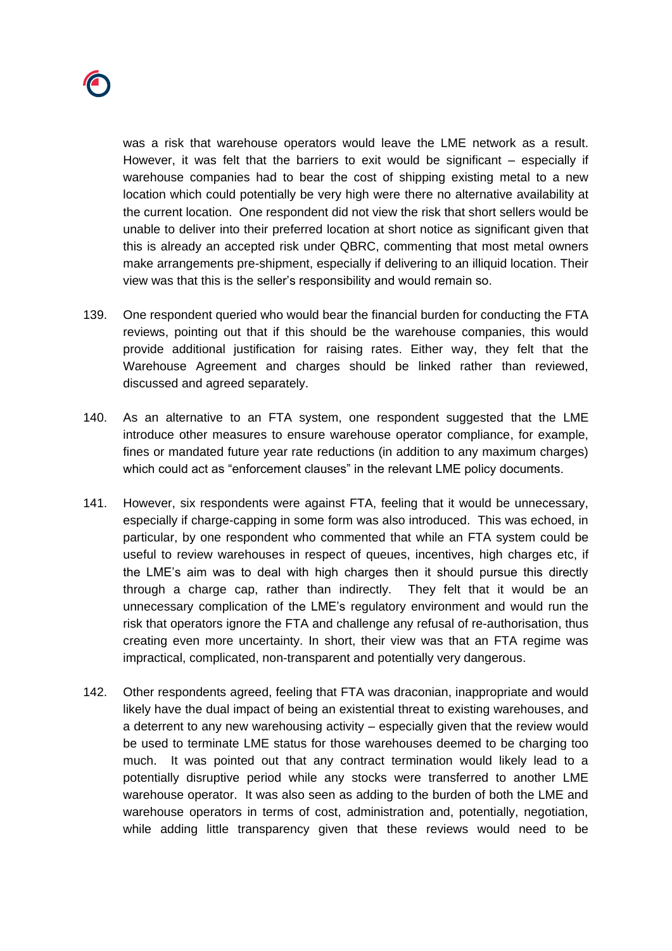

was a risk that warehouse operators would leave the LME network as a result. However, it was felt that the barriers to exit would be significant – especially if warehouse companies had to bear the cost of shipping existing metal to a new location which could potentially be very high were there no alternative availability at the current location. One respondent did not view the risk that short sellers would be unable to deliver into their preferred location at short notice as significant given that this is already an accepted risk under QBRC, commenting that most metal owners make arrangements pre-shipment, especially if delivering to an illiquid location. Their view was that this is the seller's responsibility and would remain so.

- 139. One respondent queried who would bear the financial burden for conducting the FTA reviews, pointing out that if this should be the warehouse companies, this would provide additional justification for raising rates. Either way, they felt that the Warehouse Agreement and charges should be linked rather than reviewed, discussed and agreed separately.
- 140. As an alternative to an FTA system, one respondent suggested that the LME introduce other measures to ensure warehouse operator compliance, for example, fines or mandated future year rate reductions (in addition to any maximum charges) which could act as "enforcement clauses" in the relevant LME policy documents.
- 141. However, six respondents were against FTA, feeling that it would be unnecessary, especially if charge-capping in some form was also introduced. This was echoed, in particular, by one respondent who commented that while an FTA system could be useful to review warehouses in respect of queues, incentives, high charges etc, if the LME's aim was to deal with high charges then it should pursue this directly through a charge cap, rather than indirectly. They felt that it would be an unnecessary complication of the LME's regulatory environment and would run the risk that operators ignore the FTA and challenge any refusal of re-authorisation, thus creating even more uncertainty. In short, their view was that an FTA regime was impractical, complicated, non-transparent and potentially very dangerous.
- 142. Other respondents agreed, feeling that FTA was draconian, inappropriate and would likely have the dual impact of being an existential threat to existing warehouses, and a deterrent to any new warehousing activity – especially given that the review would be used to terminate LME status for those warehouses deemed to be charging too much. It was pointed out that any contract termination would likely lead to a potentially disruptive period while any stocks were transferred to another LME warehouse operator. It was also seen as adding to the burden of both the LME and warehouse operators in terms of cost, administration and, potentially, negotiation, while adding little transparency given that these reviews would need to be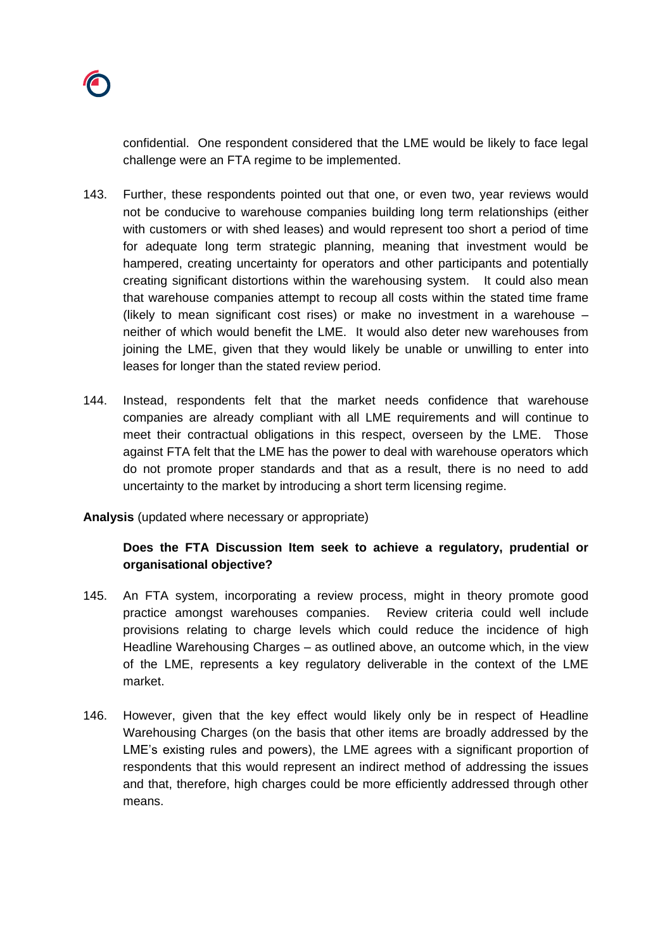

confidential. One respondent considered that the LME would be likely to face legal challenge were an FTA regime to be implemented.

- 143. Further, these respondents pointed out that one, or even two, year reviews would not be conducive to warehouse companies building long term relationships (either with customers or with shed leases) and would represent too short a period of time for adequate long term strategic planning, meaning that investment would be hampered, creating uncertainty for operators and other participants and potentially creating significant distortions within the warehousing system. It could also mean that warehouse companies attempt to recoup all costs within the stated time frame (likely to mean significant cost rises) or make no investment in a warehouse – neither of which would benefit the LME. It would also deter new warehouses from joining the LME, given that they would likely be unable or unwilling to enter into leases for longer than the stated review period.
- 144. Instead, respondents felt that the market needs confidence that warehouse companies are already compliant with all LME requirements and will continue to meet their contractual obligations in this respect, overseen by the LME. Those against FTA felt that the LME has the power to deal with warehouse operators which do not promote proper standards and that as a result, there is no need to add uncertainty to the market by introducing a short term licensing regime.

### **Analysis** (updated where necessary or appropriate)

## **Does the FTA Discussion Item seek to achieve a regulatory, prudential or organisational objective?**

- 145. An FTA system, incorporating a review process, might in theory promote good practice amongst warehouses companies. Review criteria could well include provisions relating to charge levels which could reduce the incidence of high Headline Warehousing Charges – as outlined above, an outcome which, in the view of the LME, represents a key regulatory deliverable in the context of the LME market.
- 146. However, given that the key effect would likely only be in respect of Headline Warehousing Charges (on the basis that other items are broadly addressed by the LME's existing rules and powers), the LME agrees with a significant proportion of respondents that this would represent an indirect method of addressing the issues and that, therefore, high charges could be more efficiently addressed through other means.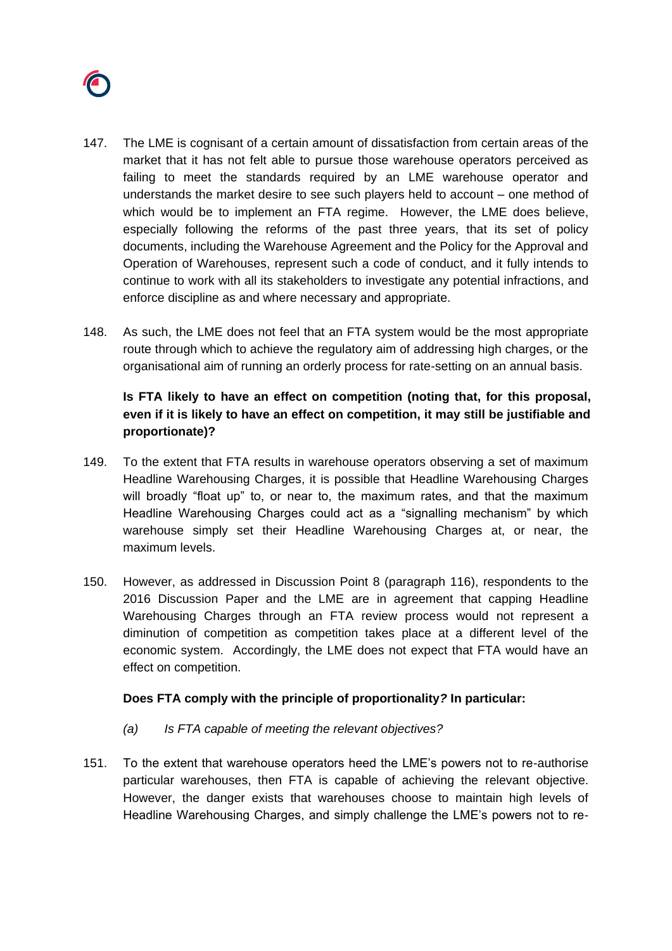

- 147. The LME is cognisant of a certain amount of dissatisfaction from certain areas of the market that it has not felt able to pursue those warehouse operators perceived as failing to meet the standards required by an LME warehouse operator and understands the market desire to see such players held to account – one method of which would be to implement an FTA regime. However, the LME does believe, especially following the reforms of the past three years, that its set of policy documents, including the Warehouse Agreement and the Policy for the Approval and Operation of Warehouses, represent such a code of conduct, and it fully intends to continue to work with all its stakeholders to investigate any potential infractions, and enforce discipline as and where necessary and appropriate.
- 148. As such, the LME does not feel that an FTA system would be the most appropriate route through which to achieve the regulatory aim of addressing high charges, or the organisational aim of running an orderly process for rate-setting on an annual basis.

## **Is FTA likely to have an effect on competition (noting that, for this proposal, even if it is likely to have an effect on competition, it may still be justifiable and proportionate)?**

- 149. To the extent that FTA results in warehouse operators observing a set of maximum Headline Warehousing Charges, it is possible that Headline Warehousing Charges will broadly "float up" to, or near to, the maximum rates, and that the maximum Headline Warehousing Charges could act as a "signalling mechanism" by which warehouse simply set their Headline Warehousing Charges at, or near, the maximum levels.
- 150. However, as addressed in Discussion Point 8 (paragraph 116), respondents to the 2016 Discussion Paper and the LME are in agreement that capping Headline Warehousing Charges through an FTA review process would not represent a diminution of competition as competition takes place at a different level of the economic system. Accordingly, the LME does not expect that FTA would have an effect on competition.

### **Does FTA comply with the principle of proportionality***?* **In particular:**

- *(a) Is FTA capable of meeting the relevant objectives?*
- 151. To the extent that warehouse operators heed the LME's powers not to re-authorise particular warehouses, then FTA is capable of achieving the relevant objective. However, the danger exists that warehouses choose to maintain high levels of Headline Warehousing Charges, and simply challenge the LME's powers not to re-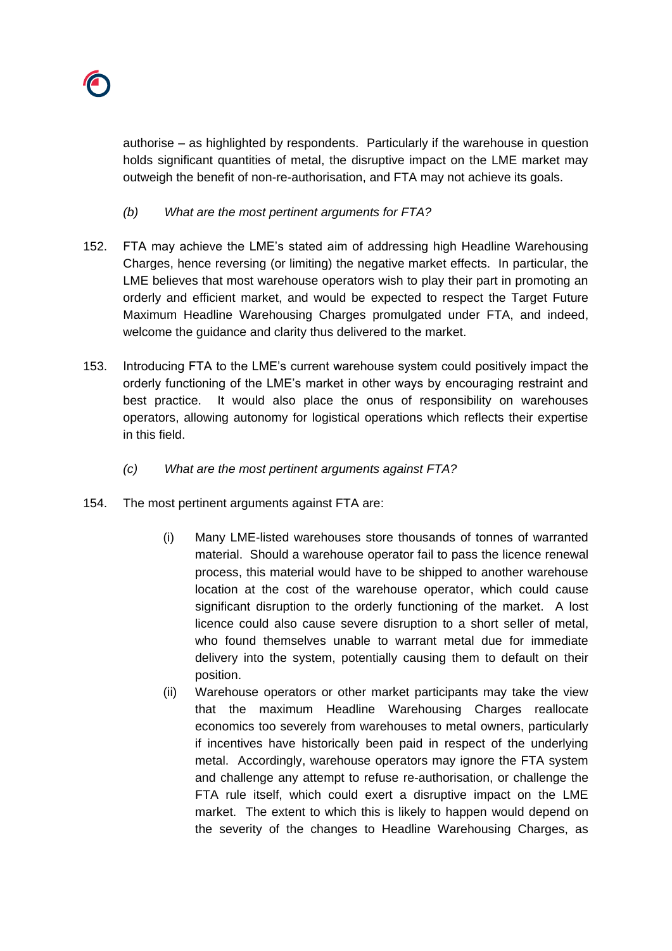

authorise – as highlighted by respondents. Particularly if the warehouse in question holds significant quantities of metal, the disruptive impact on the LME market may outweigh the benefit of non-re-authorisation, and FTA may not achieve its goals.

- *(b) What are the most pertinent arguments for FTA?*
- 152. FTA may achieve the LME's stated aim of addressing high Headline Warehousing Charges, hence reversing (or limiting) the negative market effects. In particular, the LME believes that most warehouse operators wish to play their part in promoting an orderly and efficient market, and would be expected to respect the Target Future Maximum Headline Warehousing Charges promulgated under FTA, and indeed, welcome the guidance and clarity thus delivered to the market.
- 153. Introducing FTA to the LME's current warehouse system could positively impact the orderly functioning of the LME's market in other ways by encouraging restraint and best practice. It would also place the onus of responsibility on warehouses operators, allowing autonomy for logistical operations which reflects their expertise in this field.
	- *(c) What are the most pertinent arguments against FTA?*
- 154. The most pertinent arguments against FTA are:
	- (i) Many LME-listed warehouses store thousands of tonnes of warranted material. Should a warehouse operator fail to pass the licence renewal process, this material would have to be shipped to another warehouse location at the cost of the warehouse operator, which could cause significant disruption to the orderly functioning of the market. A lost licence could also cause severe disruption to a short seller of metal, who found themselves unable to warrant metal due for immediate delivery into the system, potentially causing them to default on their position.
	- (ii) Warehouse operators or other market participants may take the view that the maximum Headline Warehousing Charges reallocate economics too severely from warehouses to metal owners, particularly if incentives have historically been paid in respect of the underlying metal. Accordingly, warehouse operators may ignore the FTA system and challenge any attempt to refuse re-authorisation, or challenge the FTA rule itself, which could exert a disruptive impact on the LME market. The extent to which this is likely to happen would depend on the severity of the changes to Headline Warehousing Charges, as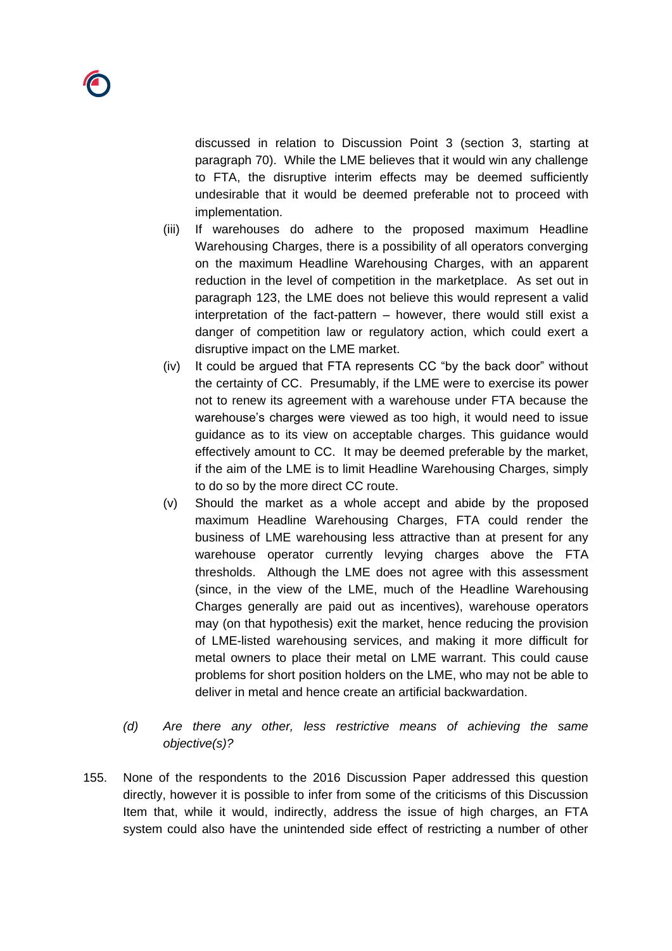discussed in relation to Discussion Point 3 (section 3, starting at paragraph 70). While the LME believes that it would win any challenge to FTA, the disruptive interim effects may be deemed sufficiently undesirable that it would be deemed preferable not to proceed with implementation.

- (iii) If warehouses do adhere to the proposed maximum Headline Warehousing Charges, there is a possibility of all operators converging on the maximum Headline Warehousing Charges, with an apparent reduction in the level of competition in the marketplace. As set out in paragraph 123, the LME does not believe this would represent a valid interpretation of the fact-pattern – however, there would still exist a danger of competition law or regulatory action, which could exert a disruptive impact on the LME market.
- (iv) It could be argued that FTA represents CC "by the back door" without the certainty of CC. Presumably, if the LME were to exercise its power not to renew its agreement with a warehouse under FTA because the warehouse's charges were viewed as too high, it would need to issue guidance as to its view on acceptable charges. This guidance would effectively amount to CC. It may be deemed preferable by the market, if the aim of the LME is to limit Headline Warehousing Charges, simply to do so by the more direct CC route.
- (v) Should the market as a whole accept and abide by the proposed maximum Headline Warehousing Charges, FTA could render the business of LME warehousing less attractive than at present for any warehouse operator currently levying charges above the FTA thresholds. Although the LME does not agree with this assessment (since, in the view of the LME, much of the Headline Warehousing Charges generally are paid out as incentives), warehouse operators may (on that hypothesis) exit the market, hence reducing the provision of LME-listed warehousing services, and making it more difficult for metal owners to place their metal on LME warrant. This could cause problems for short position holders on the LME, who may not be able to deliver in metal and hence create an artificial backwardation.
- *(d) Are there any other, less restrictive means of achieving the same objective(s)?*
- 155. None of the respondents to the 2016 Discussion Paper addressed this question directly, however it is possible to infer from some of the criticisms of this Discussion Item that, while it would, indirectly, address the issue of high charges, an FTA system could also have the unintended side effect of restricting a number of other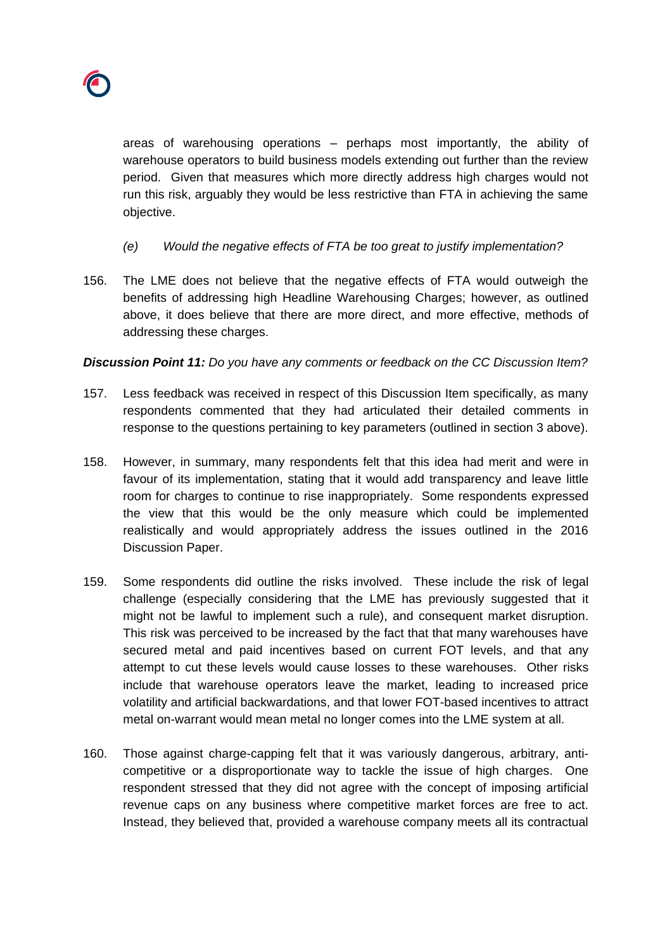

areas of warehousing operations – perhaps most importantly, the ability of warehouse operators to build business models extending out further than the review period. Given that measures which more directly address high charges would not run this risk, arguably they would be less restrictive than FTA in achieving the same objective.

- *(e) Would the negative effects of FTA be too great to justify implementation?*
- 156. The LME does not believe that the negative effects of FTA would outweigh the benefits of addressing high Headline Warehousing Charges; however, as outlined above, it does believe that there are more direct, and more effective, methods of addressing these charges.

### *Discussion Point 11: Do you have any comments or feedback on the CC Discussion Item?*

- 157. Less feedback was received in respect of this Discussion Item specifically, as many respondents commented that they had articulated their detailed comments in response to the questions pertaining to key parameters (outlined in section 3 above).
- 158. However, in summary, many respondents felt that this idea had merit and were in favour of its implementation, stating that it would add transparency and leave little room for charges to continue to rise inappropriately. Some respondents expressed the view that this would be the only measure which could be implemented realistically and would appropriately address the issues outlined in the 2016 Discussion Paper.
- 159. Some respondents did outline the risks involved. These include the risk of legal challenge (especially considering that the LME has previously suggested that it might not be lawful to implement such a rule), and consequent market disruption. This risk was perceived to be increased by the fact that that many warehouses have secured metal and paid incentives based on current FOT levels, and that any attempt to cut these levels would cause losses to these warehouses. Other risks include that warehouse operators leave the market, leading to increased price volatility and artificial backwardations, and that lower FOT-based incentives to attract metal on-warrant would mean metal no longer comes into the LME system at all.
- 160. Those against charge-capping felt that it was variously dangerous, arbitrary, anticompetitive or a disproportionate way to tackle the issue of high charges. One respondent stressed that they did not agree with the concept of imposing artificial revenue caps on any business where competitive market forces are free to act. Instead, they believed that, provided a warehouse company meets all its contractual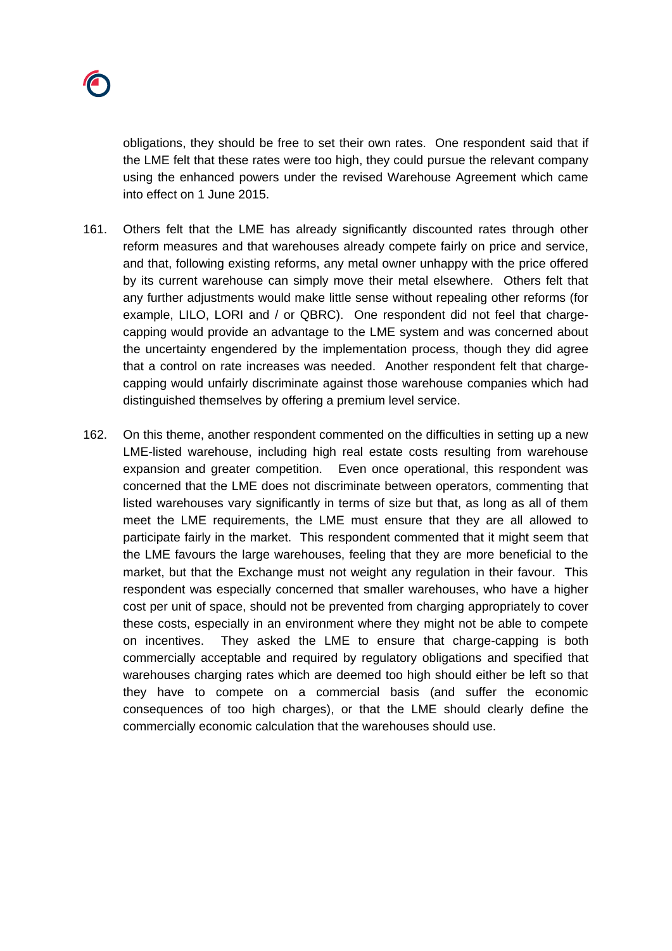

obligations, they should be free to set their own rates. One respondent said that if the LME felt that these rates were too high, they could pursue the relevant company using the enhanced powers under the revised Warehouse Agreement which came into effect on 1 June 2015.

- 161. Others felt that the LME has already significantly discounted rates through other reform measures and that warehouses already compete fairly on price and service, and that, following existing reforms, any metal owner unhappy with the price offered by its current warehouse can simply move their metal elsewhere. Others felt that any further adjustments would make little sense without repealing other reforms (for example, LILO, LORI and / or QBRC). One respondent did not feel that chargecapping would provide an advantage to the LME system and was concerned about the uncertainty engendered by the implementation process, though they did agree that a control on rate increases was needed. Another respondent felt that chargecapping would unfairly discriminate against those warehouse companies which had distinguished themselves by offering a premium level service.
- 162. On this theme, another respondent commented on the difficulties in setting up a new LME-listed warehouse, including high real estate costs resulting from warehouse expansion and greater competition. Even once operational, this respondent was concerned that the LME does not discriminate between operators, commenting that listed warehouses vary significantly in terms of size but that, as long as all of them meet the LME requirements, the LME must ensure that they are all allowed to participate fairly in the market. This respondent commented that it might seem that the LME favours the large warehouses, feeling that they are more beneficial to the market, but that the Exchange must not weight any regulation in their favour. This respondent was especially concerned that smaller warehouses, who have a higher cost per unit of space, should not be prevented from charging appropriately to cover these costs, especially in an environment where they might not be able to compete on incentives. They asked the LME to ensure that charge-capping is both commercially acceptable and required by regulatory obligations and specified that warehouses charging rates which are deemed too high should either be left so that they have to compete on a commercial basis (and suffer the economic consequences of too high charges), or that the LME should clearly define the commercially economic calculation that the warehouses should use.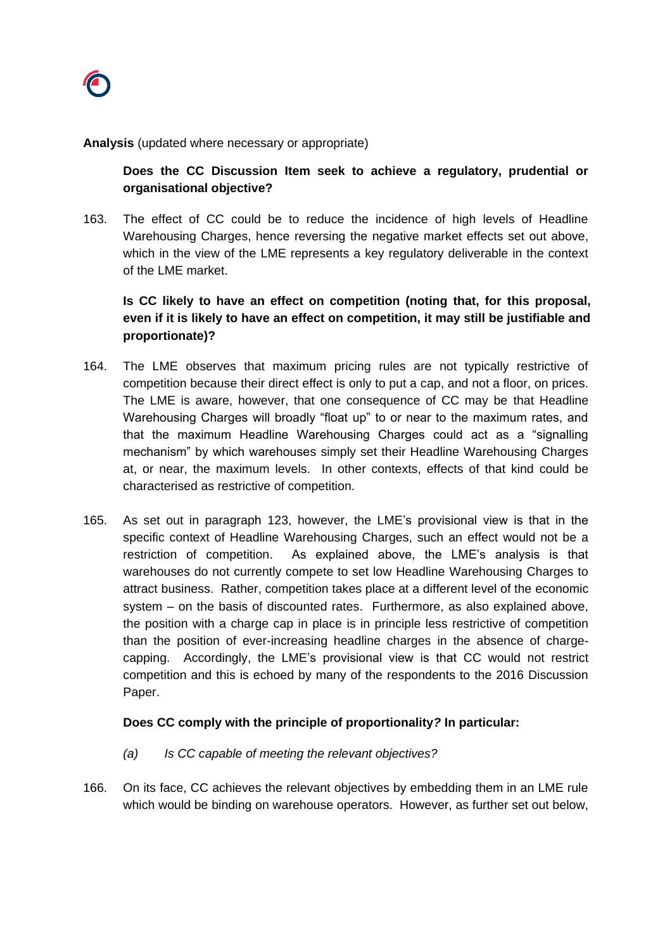**Analysis** (updated where necessary or appropriate)

**Does the CC Discussion Item seek to achieve a regulatory, prudential or organisational objective?**

163. The effect of CC could be to reduce the incidence of high levels of Headline Warehousing Charges, hence reversing the negative market effects set out above, which in the view of the LME represents a key regulatory deliverable in the context of the LME market.

**Is CC likely to have an effect on competition (noting that, for this proposal, even if it is likely to have an effect on competition, it may still be justifiable and proportionate)?**

- 164. The LME observes that maximum pricing rules are not typically restrictive of competition because their direct effect is only to put a cap, and not a floor, on prices. The LME is aware, however, that one consequence of CC may be that Headline Warehousing Charges will broadly "float up" to or near to the maximum rates, and that the maximum Headline Warehousing Charges could act as a "signalling mechanism" by which warehouses simply set their Headline Warehousing Charges at, or near, the maximum levels. In other contexts, effects of that kind could be characterised as restrictive of competition.
- 165. As set out in paragraph 123, however, the LME's provisional view is that in the specific context of Headline Warehousing Charges, such an effect would not be a restriction of competition. As explained above, the LME's analysis is that warehouses do not currently compete to set low Headline Warehousing Charges to attract business. Rather, competition takes place at a different level of the economic system – on the basis of discounted rates. Furthermore, as also explained above, the position with a charge cap in place is in principle less restrictive of competition than the position of ever-increasing headline charges in the absence of chargecapping. Accordingly, the LME's provisional view is that CC would not restrict competition and this is echoed by many of the respondents to the 2016 Discussion Paper.

## **Does CC comply with the principle of proportionality***?* **In particular:**

- *(a) Is CC capable of meeting the relevant objectives?*
- 166. On its face, CC achieves the relevant objectives by embedding them in an LME rule which would be binding on warehouse operators. However, as further set out below,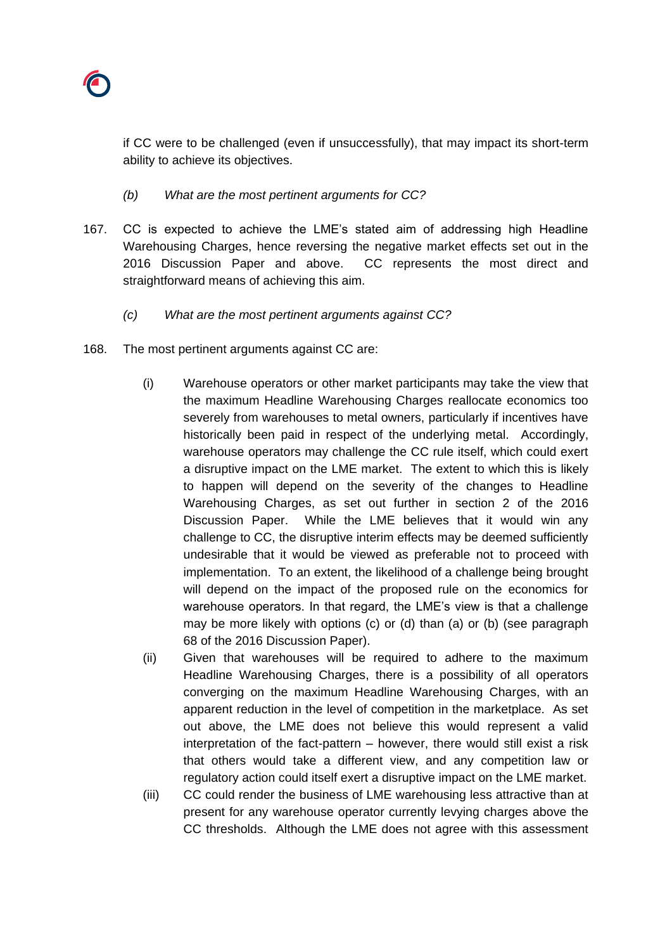

if CC were to be challenged (even if unsuccessfully), that may impact its short-term ability to achieve its objectives.

- *(b) What are the most pertinent arguments for CC?*
- 167. CC is expected to achieve the LME's stated aim of addressing high Headline Warehousing Charges, hence reversing the negative market effects set out in the 2016 Discussion Paper and above. CC represents the most direct and straightforward means of achieving this aim.
	- *(c) What are the most pertinent arguments against CC?*
- 168. The most pertinent arguments against CC are:
	- (i) Warehouse operators or other market participants may take the view that the maximum Headline Warehousing Charges reallocate economics too severely from warehouses to metal owners, particularly if incentives have historically been paid in respect of the underlying metal. Accordingly, warehouse operators may challenge the CC rule itself, which could exert a disruptive impact on the LME market. The extent to which this is likely to happen will depend on the severity of the changes to Headline Warehousing Charges, as set out further in section 2 of the 2016 Discussion Paper. While the LME believes that it would win any challenge to CC, the disruptive interim effects may be deemed sufficiently undesirable that it would be viewed as preferable not to proceed with implementation. To an extent, the likelihood of a challenge being brought will depend on the impact of the proposed rule on the economics for warehouse operators. In that regard, the LME's view is that a challenge may be more likely with options (c) or (d) than (a) or (b) (see paragraph 68 of the 2016 Discussion Paper).
	- (ii) Given that warehouses will be required to adhere to the maximum Headline Warehousing Charges, there is a possibility of all operators converging on the maximum Headline Warehousing Charges, with an apparent reduction in the level of competition in the marketplace. As set out above, the LME does not believe this would represent a valid interpretation of the fact-pattern – however, there would still exist a risk that others would take a different view, and any competition law or regulatory action could itself exert a disruptive impact on the LME market.
	- (iii) CC could render the business of LME warehousing less attractive than at present for any warehouse operator currently levying charges above the CC thresholds. Although the LME does not agree with this assessment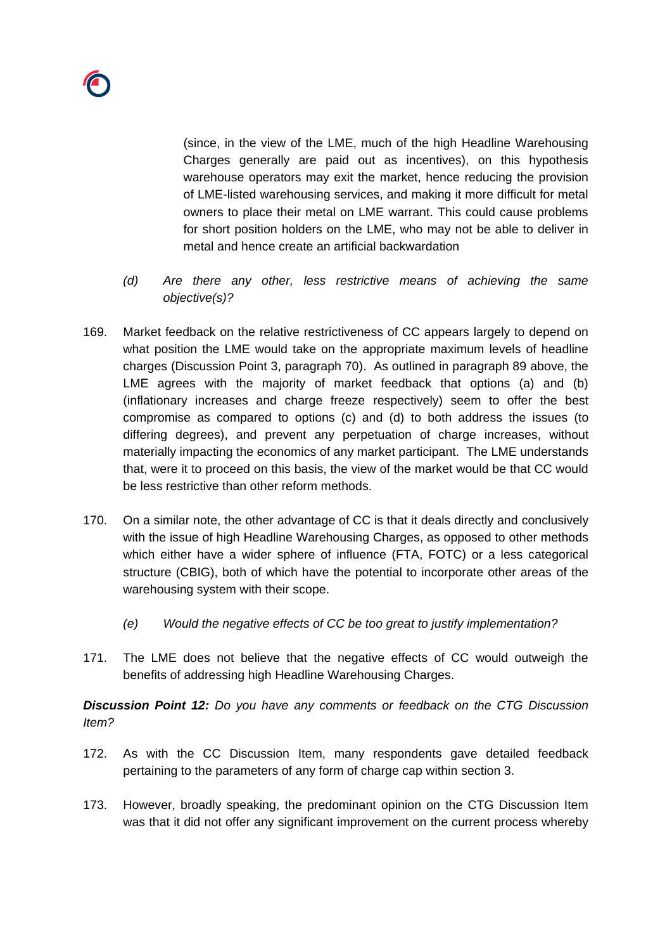(since, in the view of the LME, much of the high Headline Warehousing Charges generally are paid out as incentives), on this hypothesis warehouse operators may exit the market, hence reducing the provision of LME-listed warehousing services, and making it more difficult for metal owners to place their metal on LME warrant. This could cause problems for short position holders on the LME, who may not be able to deliver in metal and hence create an artificial backwardation

- *(d) Are there any other, less restrictive means of achieving the same objective(s)?*
- 169. Market feedback on the relative restrictiveness of CC appears largely to depend on what position the LME would take on the appropriate maximum levels of headline charges (Discussion Point 3, paragraph 70). As outlined in paragraph 89 above, the LME agrees with the majority of market feedback that options (a) and (b) (inflationary increases and charge freeze respectively) seem to offer the best compromise as compared to options (c) and (d) to both address the issues (to differing degrees), and prevent any perpetuation of charge increases, without materially impacting the economics of any market participant. The LME understands that, were it to proceed on this basis, the view of the market would be that CC would be less restrictive than other reform methods.
- 170. On a similar note, the other advantage of CC is that it deals directly and conclusively with the issue of high Headline Warehousing Charges, as opposed to other methods which either have a wider sphere of influence (FTA, FOTC) or a less categorical structure (CBIG), both of which have the potential to incorporate other areas of the warehousing system with their scope.
	- *(e) Would the negative effects of CC be too great to justify implementation?*
- 171. The LME does not believe that the negative effects of CC would outweigh the benefits of addressing high Headline Warehousing Charges.

*Discussion Point 12: Do you have any comments or feedback on the CTG Discussion Item?*

- 172. As with the CC Discussion Item, many respondents gave detailed feedback pertaining to the parameters of any form of charge cap within section 3.
- 173. However, broadly speaking, the predominant opinion on the CTG Discussion Item was that it did not offer any significant improvement on the current process whereby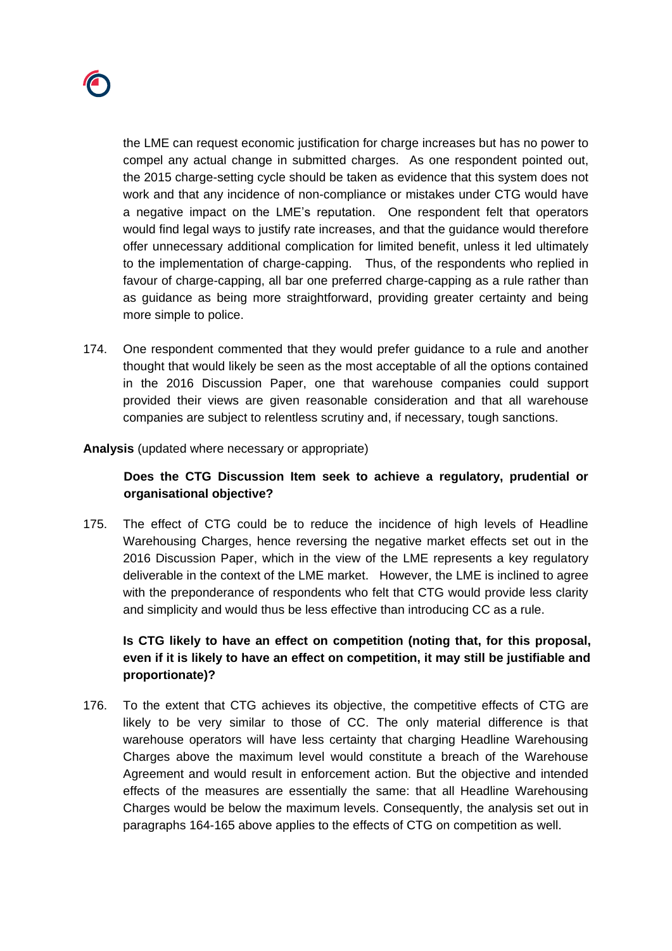

the LME can request economic justification for charge increases but has no power to compel any actual change in submitted charges. As one respondent pointed out, the 2015 charge-setting cycle should be taken as evidence that this system does not work and that any incidence of non-compliance or mistakes under CTG would have a negative impact on the LME's reputation. One respondent felt that operators would find legal ways to justify rate increases, and that the guidance would therefore offer unnecessary additional complication for limited benefit, unless it led ultimately to the implementation of charge-capping. Thus, of the respondents who replied in favour of charge-capping, all bar one preferred charge-capping as a rule rather than as guidance as being more straightforward, providing greater certainty and being more simple to police.

174. One respondent commented that they would prefer guidance to a rule and another thought that would likely be seen as the most acceptable of all the options contained in the 2016 Discussion Paper, one that warehouse companies could support provided their views are given reasonable consideration and that all warehouse companies are subject to relentless scrutiny and, if necessary, tough sanctions.

#### **Analysis** (updated where necessary or appropriate)

### **Does the CTG Discussion Item seek to achieve a regulatory, prudential or organisational objective?**

175. The effect of CTG could be to reduce the incidence of high levels of Headline Warehousing Charges, hence reversing the negative market effects set out in the 2016 Discussion Paper, which in the view of the LME represents a key regulatory deliverable in the context of the LME market. However, the LME is inclined to agree with the preponderance of respondents who felt that CTG would provide less clarity and simplicity and would thus be less effective than introducing CC as a rule.

## **Is CTG likely to have an effect on competition (noting that, for this proposal, even if it is likely to have an effect on competition, it may still be justifiable and proportionate)?**

176. To the extent that CTG achieves its objective, the competitive effects of CTG are likely to be very similar to those of CC. The only material difference is that warehouse operators will have less certainty that charging Headline Warehousing Charges above the maximum level would constitute a breach of the Warehouse Agreement and would result in enforcement action. But the objective and intended effects of the measures are essentially the same: that all Headline Warehousing Charges would be below the maximum levels. Consequently, the analysis set out in paragraphs 164-165 above applies to the effects of CTG on competition as well.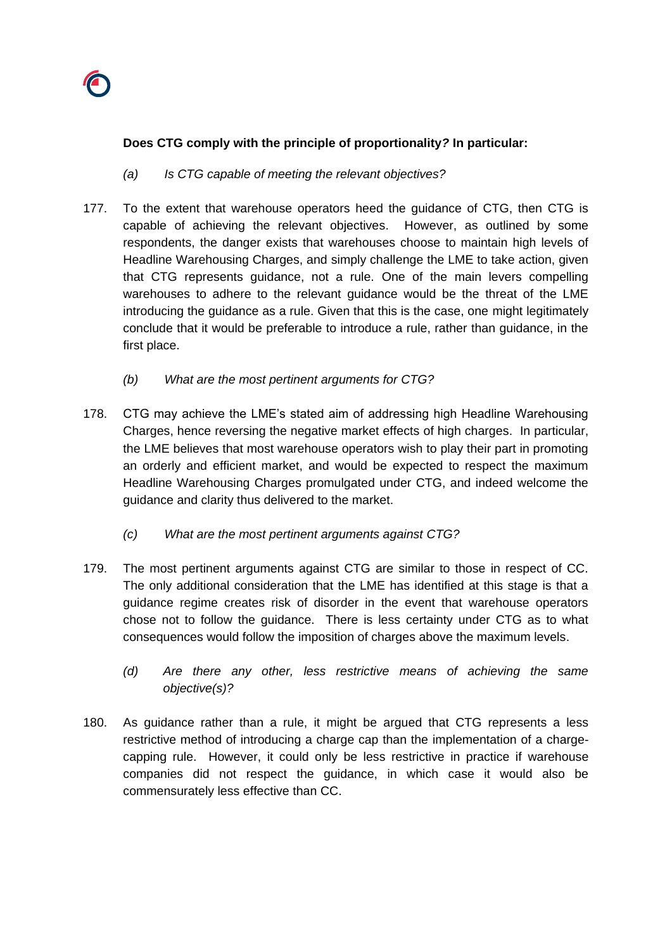

## **Does CTG comply with the principle of proportionality***?* **In particular:**

- *(a) Is CTG capable of meeting the relevant objectives?*
- 177. To the extent that warehouse operators heed the guidance of CTG, then CTG is capable of achieving the relevant objectives. However, as outlined by some respondents, the danger exists that warehouses choose to maintain high levels of Headline Warehousing Charges, and simply challenge the LME to take action, given that CTG represents guidance, not a rule. One of the main levers compelling warehouses to adhere to the relevant guidance would be the threat of the LME introducing the guidance as a rule. Given that this is the case, one might legitimately conclude that it would be preferable to introduce a rule, rather than guidance, in the first place.
	- *(b) What are the most pertinent arguments for CTG?*
- 178. CTG may achieve the LME's stated aim of addressing high Headline Warehousing Charges, hence reversing the negative market effects of high charges. In particular, the LME believes that most warehouse operators wish to play their part in promoting an orderly and efficient market, and would be expected to respect the maximum Headline Warehousing Charges promulgated under CTG, and indeed welcome the guidance and clarity thus delivered to the market.
	- *(c) What are the most pertinent arguments against CTG?*
- 179. The most pertinent arguments against CTG are similar to those in respect of CC. The only additional consideration that the LME has identified at this stage is that a guidance regime creates risk of disorder in the event that warehouse operators chose not to follow the guidance. There is less certainty under CTG as to what consequences would follow the imposition of charges above the maximum levels.
	- *(d) Are there any other, less restrictive means of achieving the same objective(s)?*
- 180. As guidance rather than a rule, it might be argued that CTG represents a less restrictive method of introducing a charge cap than the implementation of a chargecapping rule. However, it could only be less restrictive in practice if warehouse companies did not respect the guidance, in which case it would also be commensurately less effective than CC.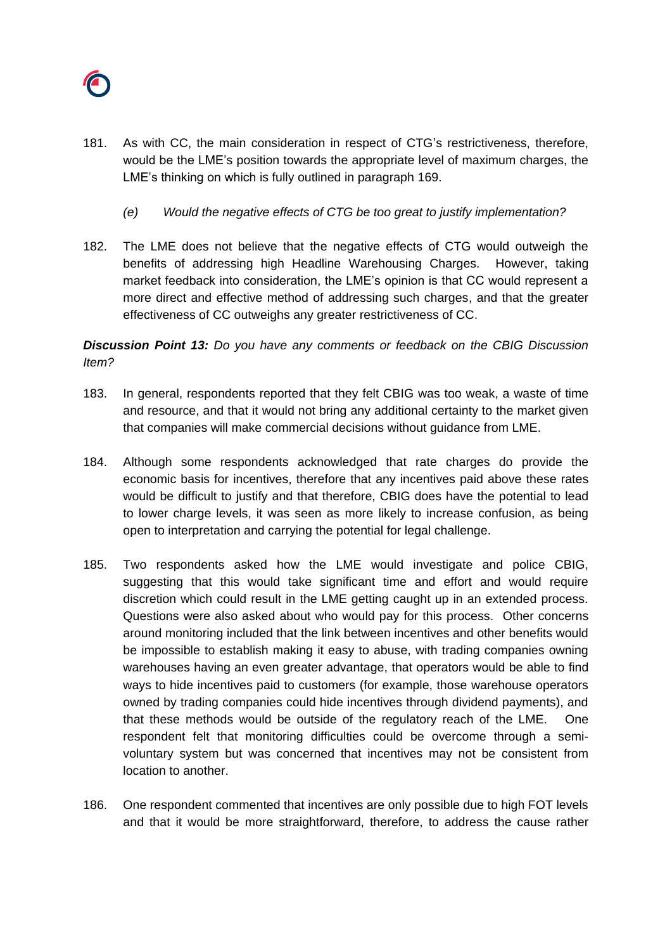

- 181. As with CC, the main consideration in respect of CTG's restrictiveness, therefore, would be the LME's position towards the appropriate level of maximum charges, the LME's thinking on which is fully outlined in paragraph 169.
	- *(e) Would the negative effects of CTG be too great to justify implementation?*
- 182. The LME does not believe that the negative effects of CTG would outweigh the benefits of addressing high Headline Warehousing Charges. However, taking market feedback into consideration, the LME's opinion is that CC would represent a more direct and effective method of addressing such charges, and that the greater effectiveness of CC outweighs any greater restrictiveness of CC.

*Discussion Point 13: Do you have any comments or feedback on the CBIG Discussion Item?*

- 183. In general, respondents reported that they felt CBIG was too weak, a waste of time and resource, and that it would not bring any additional certainty to the market given that companies will make commercial decisions without guidance from LME.
- 184. Although some respondents acknowledged that rate charges do provide the economic basis for incentives, therefore that any incentives paid above these rates would be difficult to justify and that therefore, CBIG does have the potential to lead to lower charge levels, it was seen as more likely to increase confusion, as being open to interpretation and carrying the potential for legal challenge.
- 185. Two respondents asked how the LME would investigate and police CBIG, suggesting that this would take significant time and effort and would require discretion which could result in the LME getting caught up in an extended process. Questions were also asked about who would pay for this process. Other concerns around monitoring included that the link between incentives and other benefits would be impossible to establish making it easy to abuse, with trading companies owning warehouses having an even greater advantage, that operators would be able to find ways to hide incentives paid to customers (for example, those warehouse operators owned by trading companies could hide incentives through dividend payments), and that these methods would be outside of the regulatory reach of the LME. One respondent felt that monitoring difficulties could be overcome through a semivoluntary system but was concerned that incentives may not be consistent from location to another.
- 186. One respondent commented that incentives are only possible due to high FOT levels and that it would be more straightforward, therefore, to address the cause rather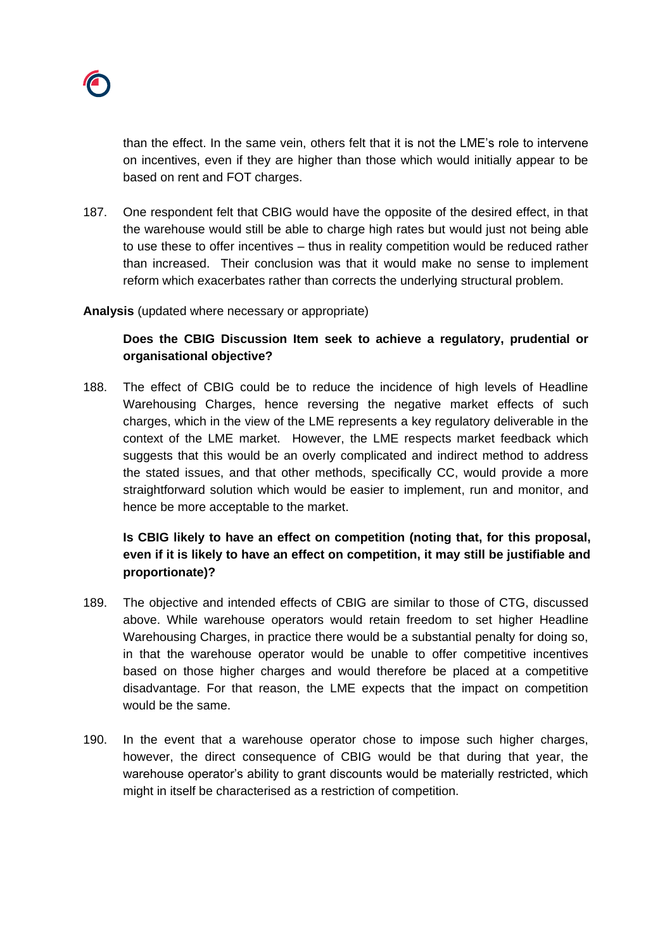

than the effect. In the same vein, others felt that it is not the LME's role to intervene on incentives, even if they are higher than those which would initially appear to be based on rent and FOT charges.

187. One respondent felt that CBIG would have the opposite of the desired effect, in that the warehouse would still be able to charge high rates but would just not being able to use these to offer incentives – thus in reality competition would be reduced rather than increased. Their conclusion was that it would make no sense to implement reform which exacerbates rather than corrects the underlying structural problem.

#### **Analysis** (updated where necessary or appropriate)

## **Does the CBIG Discussion Item seek to achieve a regulatory, prudential or organisational objective?**

188. The effect of CBIG could be to reduce the incidence of high levels of Headline Warehousing Charges, hence reversing the negative market effects of such charges, which in the view of the LME represents a key regulatory deliverable in the context of the LME market. However, the LME respects market feedback which suggests that this would be an overly complicated and indirect method to address the stated issues, and that other methods, specifically CC, would provide a more straightforward solution which would be easier to implement, run and monitor, and hence be more acceptable to the market.

# **Is CBIG likely to have an effect on competition (noting that, for this proposal, even if it is likely to have an effect on competition, it may still be justifiable and proportionate)?**

- 189. The objective and intended effects of CBIG are similar to those of CTG, discussed above. While warehouse operators would retain freedom to set higher Headline Warehousing Charges, in practice there would be a substantial penalty for doing so, in that the warehouse operator would be unable to offer competitive incentives based on those higher charges and would therefore be placed at a competitive disadvantage. For that reason, the LME expects that the impact on competition would be the same.
- 190. In the event that a warehouse operator chose to impose such higher charges, however, the direct consequence of CBIG would be that during that year, the warehouse operator's ability to grant discounts would be materially restricted, which might in itself be characterised as a restriction of competition.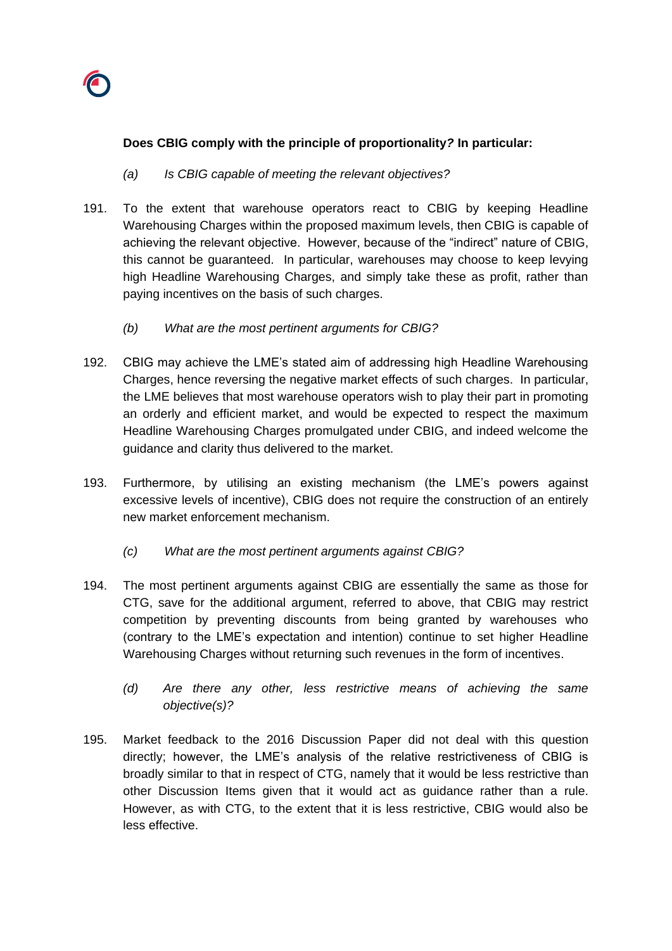

## **Does CBIG comply with the principle of proportionality***?* **In particular:**

- *(a) Is CBIG capable of meeting the relevant objectives?*
- 191. To the extent that warehouse operators react to CBIG by keeping Headline Warehousing Charges within the proposed maximum levels, then CBIG is capable of achieving the relevant objective. However, because of the "indirect" nature of CBIG, this cannot be guaranteed. In particular, warehouses may choose to keep levying high Headline Warehousing Charges, and simply take these as profit, rather than paying incentives on the basis of such charges.
	- *(b) What are the most pertinent arguments for CBIG?*
- 192. CBIG may achieve the LME's stated aim of addressing high Headline Warehousing Charges, hence reversing the negative market effects of such charges. In particular, the LME believes that most warehouse operators wish to play their part in promoting an orderly and efficient market, and would be expected to respect the maximum Headline Warehousing Charges promulgated under CBIG, and indeed welcome the guidance and clarity thus delivered to the market.
- 193. Furthermore, by utilising an existing mechanism (the LME's powers against excessive levels of incentive), CBIG does not require the construction of an entirely new market enforcement mechanism.
	- *(c) What are the most pertinent arguments against CBIG?*
- 194. The most pertinent arguments against CBIG are essentially the same as those for CTG, save for the additional argument, referred to above, that CBIG may restrict competition by preventing discounts from being granted by warehouses who (contrary to the LME's expectation and intention) continue to set higher Headline Warehousing Charges without returning such revenues in the form of incentives.
	- *(d) Are there any other, less restrictive means of achieving the same objective(s)?*
- 195. Market feedback to the 2016 Discussion Paper did not deal with this question directly; however, the LME's analysis of the relative restrictiveness of CBIG is broadly similar to that in respect of CTG, namely that it would be less restrictive than other Discussion Items given that it would act as guidance rather than a rule. However, as with CTG, to the extent that it is less restrictive, CBIG would also be less effective.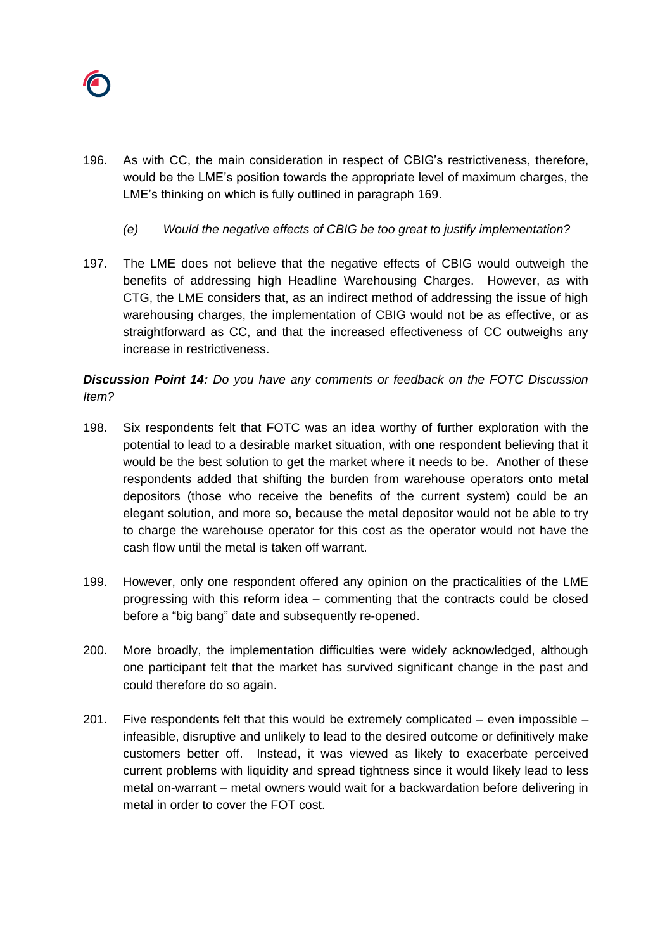

- 196. As with CC, the main consideration in respect of CBIG's restrictiveness, therefore, would be the LME's position towards the appropriate level of maximum charges, the LME's thinking on which is fully outlined in paragraph 169.
	- *(e) Would the negative effects of CBIG be too great to justify implementation?*
- 197. The LME does not believe that the negative effects of CBIG would outweigh the benefits of addressing high Headline Warehousing Charges. However, as with CTG, the LME considers that, as an indirect method of addressing the issue of high warehousing charges, the implementation of CBIG would not be as effective, or as straightforward as CC, and that the increased effectiveness of CC outweighs any increase in restrictiveness.

*Discussion Point 14: Do you have any comments or feedback on the FOTC Discussion Item?*

- 198. Six respondents felt that FOTC was an idea worthy of further exploration with the potential to lead to a desirable market situation, with one respondent believing that it would be the best solution to get the market where it needs to be. Another of these respondents added that shifting the burden from warehouse operators onto metal depositors (those who receive the benefits of the current system) could be an elegant solution, and more so, because the metal depositor would not be able to try to charge the warehouse operator for this cost as the operator would not have the cash flow until the metal is taken off warrant.
- 199. However, only one respondent offered any opinion on the practicalities of the LME progressing with this reform idea – commenting that the contracts could be closed before a "big bang" date and subsequently re-opened.
- 200. More broadly, the implementation difficulties were widely acknowledged, although one participant felt that the market has survived significant change in the past and could therefore do so again.
- 201. Five respondents felt that this would be extremely complicated  $-$  even impossible  $$ infeasible, disruptive and unlikely to lead to the desired outcome or definitively make customers better off. Instead, it was viewed as likely to exacerbate perceived current problems with liquidity and spread tightness since it would likely lead to less metal on-warrant – metal owners would wait for a backwardation before delivering in metal in order to cover the FOT cost.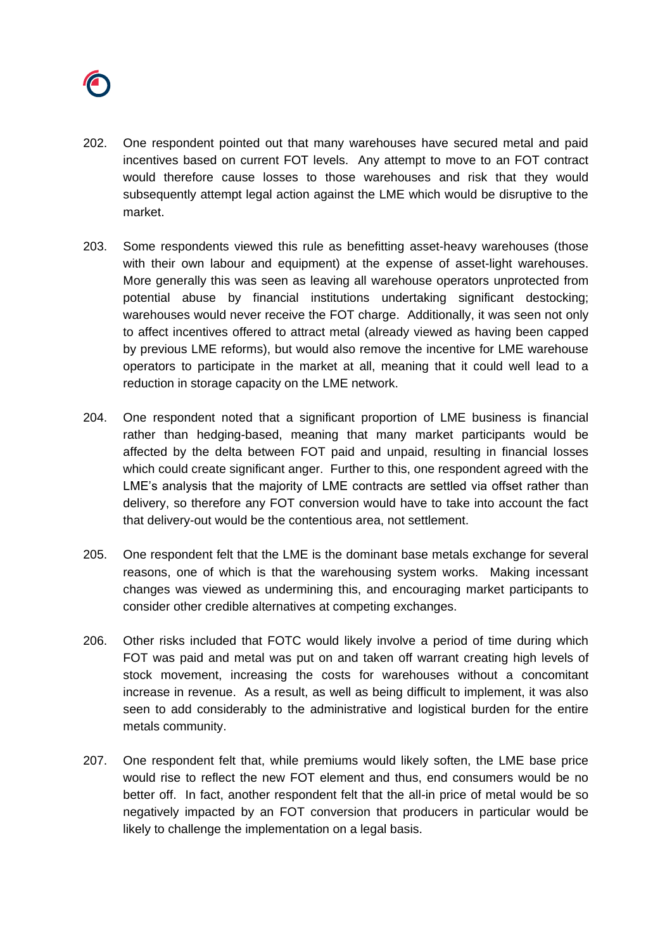

- 202. One respondent pointed out that many warehouses have secured metal and paid incentives based on current FOT levels. Any attempt to move to an FOT contract would therefore cause losses to those warehouses and risk that they would subsequently attempt legal action against the LME which would be disruptive to the market.
- 203. Some respondents viewed this rule as benefitting asset-heavy warehouses (those with their own labour and equipment) at the expense of asset-light warehouses. More generally this was seen as leaving all warehouse operators unprotected from potential abuse by financial institutions undertaking significant destocking; warehouses would never receive the FOT charge. Additionally, it was seen not only to affect incentives offered to attract metal (already viewed as having been capped by previous LME reforms), but would also remove the incentive for LME warehouse operators to participate in the market at all, meaning that it could well lead to a reduction in storage capacity on the LME network.
- 204. One respondent noted that a significant proportion of LME business is financial rather than hedging-based, meaning that many market participants would be affected by the delta between FOT paid and unpaid, resulting in financial losses which could create significant anger. Further to this, one respondent agreed with the LME's analysis that the majority of LME contracts are settled via offset rather than delivery, so therefore any FOT conversion would have to take into account the fact that delivery-out would be the contentious area, not settlement.
- 205. One respondent felt that the LME is the dominant base metals exchange for several reasons, one of which is that the warehousing system works. Making incessant changes was viewed as undermining this, and encouraging market participants to consider other credible alternatives at competing exchanges.
- 206. Other risks included that FOTC would likely involve a period of time during which FOT was paid and metal was put on and taken off warrant creating high levels of stock movement, increasing the costs for warehouses without a concomitant increase in revenue. As a result, as well as being difficult to implement, it was also seen to add considerably to the administrative and logistical burden for the entire metals community.
- 207. One respondent felt that, while premiums would likely soften, the LME base price would rise to reflect the new FOT element and thus, end consumers would be no better off. In fact, another respondent felt that the all-in price of metal would be so negatively impacted by an FOT conversion that producers in particular would be likely to challenge the implementation on a legal basis.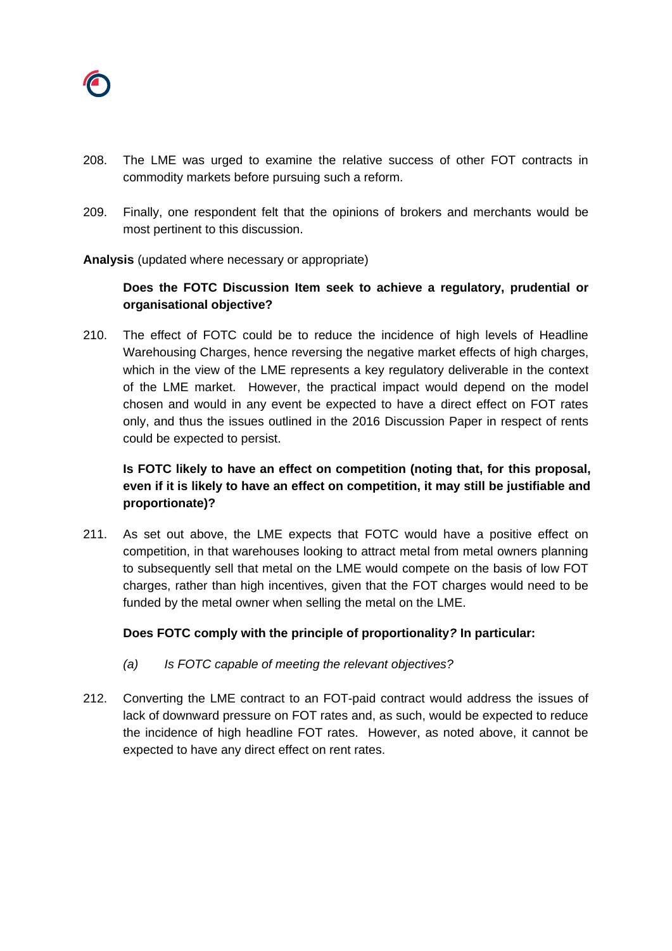

- 208. The LME was urged to examine the relative success of other FOT contracts in commodity markets before pursuing such a reform.
- 209. Finally, one respondent felt that the opinions of brokers and merchants would be most pertinent to this discussion.

### **Analysis** (updated where necessary or appropriate)

## **Does the FOTC Discussion Item seek to achieve a regulatory, prudential or organisational objective?**

210. The effect of FOTC could be to reduce the incidence of high levels of Headline Warehousing Charges, hence reversing the negative market effects of high charges, which in the view of the LME represents a key regulatory deliverable in the context of the LME market. However, the practical impact would depend on the model chosen and would in any event be expected to have a direct effect on FOT rates only, and thus the issues outlined in the 2016 Discussion Paper in respect of rents could be expected to persist.

## **Is FOTC likely to have an effect on competition (noting that, for this proposal, even if it is likely to have an effect on competition, it may still be justifiable and proportionate)?**

211. As set out above, the LME expects that FOTC would have a positive effect on competition, in that warehouses looking to attract metal from metal owners planning to subsequently sell that metal on the LME would compete on the basis of low FOT charges, rather than high incentives, given that the FOT charges would need to be funded by the metal owner when selling the metal on the LME.

### **Does FOTC comply with the principle of proportionality***?* **In particular:**

- *(a) Is FOTC capable of meeting the relevant objectives?*
- 212. Converting the LME contract to an FOT-paid contract would address the issues of lack of downward pressure on FOT rates and, as such, would be expected to reduce the incidence of high headline FOT rates. However, as noted above, it cannot be expected to have any direct effect on rent rates.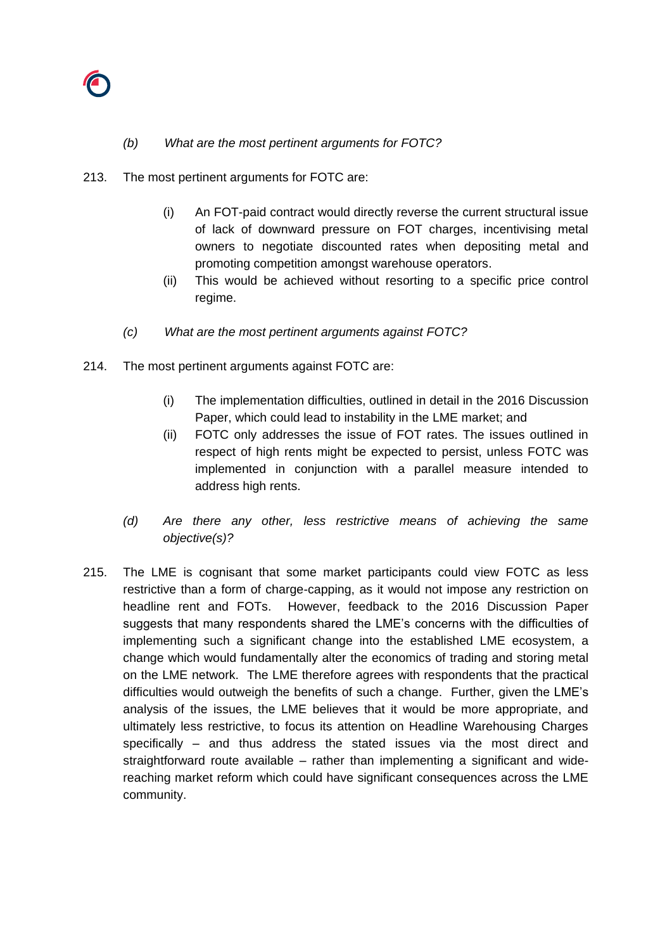

### *(b) What are the most pertinent arguments for FOTC?*

- 213. The most pertinent arguments for FOTC are:
	- (i) An FOT-paid contract would directly reverse the current structural issue of lack of downward pressure on FOT charges, incentivising metal owners to negotiate discounted rates when depositing metal and promoting competition amongst warehouse operators.
	- (ii) This would be achieved without resorting to a specific price control regime.
	- *(c) What are the most pertinent arguments against FOTC?*
- 214. The most pertinent arguments against FOTC are:
	- (i) The implementation difficulties, outlined in detail in the 2016 Discussion Paper, which could lead to instability in the LME market; and
	- (ii) FOTC only addresses the issue of FOT rates. The issues outlined in respect of high rents might be expected to persist, unless FOTC was implemented in conjunction with a parallel measure intended to address high rents.
	- *(d) Are there any other, less restrictive means of achieving the same objective(s)?*
- 215. The LME is cognisant that some market participants could view FOTC as less restrictive than a form of charge-capping, as it would not impose any restriction on headline rent and FOTs. However, feedback to the 2016 Discussion Paper suggests that many respondents shared the LME's concerns with the difficulties of implementing such a significant change into the established LME ecosystem, a change which would fundamentally alter the economics of trading and storing metal on the LME network. The LME therefore agrees with respondents that the practical difficulties would outweigh the benefits of such a change. Further, given the LME's analysis of the issues, the LME believes that it would be more appropriate, and ultimately less restrictive, to focus its attention on Headline Warehousing Charges specifically – and thus address the stated issues via the most direct and straightforward route available – rather than implementing a significant and widereaching market reform which could have significant consequences across the LME community.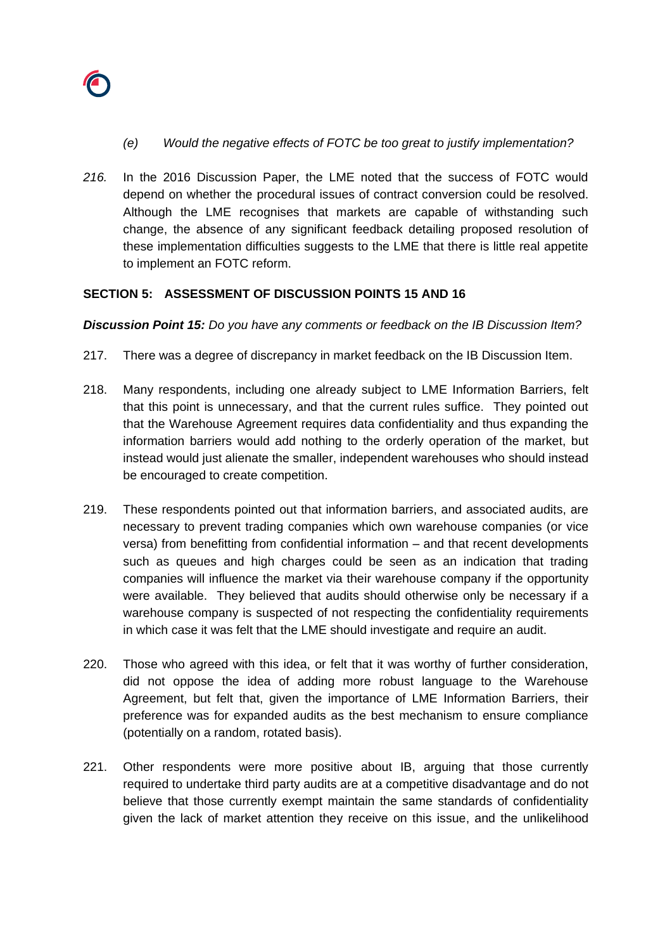

- *(e) Would the negative effects of FOTC be too great to justify implementation?*
- *216.* In the 2016 Discussion Paper, the LME noted that the success of FOTC would depend on whether the procedural issues of contract conversion could be resolved. Although the LME recognises that markets are capable of withstanding such change, the absence of any significant feedback detailing proposed resolution of these implementation difficulties suggests to the LME that there is little real appetite to implement an FOTC reform.

### **SECTION 5: ASSESSMENT OF DISCUSSION POINTS 15 AND 16**

*Discussion Point 15: Do you have any comments or feedback on the IB Discussion Item?*

- 217. There was a degree of discrepancy in market feedback on the IB Discussion Item.
- 218. Many respondents, including one already subject to LME Information Barriers, felt that this point is unnecessary, and that the current rules suffice. They pointed out that the Warehouse Agreement requires data confidentiality and thus expanding the information barriers would add nothing to the orderly operation of the market, but instead would just alienate the smaller, independent warehouses who should instead be encouraged to create competition.
- 219. These respondents pointed out that information barriers, and associated audits, are necessary to prevent trading companies which own warehouse companies (or vice versa) from benefitting from confidential information – and that recent developments such as queues and high charges could be seen as an indication that trading companies will influence the market via their warehouse company if the opportunity were available. They believed that audits should otherwise only be necessary if a warehouse company is suspected of not respecting the confidentiality requirements in which case it was felt that the LME should investigate and require an audit.
- 220. Those who agreed with this idea, or felt that it was worthy of further consideration, did not oppose the idea of adding more robust language to the Warehouse Agreement, but felt that, given the importance of LME Information Barriers, their preference was for expanded audits as the best mechanism to ensure compliance (potentially on a random, rotated basis).
- 221. Other respondents were more positive about IB, arguing that those currently required to undertake third party audits are at a competitive disadvantage and do not believe that those currently exempt maintain the same standards of confidentiality given the lack of market attention they receive on this issue, and the unlikelihood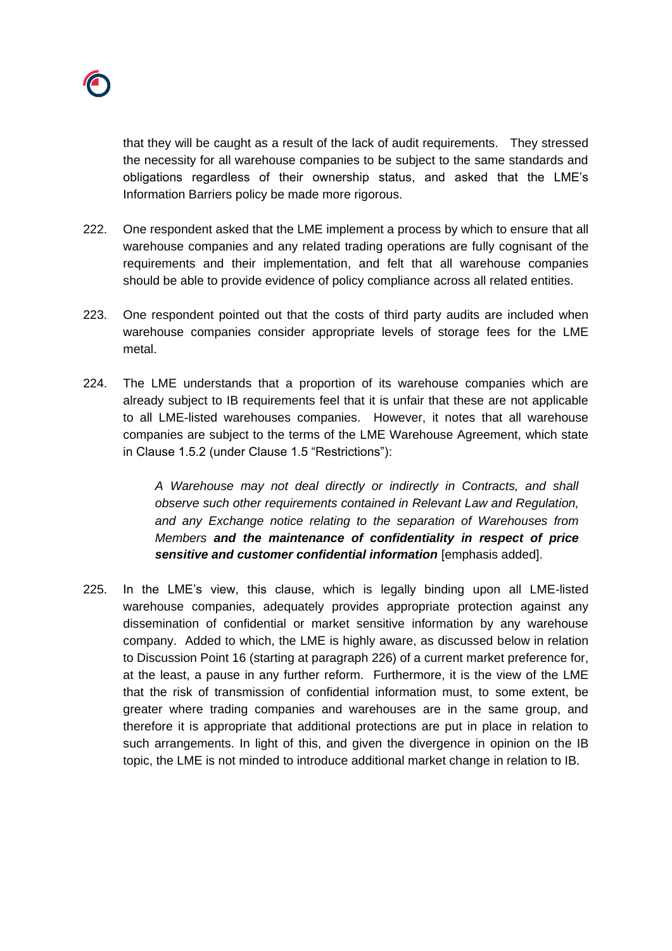

that they will be caught as a result of the lack of audit requirements. They stressed the necessity for all warehouse companies to be subject to the same standards and obligations regardless of their ownership status, and asked that the LME's Information Barriers policy be made more rigorous.

- 222. One respondent asked that the LME implement a process by which to ensure that all warehouse companies and any related trading operations are fully cognisant of the requirements and their implementation, and felt that all warehouse companies should be able to provide evidence of policy compliance across all related entities.
- 223. One respondent pointed out that the costs of third party audits are included when warehouse companies consider appropriate levels of storage fees for the LME metal.
- 224. The LME understands that a proportion of its warehouse companies which are already subject to IB requirements feel that it is unfair that these are not applicable to all LME-listed warehouses companies. However, it notes that all warehouse companies are subject to the terms of the LME Warehouse Agreement, which state in Clause 1.5.2 (under Clause 1.5 "Restrictions"):

*A Warehouse may not deal directly or indirectly in Contracts, and shall observe such other requirements contained in Relevant Law and Regulation, and any Exchange notice relating to the separation of Warehouses from Members and the maintenance of confidentiality in respect of price sensitive and customer confidential information* [emphasis added].

225. In the LME's view, this clause, which is legally binding upon all LME-listed warehouse companies, adequately provides appropriate protection against any dissemination of confidential or market sensitive information by any warehouse company. Added to which, the LME is highly aware, as discussed below in relation to Discussion Point 16 (starting at paragraph 226) of a current market preference for, at the least, a pause in any further reform. Furthermore, it is the view of the LME that the risk of transmission of confidential information must, to some extent, be greater where trading companies and warehouses are in the same group, and therefore it is appropriate that additional protections are put in place in relation to such arrangements. In light of this, and given the divergence in opinion on the IB topic, the LME is not minded to introduce additional market change in relation to IB.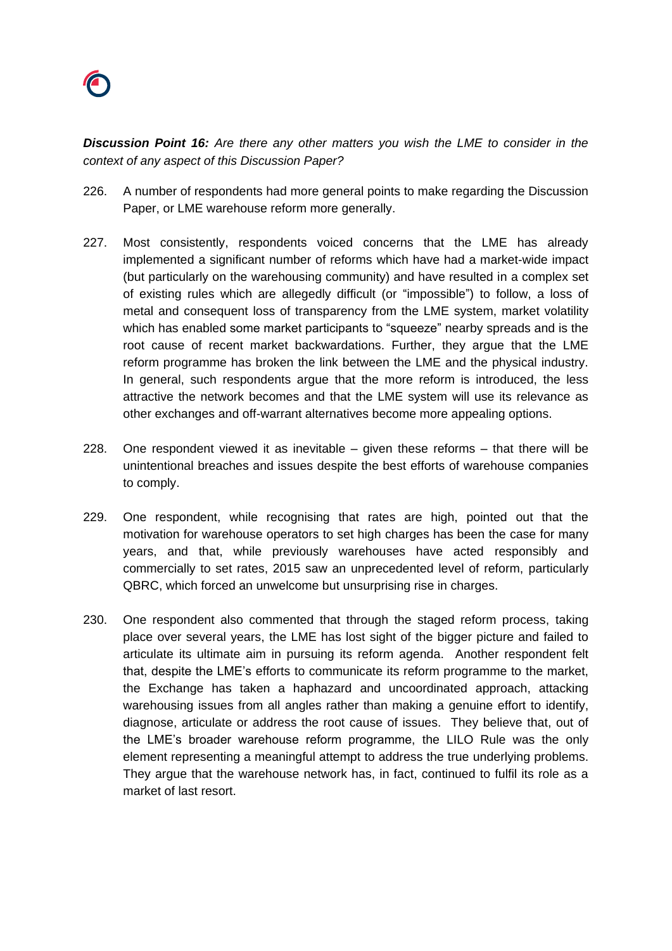

*Discussion Point 16: Are there any other matters you wish the LME to consider in the context of any aspect of this Discussion Paper?*

- 226. A number of respondents had more general points to make regarding the Discussion Paper, or LME warehouse reform more generally.
- 227. Most consistently, respondents voiced concerns that the LME has already implemented a significant number of reforms which have had a market-wide impact (but particularly on the warehousing community) and have resulted in a complex set of existing rules which are allegedly difficult (or "impossible") to follow, a loss of metal and consequent loss of transparency from the LME system, market volatility which has enabled some market participants to "squeeze" nearby spreads and is the root cause of recent market backwardations. Further, they argue that the LME reform programme has broken the link between the LME and the physical industry. In general, such respondents argue that the more reform is introduced, the less attractive the network becomes and that the LME system will use its relevance as other exchanges and off-warrant alternatives become more appealing options.
- 228. One respondent viewed it as inevitable given these reforms that there will be unintentional breaches and issues despite the best efforts of warehouse companies to comply.
- 229. One respondent, while recognising that rates are high, pointed out that the motivation for warehouse operators to set high charges has been the case for many years, and that, while previously warehouses have acted responsibly and commercially to set rates, 2015 saw an unprecedented level of reform, particularly QBRC, which forced an unwelcome but unsurprising rise in charges.
- 230. One respondent also commented that through the staged reform process, taking place over several years, the LME has lost sight of the bigger picture and failed to articulate its ultimate aim in pursuing its reform agenda. Another respondent felt that, despite the LME's efforts to communicate its reform programme to the market, the Exchange has taken a haphazard and uncoordinated approach, attacking warehousing issues from all angles rather than making a genuine effort to identify, diagnose, articulate or address the root cause of issues. They believe that, out of the LME's broader warehouse reform programme, the LILO Rule was the only element representing a meaningful attempt to address the true underlying problems. They argue that the warehouse network has, in fact, continued to fulfil its role as a market of last resort.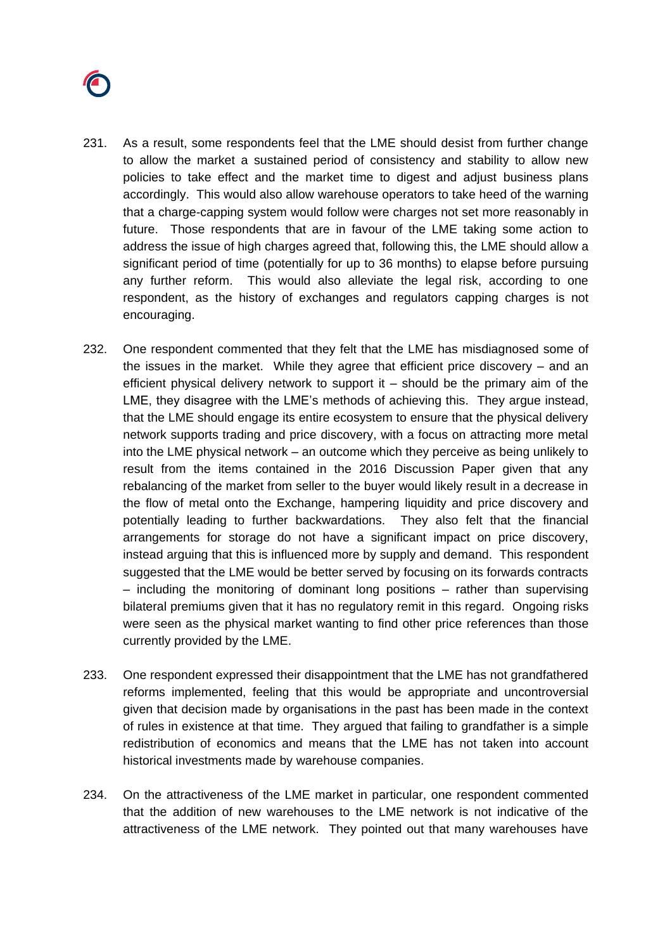

- 231. As a result, some respondents feel that the LME should desist from further change to allow the market a sustained period of consistency and stability to allow new policies to take effect and the market time to digest and adjust business plans accordingly. This would also allow warehouse operators to take heed of the warning that a charge-capping system would follow were charges not set more reasonably in future. Those respondents that are in favour of the LME taking some action to address the issue of high charges agreed that, following this, the LME should allow a significant period of time (potentially for up to 36 months) to elapse before pursuing any further reform. This would also alleviate the legal risk, according to one respondent, as the history of exchanges and regulators capping charges is not encouraging.
- 232. One respondent commented that they felt that the LME has misdiagnosed some of the issues in the market. While they agree that efficient price discovery – and an efficient physical delivery network to support it – should be the primary aim of the LME, they disagree with the LME's methods of achieving this. They argue instead, that the LME should engage its entire ecosystem to ensure that the physical delivery network supports trading and price discovery, with a focus on attracting more metal into the LME physical network – an outcome which they perceive as being unlikely to result from the items contained in the 2016 Discussion Paper given that any rebalancing of the market from seller to the buyer would likely result in a decrease in the flow of metal onto the Exchange, hampering liquidity and price discovery and potentially leading to further backwardations. They also felt that the financial arrangements for storage do not have a significant impact on price discovery, instead arguing that this is influenced more by supply and demand. This respondent suggested that the LME would be better served by focusing on its forwards contracts – including the monitoring of dominant long positions – rather than supervising bilateral premiums given that it has no regulatory remit in this regard. Ongoing risks were seen as the physical market wanting to find other price references than those currently provided by the LME.
- 233. One respondent expressed their disappointment that the LME has not grandfathered reforms implemented, feeling that this would be appropriate and uncontroversial given that decision made by organisations in the past has been made in the context of rules in existence at that time. They argued that failing to grandfather is a simple redistribution of economics and means that the LME has not taken into account historical investments made by warehouse companies.
- 234. On the attractiveness of the LME market in particular, one respondent commented that the addition of new warehouses to the LME network is not indicative of the attractiveness of the LME network. They pointed out that many warehouses have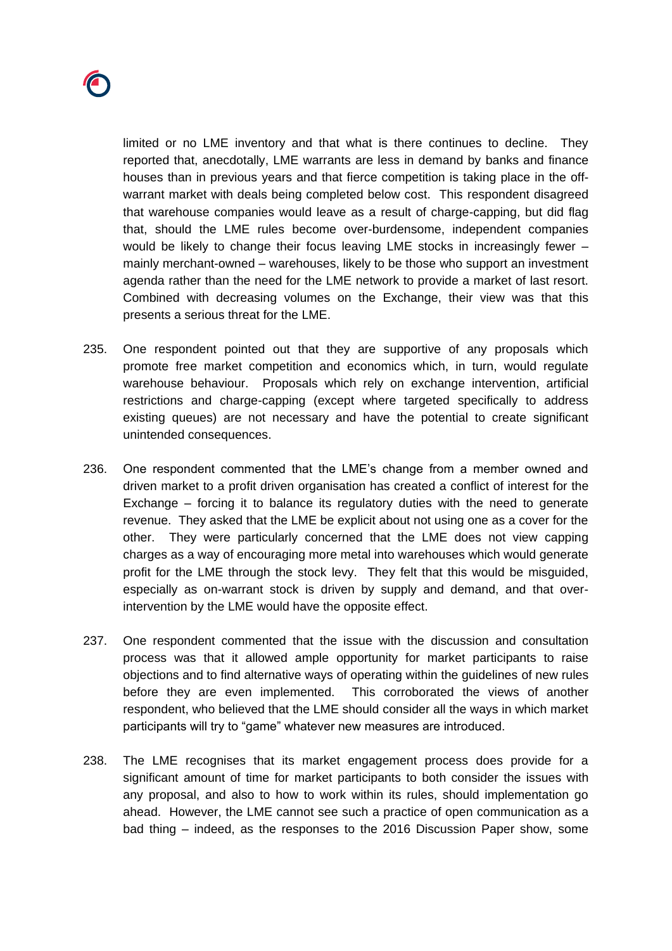

limited or no LME inventory and that what is there continues to decline. They reported that, anecdotally, LME warrants are less in demand by banks and finance houses than in previous years and that fierce competition is taking place in the offwarrant market with deals being completed below cost. This respondent disagreed that warehouse companies would leave as a result of charge-capping, but did flag that, should the LME rules become over-burdensome, independent companies would be likely to change their focus leaving LME stocks in increasingly fewer – mainly merchant-owned – warehouses, likely to be those who support an investment agenda rather than the need for the LME network to provide a market of last resort. Combined with decreasing volumes on the Exchange, their view was that this presents a serious threat for the LME.

- 235. One respondent pointed out that they are supportive of any proposals which promote free market competition and economics which, in turn, would regulate warehouse behaviour. Proposals which rely on exchange intervention, artificial restrictions and charge-capping (except where targeted specifically to address existing queues) are not necessary and have the potential to create significant unintended consequences.
- 236. One respondent commented that the LME's change from a member owned and driven market to a profit driven organisation has created a conflict of interest for the Exchange – forcing it to balance its regulatory duties with the need to generate revenue. They asked that the LME be explicit about not using one as a cover for the other. They were particularly concerned that the LME does not view capping charges as a way of encouraging more metal into warehouses which would generate profit for the LME through the stock levy. They felt that this would be misguided, especially as on-warrant stock is driven by supply and demand, and that overintervention by the LME would have the opposite effect.
- 237. One respondent commented that the issue with the discussion and consultation process was that it allowed ample opportunity for market participants to raise objections and to find alternative ways of operating within the guidelines of new rules before they are even implemented. This corroborated the views of another respondent, who believed that the LME should consider all the ways in which market participants will try to "game" whatever new measures are introduced.
- 238. The LME recognises that its market engagement process does provide for a significant amount of time for market participants to both consider the issues with any proposal, and also to how to work within its rules, should implementation go ahead. However, the LME cannot see such a practice of open communication as a bad thing – indeed, as the responses to the 2016 Discussion Paper show, some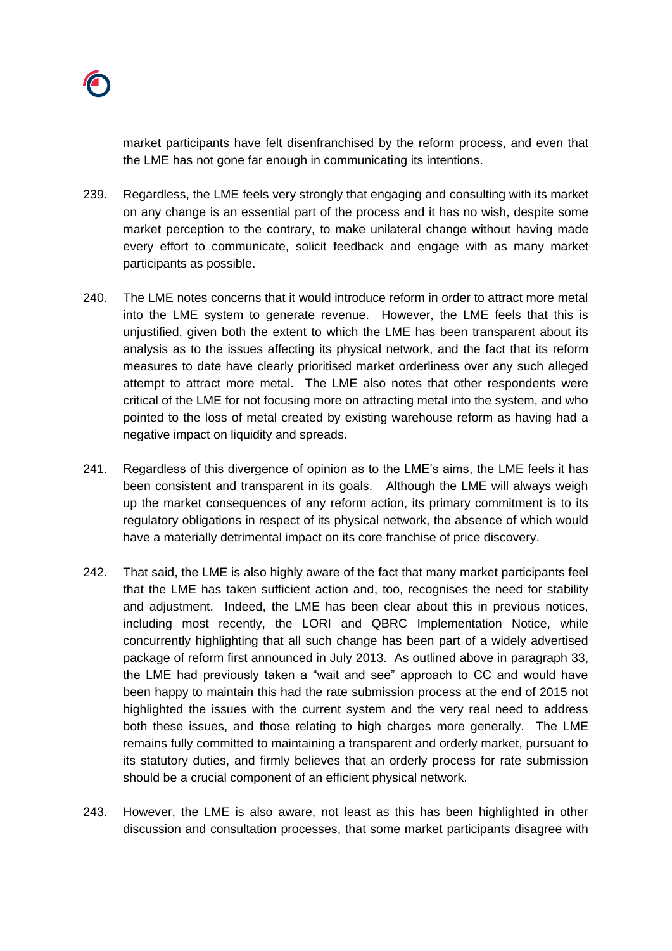market participants have felt disenfranchised by the reform process, and even that the LME has not gone far enough in communicating its intentions.

- 239. Regardless, the LME feels very strongly that engaging and consulting with its market on any change is an essential part of the process and it has no wish, despite some market perception to the contrary, to make unilateral change without having made every effort to communicate, solicit feedback and engage with as many market participants as possible.
- 240. The LME notes concerns that it would introduce reform in order to attract more metal into the LME system to generate revenue. However, the LME feels that this is unjustified, given both the extent to which the LME has been transparent about its analysis as to the issues affecting its physical network, and the fact that its reform measures to date have clearly prioritised market orderliness over any such alleged attempt to attract more metal. The LME also notes that other respondents were critical of the LME for not focusing more on attracting metal into the system, and who pointed to the loss of metal created by existing warehouse reform as having had a negative impact on liquidity and spreads.
- 241. Regardless of this divergence of opinion as to the LME's aims, the LME feels it has been consistent and transparent in its goals. Although the LME will always weigh up the market consequences of any reform action, its primary commitment is to its regulatory obligations in respect of its physical network, the absence of which would have a materially detrimental impact on its core franchise of price discovery.
- 242. That said, the LME is also highly aware of the fact that many market participants feel that the LME has taken sufficient action and, too, recognises the need for stability and adjustment. Indeed, the LME has been clear about this in previous notices, including most recently, the LORI and QBRC Implementation Notice, while concurrently highlighting that all such change has been part of a widely advertised package of reform first announced in July 2013. As outlined above in paragraph 33, the LME had previously taken a "wait and see" approach to CC and would have been happy to maintain this had the rate submission process at the end of 2015 not highlighted the issues with the current system and the very real need to address both these issues, and those relating to high charges more generally. The LME remains fully committed to maintaining a transparent and orderly market, pursuant to its statutory duties, and firmly believes that an orderly process for rate submission should be a crucial component of an efficient physical network.
- 243. However, the LME is also aware, not least as this has been highlighted in other discussion and consultation processes, that some market participants disagree with